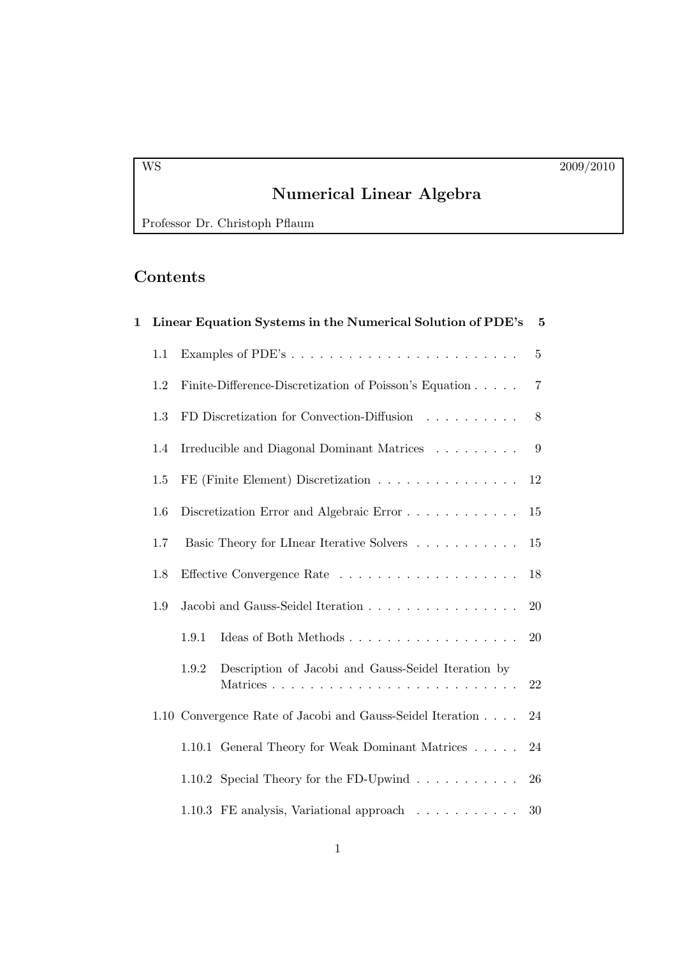# Numerical Linear Algebra

Professor Dr. Christoph Pflaum

## Contents

| $\mathbf{1}$ |     | Linear Equation Systems in the Numerical Solution of PDE's |                                                                |                |  |  |  |
|--------------|-----|------------------------------------------------------------|----------------------------------------------------------------|----------------|--|--|--|
|              | 1.1 |                                                            |                                                                | $\overline{5}$ |  |  |  |
|              | 1.2 |                                                            | Finite-Difference-Discretization of Poisson's Equation         | $\overline{7}$ |  |  |  |
|              | 1.3 | FD Discretization for Convection-Diffusion                 |                                                                |                |  |  |  |
|              | 1.4 |                                                            | Irreducible and Diagonal Dominant Matrices                     | 9              |  |  |  |
|              | 1.5 |                                                            | FE (Finite Element) Discretization                             | 12             |  |  |  |
|              | 1.6 |                                                            | Discretization Error and Algebraic Error                       | 15             |  |  |  |
|              | 1.7 |                                                            | Basic Theory for LInear Iterative Solvers                      | 15             |  |  |  |
|              | 1.8 | Jacobi and Gauss-Seidel Iteration                          |                                                                |                |  |  |  |
|              | 1.9 |                                                            |                                                                |                |  |  |  |
|              |     | 1.9.1                                                      |                                                                | 20             |  |  |  |
|              |     | 1.9.2                                                      | Description of Jacobi and Gauss-Seidel Iteration by            | 22             |  |  |  |
|              |     |                                                            | 1.10 Convergence Rate of Jacobi and Gauss-Seidel Iteration     | 24             |  |  |  |
|              |     |                                                            | 1.10.1 General Theory for Weak Dominant Matrices               | 24             |  |  |  |
|              |     |                                                            | 1.10.2 Special Theory for the FD-Upwind $\ldots \ldots \ldots$ | 26             |  |  |  |
|              |     |                                                            | 1.10.3 FE analysis, Variational approach                       | 30             |  |  |  |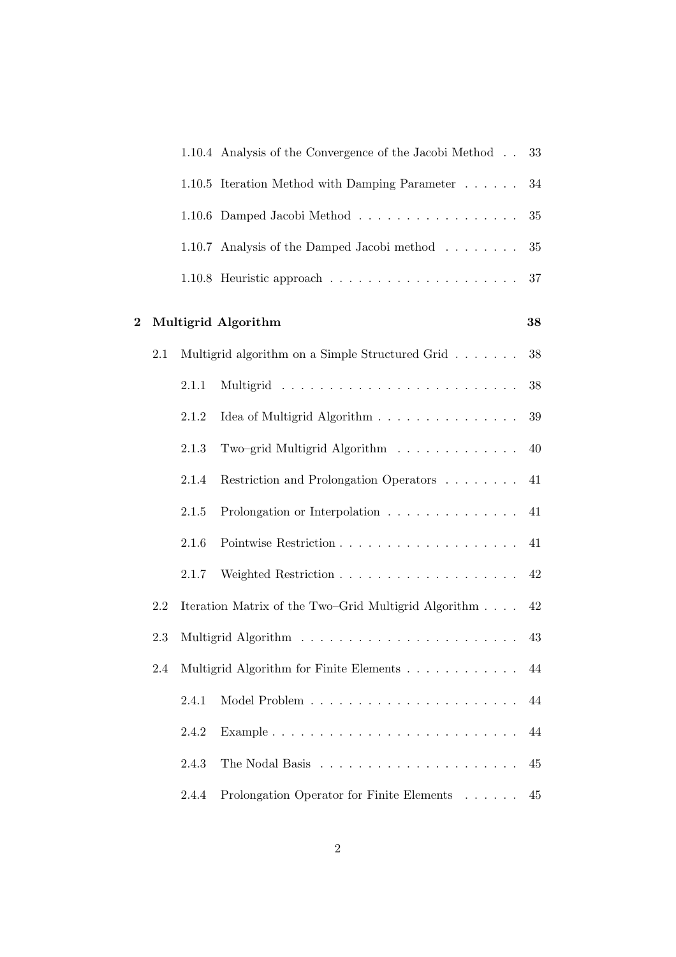|          |     |                                         | 1.10.4 Analysis of the Convergence of the Jacobi Method | 33     |  |
|----------|-----|-----------------------------------------|---------------------------------------------------------|--------|--|
|          |     |                                         | 1.10.5 Iteration Method with Damping Parameter          | $34\,$ |  |
|          |     |                                         | 1.10.6 Damped Jacobi Method                             | 35     |  |
|          |     |                                         | 1.10.7 Analysis of the Damped Jacobi method             | $35\,$ |  |
|          |     |                                         |                                                         | $37\,$ |  |
| $\bf{2}$ |     |                                         | Multigrid Algorithm                                     | 38     |  |
|          | 2.1 |                                         | Multigrid algorithm on a Simple Structured Grid         | $38\,$ |  |
|          |     | 2.1.1                                   |                                                         | 38     |  |
|          |     | 2.1.2                                   | Idea of Multigrid Algorithm                             | $39\,$ |  |
|          |     | 2.1.3                                   | Two-grid Multigrid Algorithm                            | 40     |  |
|          |     | 2.1.4                                   | Restriction and Prolongation Operators                  | 41     |  |
|          |     | 2.1.5                                   | Prolongation or Interpolation                           | 41     |  |
|          |     | 2.1.6                                   |                                                         | 41     |  |
|          |     | 2.1.7                                   |                                                         | 42     |  |
|          | 2.2 |                                         | Iteration Matrix of the Two-Grid Multigrid Algorithm    | 42     |  |
|          | 2.3 |                                         |                                                         |        |  |
|          | 2.4 | Multigrid Algorithm for Finite Elements |                                                         |        |  |
|          |     | 2.4.1                                   |                                                         | 44     |  |
|          |     | 2.4.2                                   |                                                         | 44     |  |
|          |     | 2.4.3                                   |                                                         | 45     |  |
|          |     | 2.4.4                                   | Prolongation Operator for Finite Elements               | 45     |  |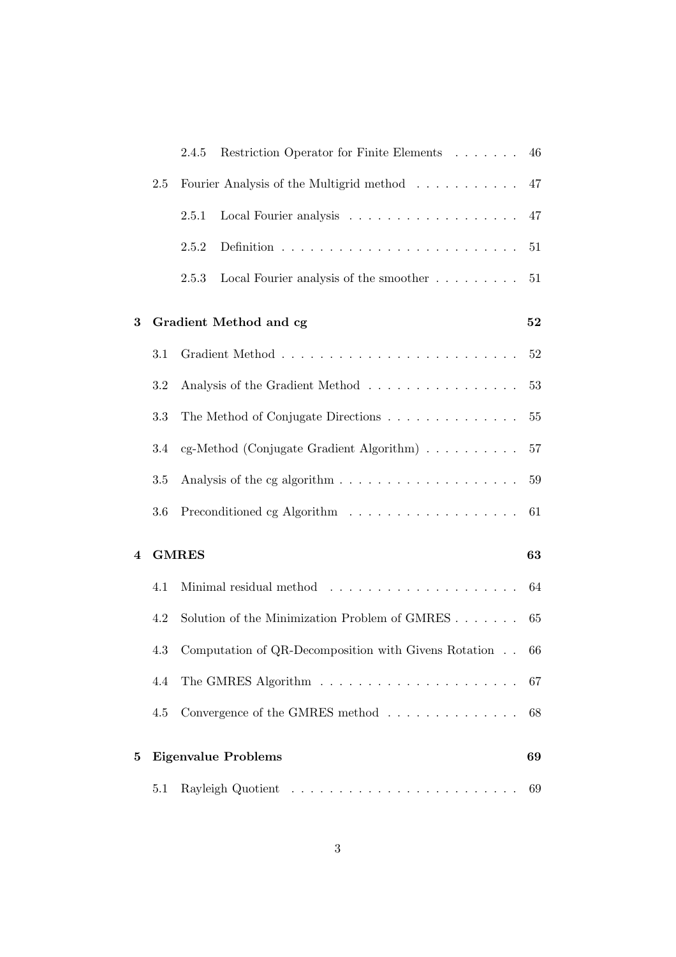|                |     | Restriction Operator for Finite Elements<br>2.4.5                        | 46     |  |  |  |  |  |  |
|----------------|-----|--------------------------------------------------------------------------|--------|--|--|--|--|--|--|
|                | 2.5 | Fourier Analysis of the Multigrid method                                 | 47     |  |  |  |  |  |  |
|                |     | 2.5.1                                                                    | 47     |  |  |  |  |  |  |
|                |     | 2.5.2                                                                    | $51\,$ |  |  |  |  |  |  |
|                |     | Local Fourier analysis of the smoother $\dots \dots \dots$<br>2.5.3      | 51     |  |  |  |  |  |  |
| 3              |     | Gradient Method and cg                                                   | 52     |  |  |  |  |  |  |
|                | 3.1 |                                                                          | 52     |  |  |  |  |  |  |
|                | 3.2 | Analysis of the Gradient Method                                          | 53     |  |  |  |  |  |  |
|                | 3.3 | The Method of Conjugate Directions                                       | $55\,$ |  |  |  |  |  |  |
|                | 3.4 | cg-Method (Conjugate Gradient Algorithm) $\ldots \ldots \ldots$          | 57     |  |  |  |  |  |  |
|                | 3.5 | Analysis of the cg algorithm $\dots \dots \dots \dots \dots \dots \dots$ |        |  |  |  |  |  |  |
|                | 3.6 |                                                                          | 61     |  |  |  |  |  |  |
| $\overline{4}$ |     | <b>GMRES</b><br>63                                                       |        |  |  |  |  |  |  |
|                | 4.1 |                                                                          | 64     |  |  |  |  |  |  |
|                | 4.2 | Solution of the Minimization Problem of GMRES                            | 65     |  |  |  |  |  |  |
|                | 4.3 | Computation of QR-Decomposition with Givens Rotation                     | 66     |  |  |  |  |  |  |
|                | 4.4 |                                                                          | 67     |  |  |  |  |  |  |
|                | 4.5 | Convergence of the GMRES method                                          | 68     |  |  |  |  |  |  |
| $\bf{5}$       |     | <b>Eigenvalue Problems</b><br>69                                         |        |  |  |  |  |  |  |
|                | 5.1 |                                                                          | 69     |  |  |  |  |  |  |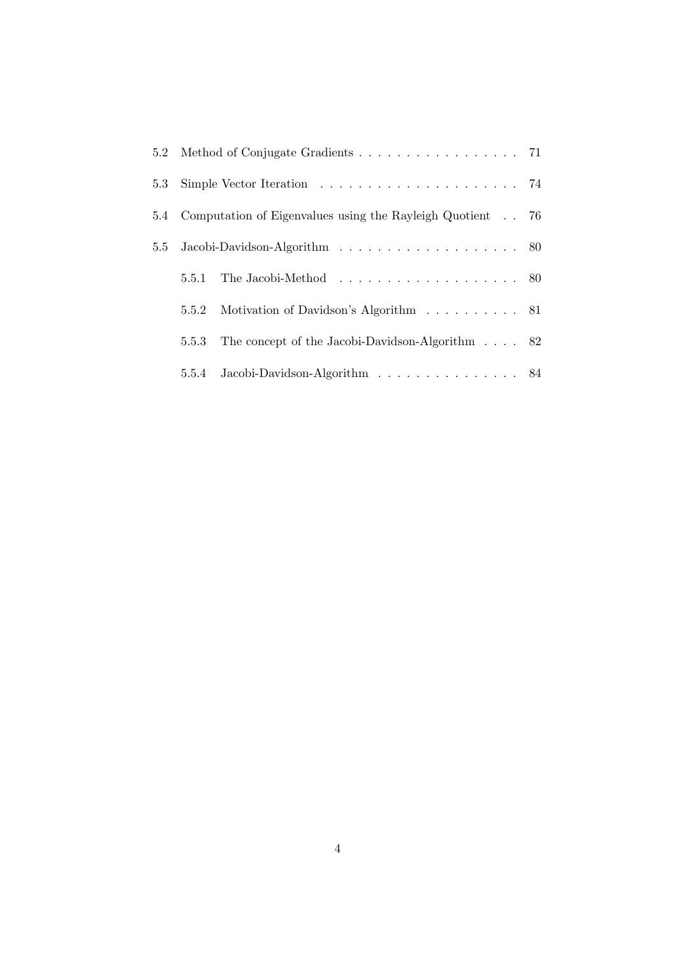|       | 5.4 Computation of Eigenvalues using the Rayleigh Quotient 76 |  |  |  |
|-------|---------------------------------------------------------------|--|--|--|
|       |                                                               |  |  |  |
| 5.5.1 |                                                               |  |  |  |
| 5.5.2 | Motivation of Davidson's Algorithm 81                         |  |  |  |
| 5.5.3 | The concept of the Jacobi-Davidson-Algorithm $\ldots$ 82      |  |  |  |
|       | 5.5.4 Jacobi-Davidson-Algorithm 84                            |  |  |  |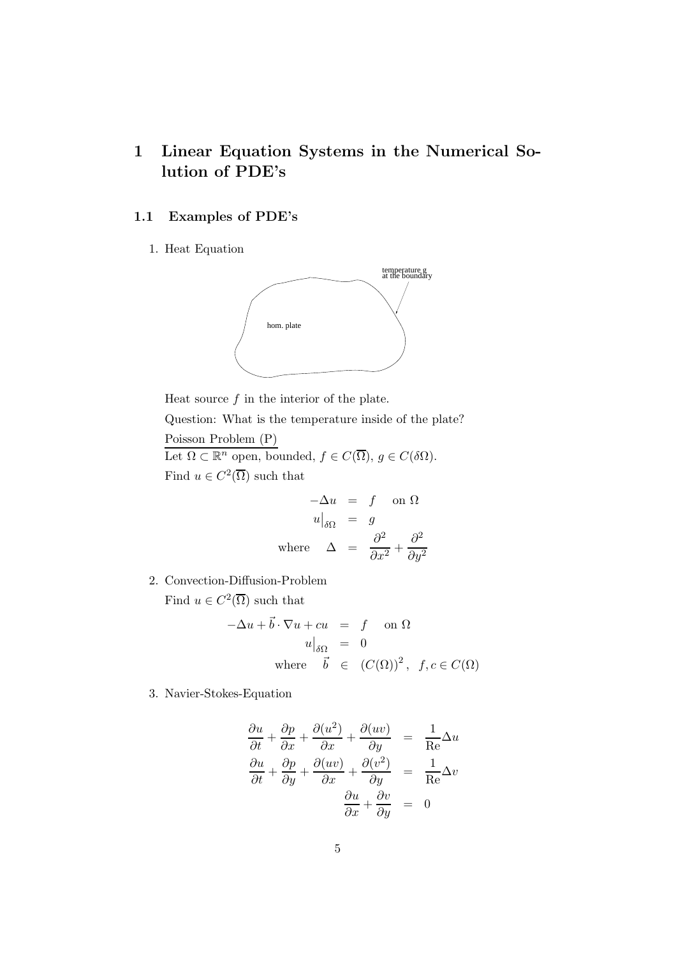## 1 Linear Equation Systems in the Numerical Solution of PDE's

## 1.1 Examples of PDE's

1. Heat Equation



Heat source  $f$  in the interior of the plate. Question: What is the temperature inside of the plate? Poisson Problem (P) Let  $\Omega \subset \mathbb{R}^n$  open, bounded,  $f \in C(\overline{\Omega})$ ,  $g \in C(\delta \Omega)$ .

Find  $u \in C^2(\overline{\Omega})$  such that

$$
-\Delta u = f \quad \text{on } \Omega
$$

$$
u|_{\delta\Omega} = g
$$

$$
\text{where} \quad \Delta = \frac{\partial^2}{\partial x^2} + \frac{\partial^2}{\partial y^2}
$$

2. Convection-Diffusion-Problem

Find  $u \in C^2(\overline{\Omega})$  such that

$$
-\Delta u + \vec{b} \cdot \nabla u + cu = f \quad \text{on } \Omega
$$
  
\n
$$
u\big|_{\delta\Omega} = 0
$$
  
\nwhere  $\vec{b} \in (C(\Omega))^2$ ,  $f, c \in C(\Omega)$ 

3. Navier-Stokes-Equation

$$
\frac{\partial u}{\partial t} + \frac{\partial p}{\partial x} + \frac{\partial (u^2)}{\partial x} + \frac{\partial (uv)}{\partial y} = \frac{1}{\text{Re}} \Delta u
$$

$$
\frac{\partial u}{\partial t} + \frac{\partial p}{\partial y} + \frac{\partial (uv)}{\partial x} + \frac{\partial (v^2)}{\partial y} = \frac{1}{\text{Re}} \Delta v
$$

$$
\frac{\partial u}{\partial x} + \frac{\partial v}{\partial y} = 0
$$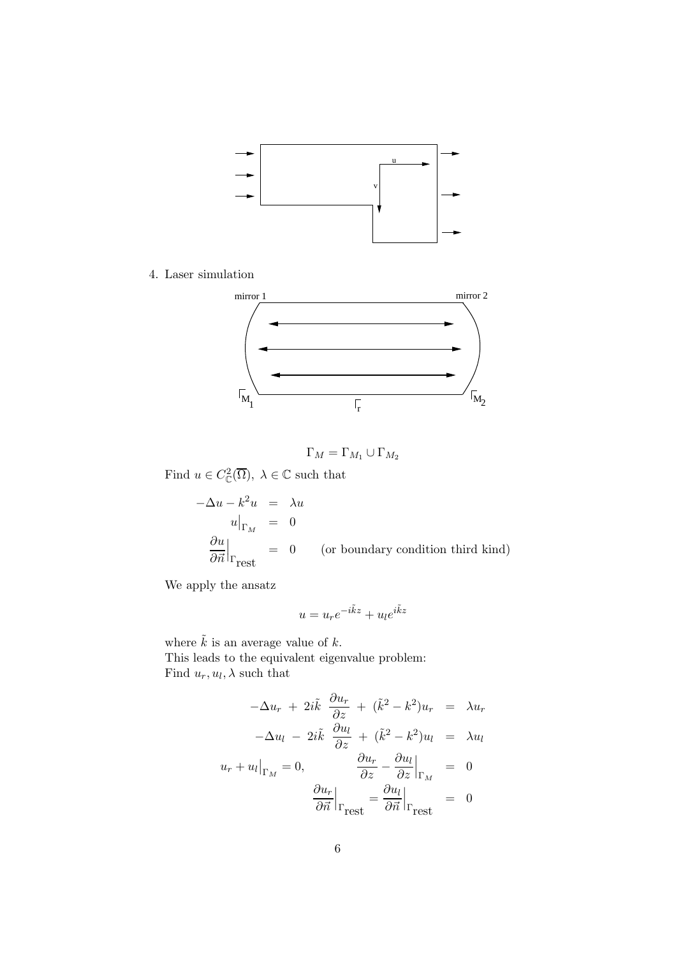

4. Laser simulation



$$
\Gamma_M = \Gamma_{M_1} \cup \Gamma_{M_2}
$$

Find  $u \in C^2_{\mathbb{C}}(\overline{\Omega}), \lambda \in \mathbb{C}$  such that

$$
-\Delta u - k^2 u = \lambda u
$$
  
\n
$$
u|_{\Gamma_M} = 0
$$
  
\n
$$
\frac{\partial u}{\partial \vec{n}}|_{\Gamma_{\text{rest}}} = 0 \quad \text{(or boundary condition third kind)}
$$

We apply the ansatz

$$
u = u_r e^{-i\tilde{k}z} + u_l e^{i\tilde{k}z}
$$

where  $\tilde{k}$  is an average value of k. This leads to the equivalent eigenvalue problem: Find  $u_r, u_l, \lambda$  such that

$$
-\Delta u_r + 2i\tilde{k} \frac{\partial u_r}{\partial z} + (\tilde{k}^2 - k^2)u_r = \lambda u_r
$$

$$
-\Delta u_l - 2i\tilde{k} \frac{\partial u_l}{\partial z} + (\tilde{k}^2 - k^2)u_l = \lambda u_l
$$

$$
u_r + u_l|_{\Gamma_M} = 0, \qquad \frac{\partial u_r}{\partial z} - \frac{\partial u_l}{\partial z}|_{\Gamma_M} = 0
$$

$$
\frac{\partial u_r}{\partial \vec{n}}|_{\Gamma_{\text{rest}}} = \frac{\partial u_l}{\partial \vec{n}}|_{\Gamma_{\text{rest}}} = 0
$$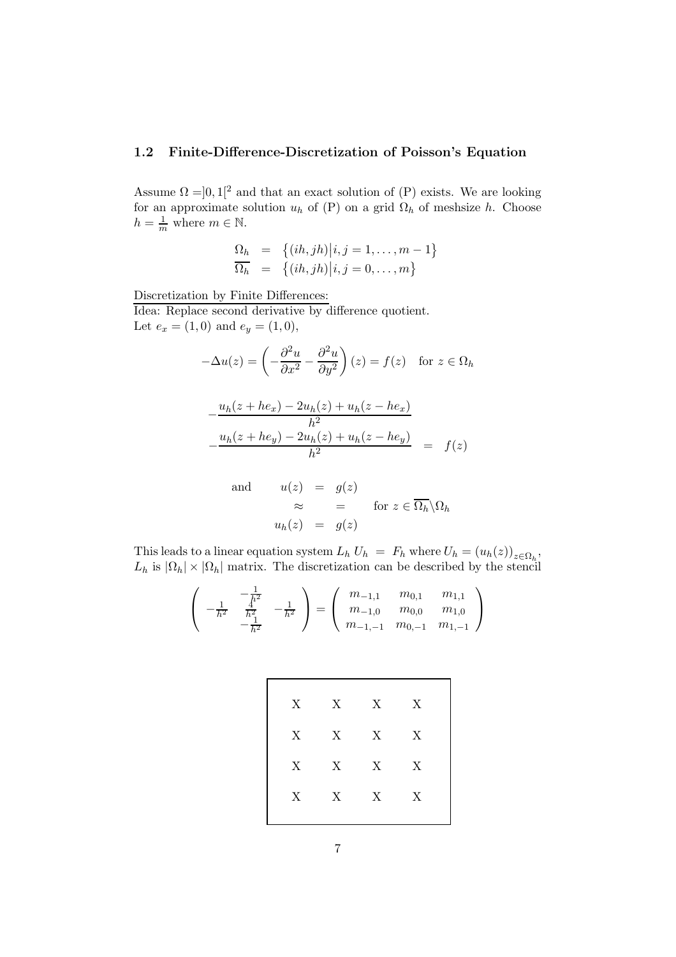#### 1.2 Finite-Difference-Discretization of Poisson's Equation

Assume  $\Omega = ]0,1[^2$  and that an exact solution of  $(P)$  exists. We are looking for an approximate solution  $u_h$  of (P) on a grid  $\Omega_h$  of meshsize h. Choose  $h = \frac{1}{m}$  where  $m \in \mathbb{N}$ .

$$
\begin{array}{rcl}\n\Omega_h & = & \left\{ (ih,jh) \middle| i,j=1,\ldots,m-1 \right\} \\
\overline{\Omega_h} & = & \left\{ (ih,jh) \middle| i,j=0,\ldots,m \right\}\n\end{array}
$$

Discretization by Finite Differences:

Idea: Replace second derivative by difference quotient. Let  $e_x = (1,0)$  and  $e_y = (1,0)$ ,

$$
-\Delta u(z) = \left(-\frac{\partial^2 u}{\partial x^2} - \frac{\partial^2 u}{\partial y^2}\right)(z) = f(z) \text{ for } z \in \Omega_h
$$

$$
-\frac{u_h(z + he_x) - 2u_h(z) + u_h(z - he_x)}{h^2}
$$
  

$$
-\frac{u_h(z + he_y) - 2u_h(z) + u_h(z - he_y)}{h^2} = f(z)
$$

and 
$$
u(z) = g(z)
$$
  
\n $\approx$  = for  $z \in \overline{\Omega_h} \setminus \Omega_h$   
\n $u_h(z) = g(z)$ 

This leads to a linear equation system  $L_h U_h = F_h$  where  $U_h = (u_h(z))_{z \in \Omega_h}$ ,  $L_h$  is  $|\Omega_h| \times |\Omega_h|$  matrix. The discretization can be described by the stencil

$$
\begin{pmatrix} -\frac{1}{h^2} & -\frac{1}{h^2} \\ -\frac{1}{h^2} & \frac{1}{h^2} \\ -\frac{1}{h^2} & -\frac{1}{h^2} \end{pmatrix} = \begin{pmatrix} m_{-1,1} & m_{0,1} & m_{1,1} \\ m_{-1,0} & m_{0,0} & m_{1,0} \\ m_{-1,-1} & m_{0,-1} & m_{1,-1} \end{pmatrix}
$$

|   | $X$ $X$ $X$ $X$ |                           |
|---|-----------------|---------------------------|
| X | $X$ $X$ $X$     |                           |
| X | $X$ $X$ $X$     |                           |
| X | $X$ X           | $\boldsymbol{\mathrm{X}}$ |
|   |                 |                           |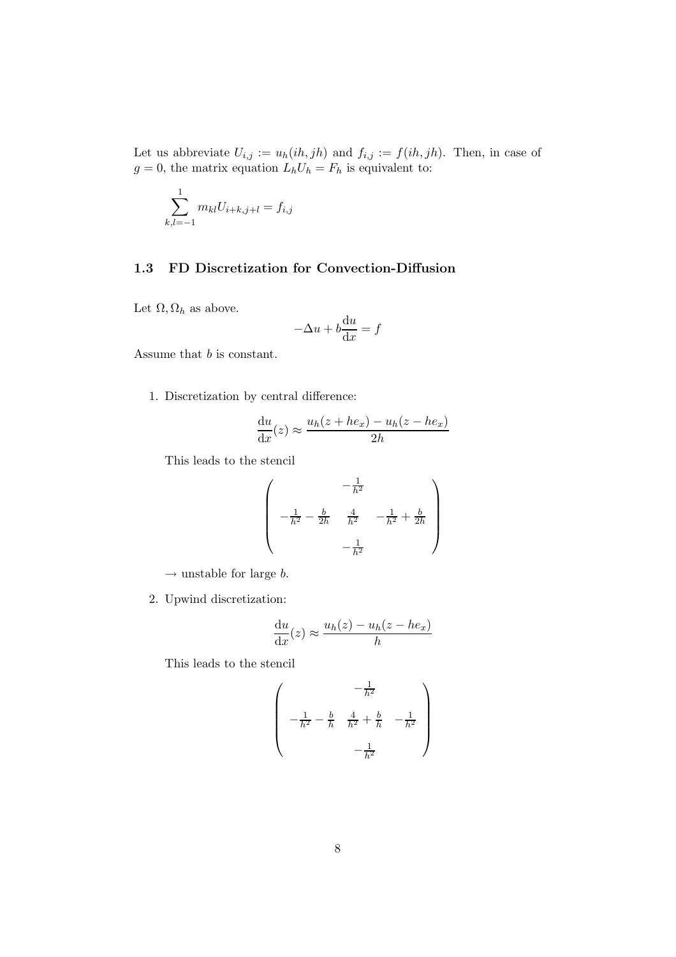Let us abbreviate  $U_{i,j} := u_h(ih, jh)$  and  $f_{i,j} := f(ih, jh)$ . Then, in case of  $g = 0$ , the matrix equation  $L_h U_h = F_h$  is equivalent to:

$$
\sum_{k,l=-1}^{1} m_{kl} U_{i+k,j+l} = f_{i,j}
$$

## 1.3 FD Discretization for Convection-Diffusion

Let  $\Omega$ ,  $\Omega_h$  as above.

$$
-\Delta u + b\frac{\mathrm{d}u}{\mathrm{d}x} = f
$$

Assume that b is constant.

1. Discretization by central difference:

$$
\frac{\mathrm{d}u}{\mathrm{d}x}(z) \approx \frac{u_h(z + he_x) - u_h(z - he_x)}{2h}
$$

This leads to the stencil

$$
\begin{pmatrix}\n & -\frac{1}{h^2} \\
 & -\frac{1}{h^2} - \frac{b}{2h} & \frac{4}{h^2} & -\frac{1}{h^2} + \frac{b}{2h} \\
 & & -\frac{1}{h^2}\n\end{pmatrix}
$$

 $\rightarrow$  unstable for large b.

2. Upwind discretization:

$$
\frac{\mathrm{d}u}{\mathrm{d}x}(z) \approx \frac{u_h(z) - u_h(z - he_x)}{h}
$$

This leads to the stencil

$$
\begin{pmatrix} -\frac{1}{h^2} \\ -\frac{1}{h^2} - \frac{b}{h} & \frac{4}{h^2} + \frac{b}{h} & -\frac{1}{h^2} \\ -\frac{1}{h^2} & -\frac{1}{h^2} \end{pmatrix}
$$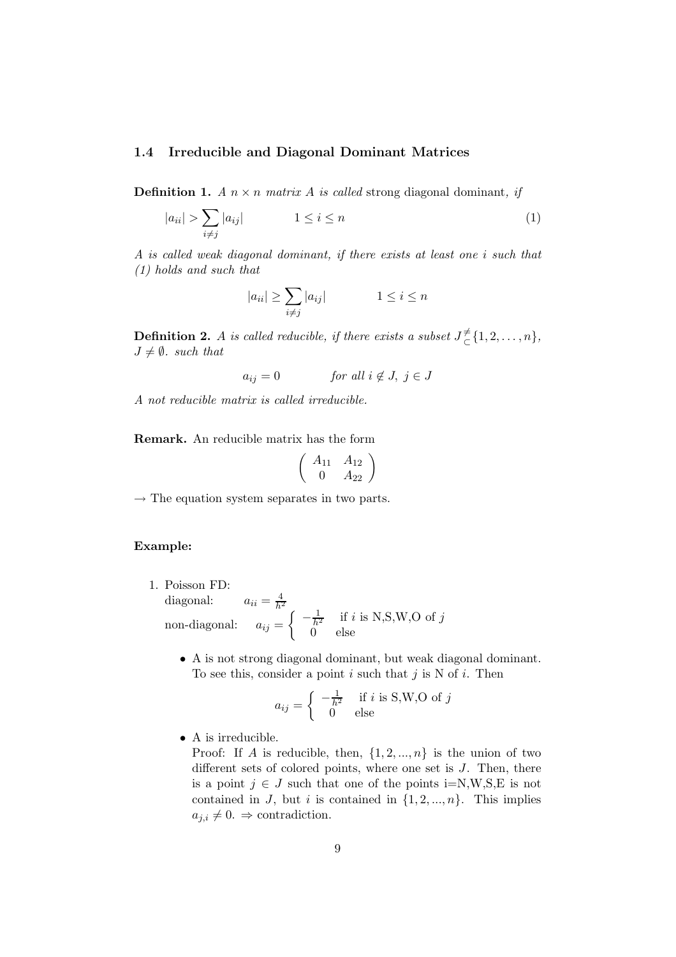#### 1.4 Irreducible and Diagonal Dominant Matrices

**Definition 1.** A  $n \times n$  matrix A is called strong diagonal dominant, if

$$
|a_{ii}| > \sum_{i \neq j} |a_{ij}| \qquad \qquad 1 \leq i \leq n \tag{1}
$$

A is called weak diagonal dominant, if there exists at least one i such that (1) holds and such that

$$
|a_{ii}| \ge \sum_{i \ne j} |a_{ij}| \qquad \qquad 1 \le i \le n
$$

**Definition 2.** A is called reducible, if there exists a subset  $J_{\subset}^{\neq}$  $\overline{\zeta}\{1,2,\ldots,n\},\$  $J \neq \emptyset$ . such that

$$
a_{ij} = 0 \t\t for all i \notin J, j \in J
$$

A not reducible matrix is called irreducible.

Remark. An reducible matrix has the form

$$
\left(\begin{array}{cc}A_{11}&A_{12}\\0&A_{22}\end{array}\right)
$$

 $\rightarrow$  The equation system separates in two parts.

#### Example:

- 1. Poisson FD: diagonal:  $a_{ii} = \frac{4}{h^2}$ non-diagonal:  $a_{ij} =$  $\int -\frac{1}{h^2}$  if i is N,S,W,O of j 0 else
	- A is not strong diagonal dominant, but weak diagonal dominant. To see this, consider a point  $i$  such that  $j$  is N of  $i$ . Then

$$
a_{ij} = \begin{cases} -\frac{1}{h^2} & \text{if } i \text{ is S,W,O of } j\\ 0 & \text{else} \end{cases}
$$

• A is irreducible.

Proof: If A is reducible, then,  $\{1, 2, ..., n\}$  is the union of two different sets of colored points, where one set is  $J$ . Then, there is a point  $j \in J$  such that one of the points i=N,W,S,E is not contained in J, but i is contained in  $\{1, 2, ..., n\}$ . This implies  $a_{j,i} \neq 0. \Rightarrow$  contradiction.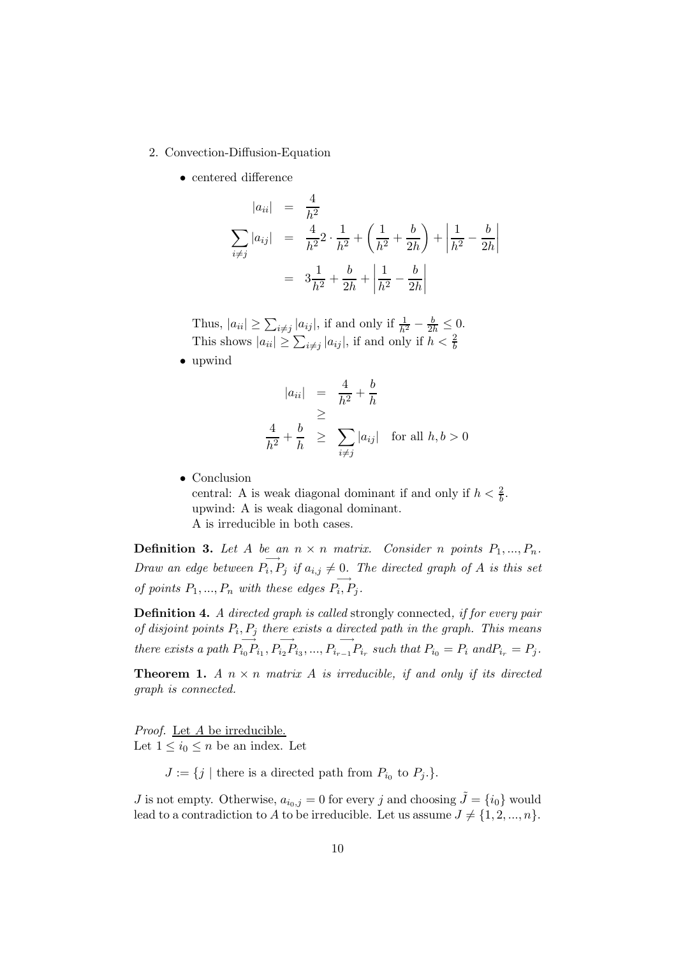- 2. Convection-Diffusion-Equation
	- centered difference

$$
|a_{ii}| = \frac{4}{h^2}
$$
  

$$
\sum_{i \neq j} |a_{ij}| = \frac{4}{h^2} 2 \cdot \frac{1}{h^2} + \left(\frac{1}{h^2} + \frac{b}{2h}\right) + \left|\frac{1}{h^2} - \frac{b}{2h}\right|
$$
  

$$
= 3\frac{1}{h^2} + \frac{b}{2h} + \left|\frac{1}{h^2} - \frac{b}{2h}\right|
$$

Thus,  $|a_{ii}| \ge \sum_{i \ne j} |a_{ij}|$ , if and only if  $\frac{1}{h^2} - \frac{b}{2h} \le 0$ . This shows  $|a_{ii}| \ge \sum_{i \ne j} |a_{ij}|$ , if and only if  $h < \frac{2}{b}$ 

• upwind

$$
|a_{ii}| = \frac{4}{h^2} + \frac{b}{h}
$$
  
\n
$$
\geq \frac{4}{h^2} + \frac{b}{h} \geq \sum_{i \neq j} |a_{ij}| \text{ for all } h, b > 0
$$

• Conclusion central: A is weak diagonal dominant if and only if  $h < \frac{2}{b}$ . upwind: A is weak diagonal dominant. A is irreducible in both cases.

**Definition 3.** Let A be an  $n \times n$  matrix. Consider n points  $P_1, ..., P_n$ . Draw an edge between  $\overrightarrow{P_i, P_j}$  if  $a_{i,j} \neq 0$ . The directed graph of A is this set of points  $P_1, ..., P_n$  with these edges  $\overrightarrow{P_i, P_j}$ .

Definition 4. A directed graph is called strongly connected, if for every pair of disjoint points  $P_i, P_j$  there exists a directed path in the graph. This means there exists a path  $P_{i_0} \overrightarrow{P_{i_1}, P_{i_2} P_{i_3}, ..., P_{i_{r-1}} P_{i_r}}$  such that  $P_{i_0} = P_i$  and  $P_{i_r} = P_j$ .

**Theorem 1.** A  $n \times n$  matrix A is irreducible, if and only if its directed graph is connected.

Proof. Let A be irreducible. Let  $1 \leq i_0 \leq n$  be an index. Let

 $J := \{j \mid \text{there is a directed path from } P_{i_0} \text{ to } P_j.\}.$ 

 $J$  is not empty. Otherwise,  $a_{i_0,j}=0$  for every  $j$  and choosing  $\tilde{J}=\{i_0\}$  would lead to a contradiction to A to be irreducible. Let us assume  $J \neq \{1, 2, ..., n\}$ .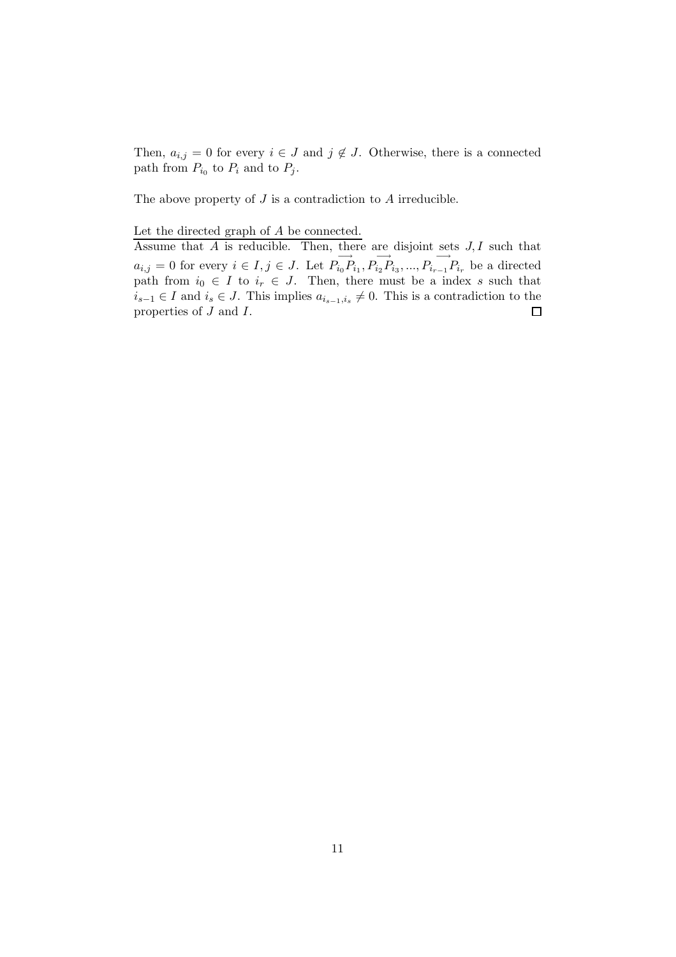Then,  $a_{i,j} = 0$  for every  $i \in J$  and  $j \notin J$ . Otherwise, there is a connected path from  $P_{i_0}$  to  $P_i$  and to  $P_j$ .

The above property of  $J$  is a contradiction to  $A$  irreducible.

#### Let the directed graph of A be connected.

Assume that  $\overline{A}$  is reducible. Then, there are disjoint sets  $J, I$  such that  $a_{i,j} = 0$  for every  $i \in I, j \in J$ . Let  $P_{i_0} \overrightarrow{P_{i_0} P_{i_1}}, P_{i_2} \overrightarrow{P_{i_3}}, ..., P_{i_{r-1}} P_{i_r}$  be a directed path from  $i_0 \in I$  to  $i_r \in J$ . Then, there must be a index s such that  $i_{s-1} \in I$  and  $i_s \in J$ . This implies  $a_{i_{s-1},i_s} \neq 0$ . This is a contradiction to the properties of  $J$  and  $I$ . □ properties of J and I.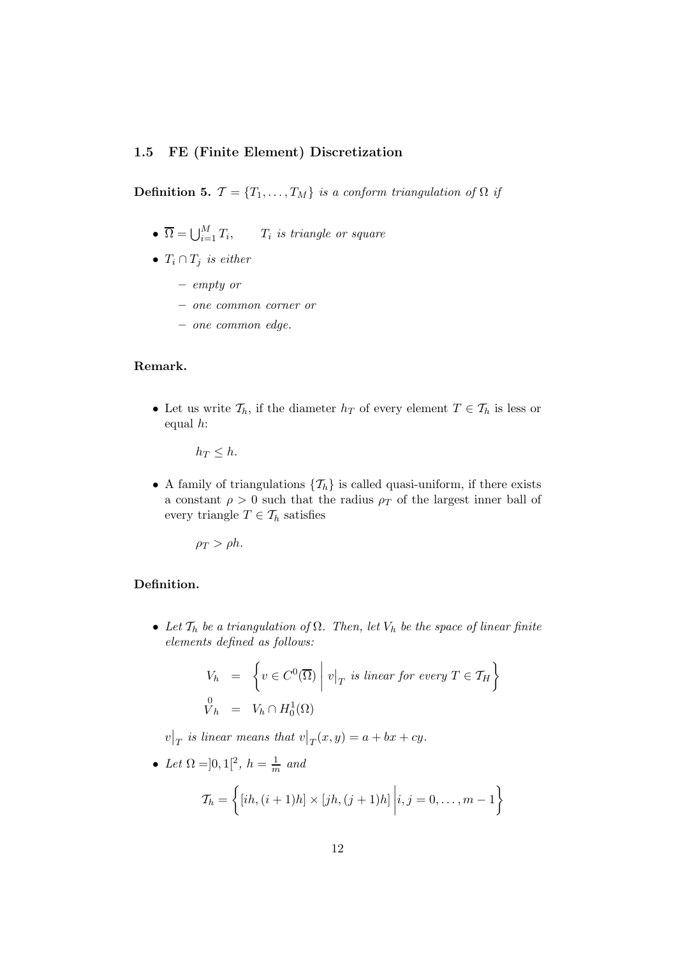#### 1.5 FE (Finite Element) Discretization

**Definition 5.**  $\mathcal{T} = \{T_1, \ldots, T_M\}$  is a conform triangulation of  $\Omega$  if

- $\overline{\Omega} = \bigcup_{i=1}^M T_i$  $,$   $T_i$  is triangle or square
- $T_i \cap T_j$  is either
	- empty or
	- one common corner or
	- one common edge.

## Remark.

• Let us write  $\mathcal{T}_h$ , if the diameter  $h_T$  of every element  $T \in \mathcal{T}_h$  is less or equal h:

 $h_T \leq h$ .

• A family of triangulations  $\{\mathcal{T}_h\}$  is called quasi-uniform, if there exists a constant  $\rho > 0$  such that the radius  $\rho_T$  of the largest inner ball of every triangle  $T \in \mathcal{T}_h$  satisfies

 $\rho_T > \rho h$ .

## Definition.

• Let  $\mathcal{T}_h$  be a triangulation of  $\Omega$ . Then, let  $V_h$  be the space of linear finite elements defined as follows:

$$
V_h = \left\{ v \in C^0(\overline{\Omega}) \middle| v \middle|_T \text{ is linear for every } T \in \mathcal{T}_H \right\}
$$
  

$$
\begin{array}{rcl} 0 & = & V_h \cap H_0^1(\Omega) \end{array}
$$

 $v|_T$  is linear means that  $v|_T(x,y) = a + bx + cy$ .

• Let 
$$
\Omega = ]0,1[^2, h = \frac{1}{m} \text{ and}
$$

$$
\mathcal{T}_h = \left\{ [ih, (i+1)h] \times [jh, (j+1)h] \middle| i, j = 0, \dots, m-1 \right\}
$$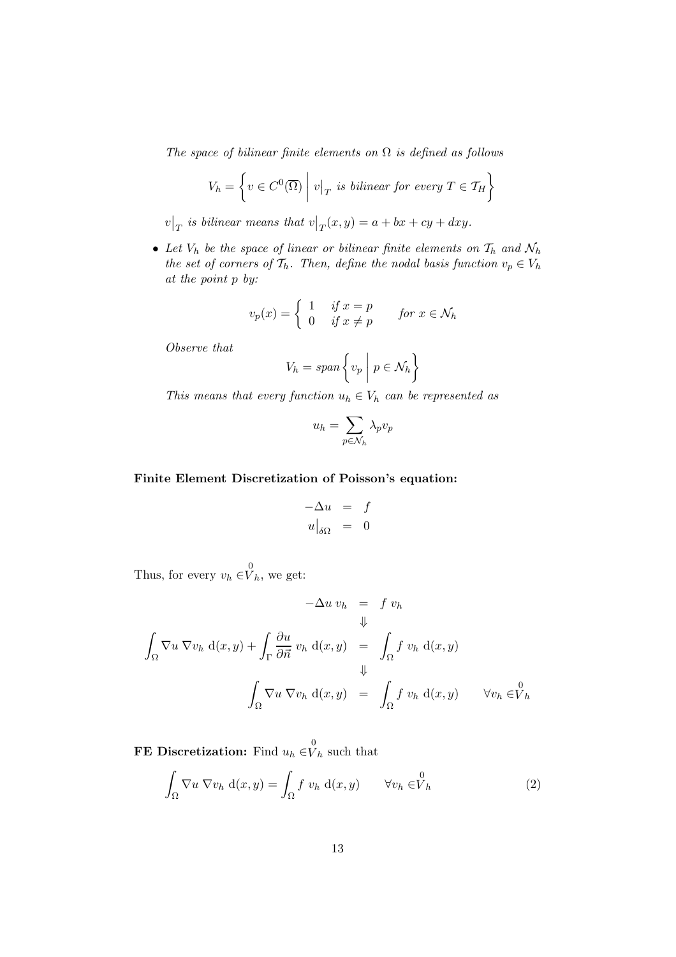The space of bilinear finite elements on  $\Omega$  is defined as follows

$$
V_h = \left\{ v \in C^0(\overline{\Omega}) \mid v|_T \text{ is bilinear for every } T \in \mathcal{T}_H \right\}
$$

 $v|_{T}$  is bilinear means that  $v|_{T}(x,y) = a + bx + cy + dxy$ .

• Let  $V_h$  be the space of linear or bilinear finite elements on  $\mathcal{T}_h$  and  $\mathcal{N}_h$ the set of corners of  $\mathcal{T}_h$ . Then, define the nodal basis function  $v_p \in V_h$ at the point p by:

$$
v_p(x) = \begin{cases} 1 & \text{if } x = p \\ 0 & \text{if } x \neq p \end{cases} \qquad \text{for } x \in \mathcal{N}_h
$$

Observe that

$$
V_h = span\left\{v_p \mid p \in \mathcal{N}_h\right\}
$$

This means that every function  $u_h \in V_h$  can be represented as

$$
u_h = \sum_{p \in \mathcal{N}_h} \lambda_p v_p
$$

## Finite Element Discretization of Poisson's equation:

$$
\begin{array}{rcl}\n-\Delta u & = & f \\
u|_{\delta\Omega} & = & 0\n\end{array}
$$

Thus, for every  $v_h \in V_h$ , we get:

$$
-\Delta u \, v_h = f \, v_h
$$
  

$$
\Downarrow
$$
  

$$
\int_{\Omega} \nabla u \, \nabla v_h \, d(x, y) + \int_{\Gamma} \frac{\partial u}{\partial \vec{n}} \, v_h \, d(x, y) = \int_{\Omega} f \, v_h \, d(x, y)
$$
  

$$
\Downarrow
$$
  

$$
\int_{\Omega} \nabla u \, \nabla v_h \, d(x, y) = \int_{\Omega} f \, v_h \, d(x, y) \qquad \forall v_h \in V_h
$$

**FE Discretization:** Find  $u_h \in V_h$  such that

$$
\int_{\Omega} \nabla u \, \nabla v_h \, \mathrm{d}(x, y) = \int_{\Omega} f \, v_h \, \mathrm{d}(x, y) \qquad \forall v_h \in \stackrel{0}{V}_h \tag{2}
$$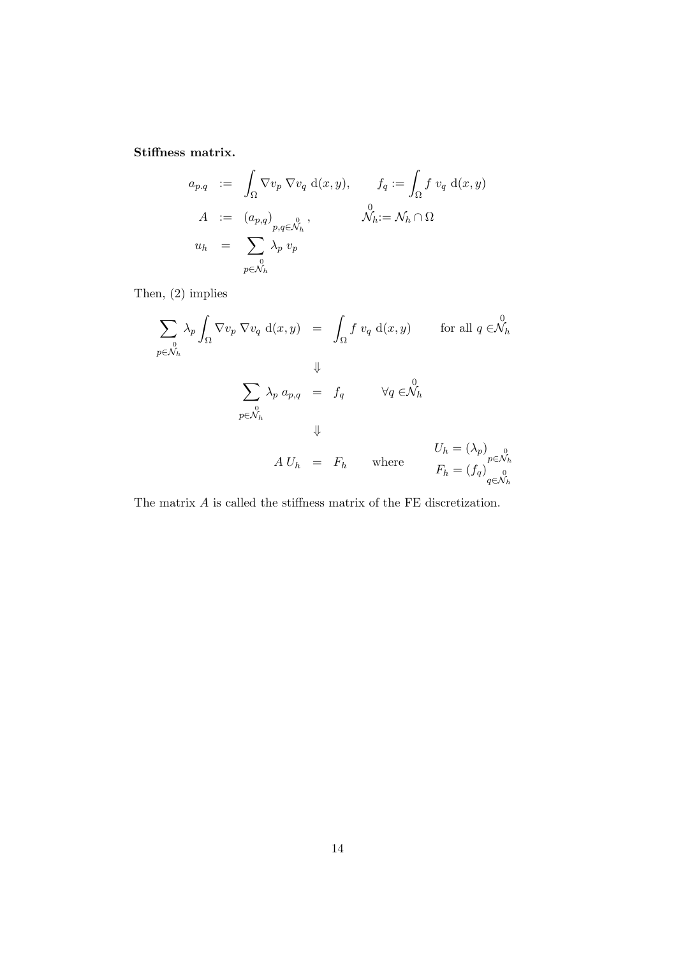Stiffness matrix.

$$
a_{p,q} := \int_{\Omega} \nabla v_p \nabla v_q d(x, y), \qquad f_q := \int_{\Omega} f v_q d(x, y)
$$
  
\n
$$
A := (a_{p,q})_{\substack{0 \ p,q \in \mathcal{N}_h}}^0, \qquad \mathcal{N}_h := \mathcal{N}_h \cap \Omega
$$
  
\n
$$
u_h = \sum_{\substack{0 \ p \in \mathcal{N}_h}}^0 \lambda_p v_p
$$

Then, (2) implies

$$
\sum_{p \in \mathcal{N}_h} \lambda_p \int_{\Omega} \nabla v_p \nabla v_q d(x, y) = \int_{\Omega} f v_q d(x, y) \quad \text{for all } q \in \mathcal{N}_h
$$
  

$$
\Downarrow
$$
  

$$
\sum_{p \in \mathcal{N}_h} \lambda_p a_{p,q} = f_q \quad \forall q \in \mathcal{N}_h
$$
  

$$
\Downarrow
$$
  

$$
A U_h = F_h \quad \text{where} \quad U_h = (\lambda_p)_{p \in \mathcal{N}_h}
$$
  

$$
F_h = (f_q)_{q \in \mathcal{N}_h}^0
$$

The matrix A is called the stiffness matrix of the FE discretization.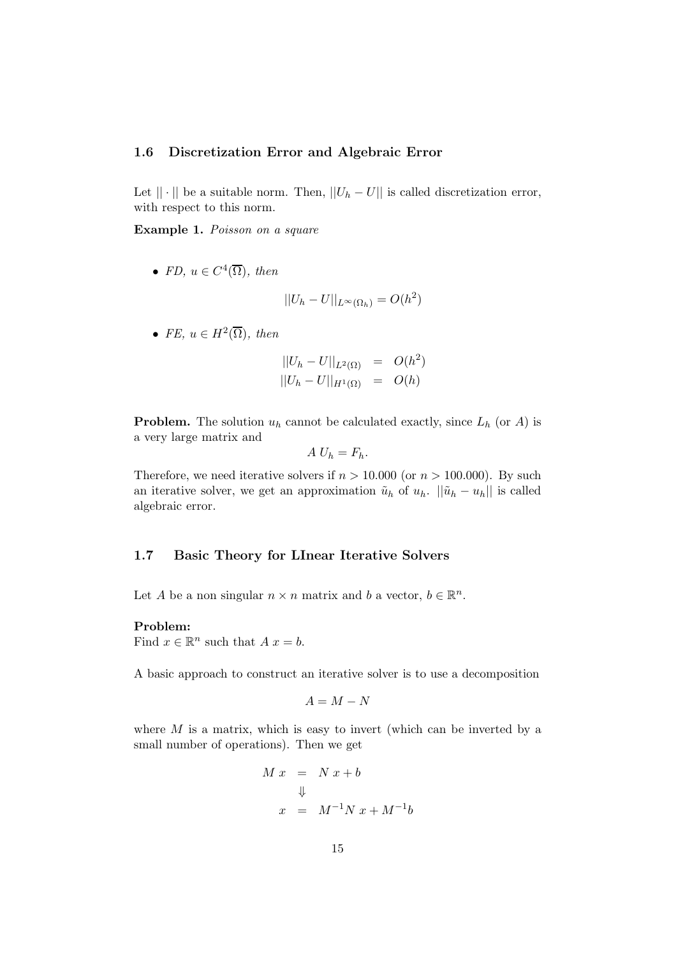#### 1.6 Discretization Error and Algebraic Error

Let  $|| \cdot ||$  be a suitable norm. Then,  $||U_h - U||$  is called discretization error, with respect to this norm.

Example 1. Poisson on a square

• FD,  $u \in C^4(\overline{\Omega})$ , then

$$
||U_h - U||_{L^{\infty}(\Omega_h)} = O(h^2)
$$

• FE,  $u \in H^2(\overline{\Omega})$ , then

$$
||U_h - U||_{L^2(\Omega)} = O(h^2)
$$
  

$$
||U_h - U||_{H^1(\Omega)} = O(h)
$$

**Problem.** The solution  $u_h$  cannot be calculated exactly, since  $L_h$  (or A) is a very large matrix and

$$
A U_h = F_h.
$$

Therefore, we need iterative solvers if  $n > 10.000$  (or  $n > 100.000$ ). By such an iterative solver, we get an approximation  $\tilde{u}_h$  of  $u_h$ .  $\|\tilde{u}_h - u_h\|$  is called algebraic error.

#### 1.7 Basic Theory for LInear Iterative Solvers

Let A be a non singular  $n \times n$  matrix and b a vector,  $b \in \mathbb{R}^n$ .

#### Problem:

Find  $x \in \mathbb{R}^n$  such that  $A x = b$ .

A basic approach to construct an iterative solver is to use a decomposition

$$
A = M - N
$$

where  $M$  is a matrix, which is easy to invert (which can be inverted by a small number of operations). Then we get

$$
M x = N x + b
$$
  

$$
\downarrow
$$
  

$$
x = M^{-1} N x + M^{-1} b
$$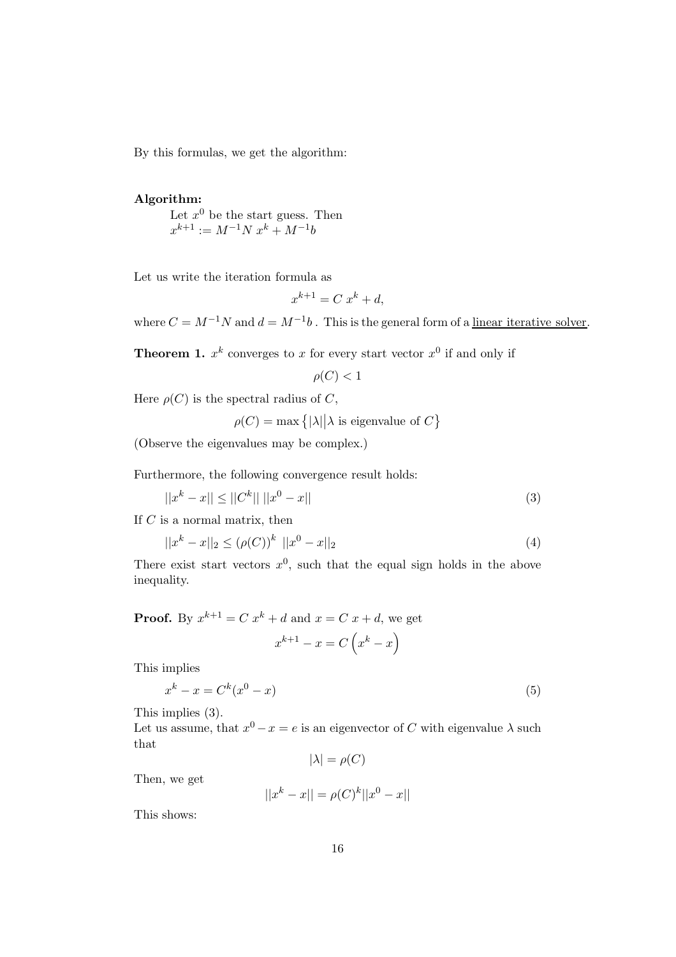By this formulas, we get the algorithm:

#### Algorithm:

Let  $x^0$  be the start guess. Then  $x^{k+1} := M^{-1}N x^k + M^{-1}b$ 

Let us write the iteration formula as

$$
x^{k+1} = C \; x^k + d,
$$

where  $C = M^{-1}N$  and  $d = M^{-1}b$ . This is the general form of a <u>linear iterative solver</u>.

**Theorem 1.**  $x^k$  converges to x for every start vector  $x^0$  if and only if

$$
\rho(C) < 1
$$

Here  $\rho(C)$  is the spectral radius of C,

 $\rho(C) = \max\left\{ |\lambda| \middle| \lambda \text{ is eigenvalue of } C \right\}$ 

(Observe the eigenvalues may be complex.)

Furthermore, the following convergence result holds:

$$
||x^k - x|| \le ||C^k|| \, ||x^0 - x|| \tag{3}
$$

If  $C$  is a normal matrix, then

$$
||x^{k} - x||_{2} \le (\rho(C))^{k} ||x^{0} - x||_{2}
$$
\n(4)

There exist start vectors  $x^0$ , such that the equal sign holds in the above inequality.

**Proof.** By  $x^{k+1} = C x^k + d$  and  $x = C x + d$ , we get

$$
x^{k+1} - x = C\left(x^k - x\right)
$$

This implies

$$
x^k - x = C^k(x^0 - x) \tag{5}
$$

This implies (3).

Let us assume, that  $x^0 - x = e$  is an eigenvector of C with eigenvalue  $\lambda$  such that

 $|\lambda| = \rho(C)$ 

Then, we get

$$
||x^k - x|| = \rho(C)^k ||x^0 - x||
$$

This shows: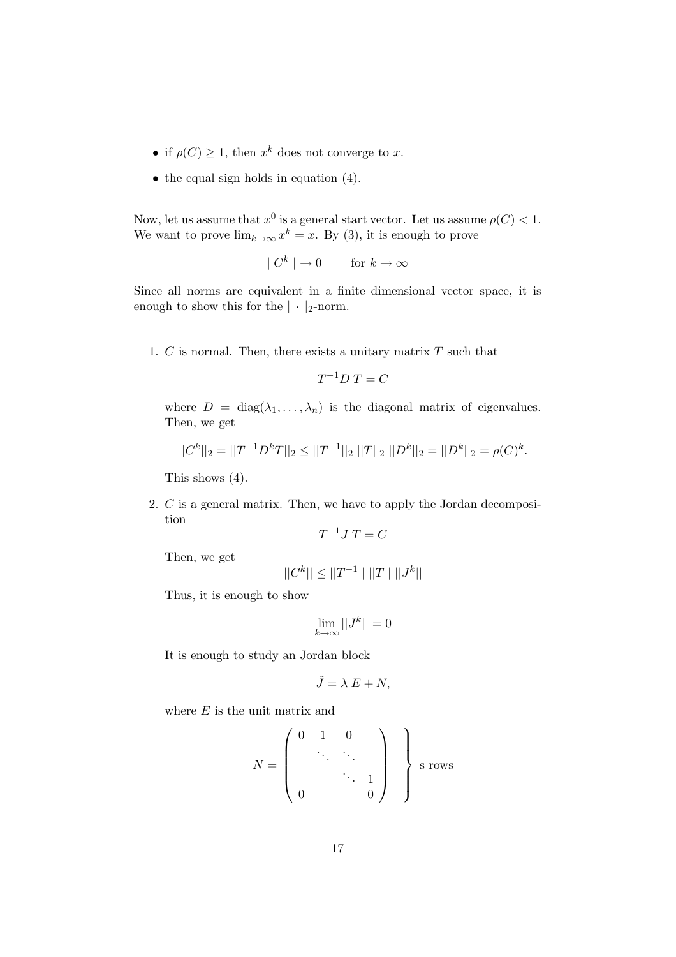- if  $\rho(C) \geq 1$ , then  $x^k$  does not converge to x.
- the equal sign holds in equation (4).

Now, let us assume that  $x^0$  is a general start vector. Let us assume  $\rho(C) < 1$ . We want to prove  $\lim_{k\to\infty} x^k = x$ . By (3), it is enough to prove

 $||C^k|| \to 0$  for  $k \to \infty$ 

Since all norms are equivalent in a finite dimensional vector space, it is enough to show this for the  $\|\cdot\|_2$ -norm.

1.  $C$  is normal. Then, there exists a unitary matrix  $T$  such that

$$
T^{-1}D\;T = C
$$

where  $D = \text{diag}(\lambda_1, \dots, \lambda_n)$  is the diagonal matrix of eigenvalues. Then, we get

$$
||C^k||_2 = ||T^{-1}D^kT||_2 \le ||T^{-1}||_2 ||T||_2 ||D^k||_2 = ||D^k||_2 = \rho(C)^k.
$$

This shows (4).

2. C is a general matrix. Then, we have to apply the Jordan decomposition

$$
T^{-1}J\ T = C
$$

Then, we get

$$
||C^k||\leq||T^{-1}||~||T||~||J^k||
$$

Thus, it is enough to show

$$
\lim_{k\to\infty}||J^k||=0
$$

It is enough to study an Jordan block

$$
\tilde{J} = \lambda E + N,
$$

where  $E$  is the unit matrix and

$$
N = \left(\begin{array}{cccc} 0 & 1 & 0 \\ & \ddots & \ddots \\ & & \ddots & 1 \\ 0 & & & 0 \end{array}\right) \quad \text{S rows}
$$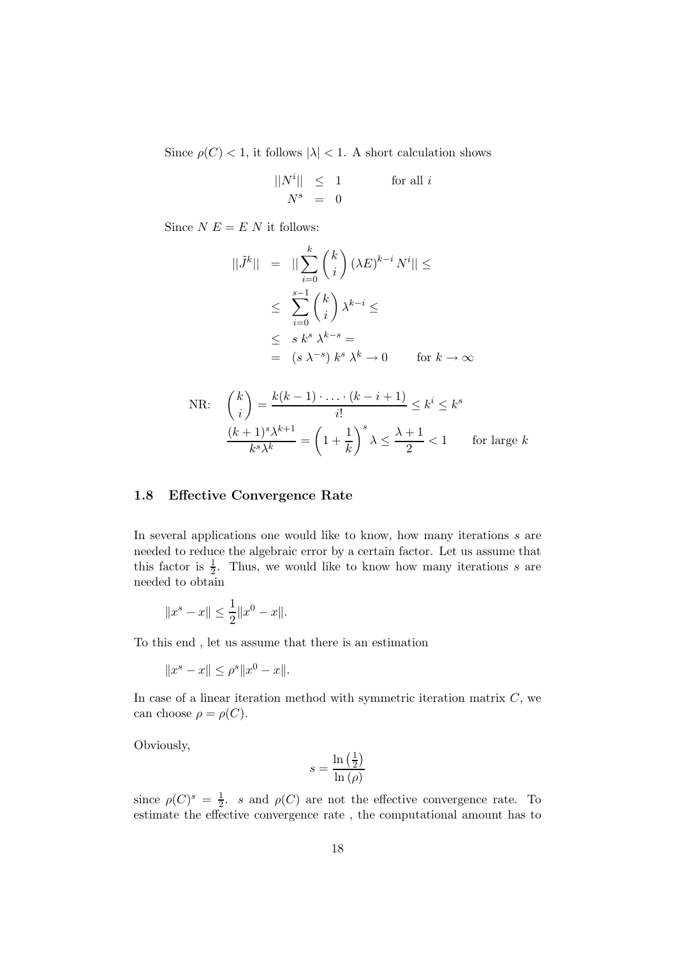Since  $\rho(C) < 1$ , it follows  $|\lambda| < 1$ . A short calculation shows

$$
\begin{array}{rcl} ||N^i||&\le&1\qquad&\text{for all $i$}\\ N^s&=&0 \end{array}
$$

Since  $N E = E N$  it follows:

$$
||\tilde{J}^{k}|| = ||\sum_{i=0}^{k} {k \choose i} (\lambda E)^{k-i} N^{i}|| \le
$$
  

$$
\leq \sum_{i=0}^{s-1} {k \choose i} \lambda^{k-i} \leq
$$
  

$$
\leq s k^{s} \lambda^{k-s} =
$$
  

$$
= (s \lambda^{-s}) k^{s} \lambda^{k} \to 0 \quad \text{for } k \to \infty
$$

NR: 
$$
\binom{k}{i} = \frac{k(k-1)\cdot\ldots\cdot(k-i+1)}{i!} \le k^i \le k^s
$$

$$
\frac{(k+1)^s \lambda^{k+1}}{k^s \lambda^k} = \left(1 + \frac{1}{k}\right)^s \lambda \le \frac{\lambda+1}{2} < 1 \quad \text{for large } k
$$

## 1.8 Effective Convergence Rate

In several applications one would like to know, how many iterations s are needed to reduce the algebraic error by a certain factor. Let us assume that this factor is  $\frac{1}{2}$ . Thus, we would like to know how many iterations s are needed to obtain

$$
||x^s - x|| \le \frac{1}{2} ||x^0 - x||.
$$

To this end , let us assume that there is an estimation

$$
||x^s - x|| \le \rho^s ||x^0 - x||.
$$

In case of a linear iteration method with symmetric iteration matrix  $C$ , we can choose  $\rho = \rho(C)$ .

Obviously,

$$
s = \frac{\ln\left(\frac{1}{2}\right)}{\ln\left(\rho\right)}
$$

since  $\rho(C)^s = \frac{1}{2}$  $\frac{1}{2}$ . s and  $\rho(C)$  are not the effective convergence rate. To estimate the effective convergence rate , the computational amount has to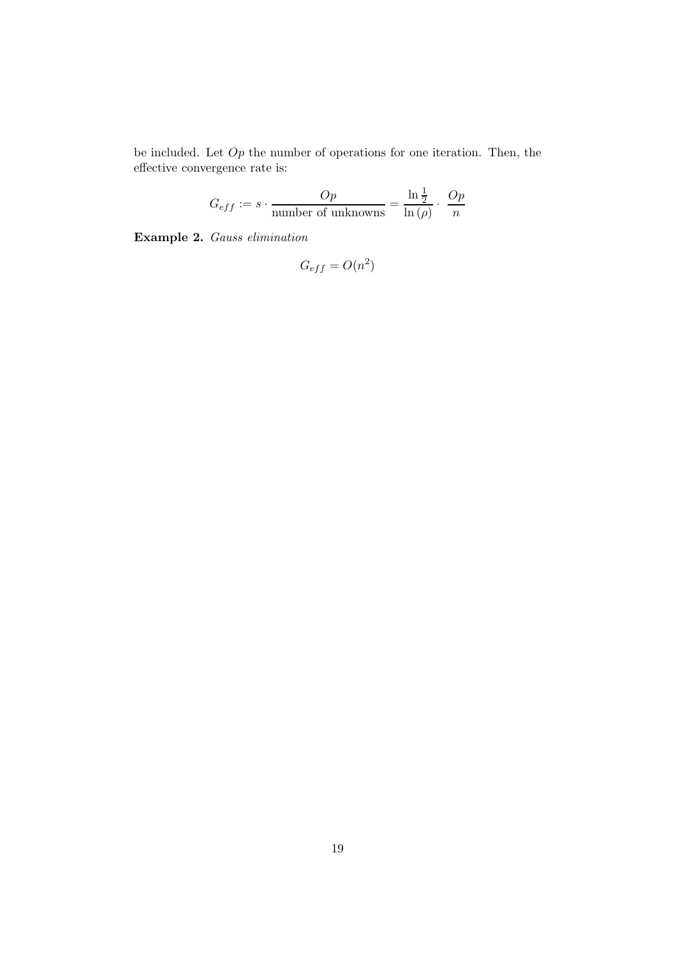be included. Let  $Op$  the number of operations for one iteration. Then, the effective convergence rate is:

$$
G_{eff} := s \cdot \frac{Op}{\text{number of unknowns}} = \frac{\ln \frac{1}{2}}{\ln (\rho)} \cdot \frac{Op}{n}
$$

Example 2. Gauss elimination

$$
G_{eff} = O(n^2)
$$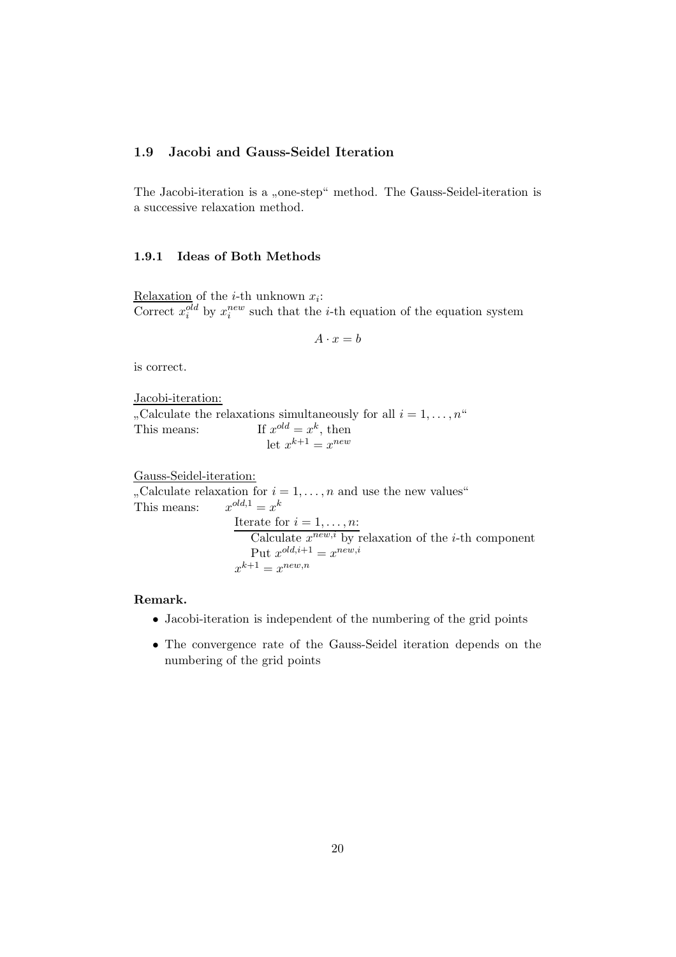## 1.9 Jacobi and Gauss-Seidel Iteration

The Jacobi-iteration is a "one-step" method. The Gauss-Seidel-iteration is<br>concerning planetics with d a successive relaxation method.

#### 1.9.1 Ideas of Both Methods

Relaxation of the *i*-th unknown  $x_i$ : Correct  $x_i^{old}$  by  $x_i^{new}$  such that the *i*-th equation of the equation system

$$
A \cdot x = b
$$

is correct.

Jacobi-iteration:

 $\frac{1}{x}$  This means: If x "Calculate the relaxations simultaneously for all  $i = 1, \ldots, n$ "  $^{old} = x^k$ , then let  $x^{k+1} = x^{new}$ 

Gauss-Seidel-iteration: , Calculate relaxation for  $i = 1, \ldots, n$  and use the new values"

 $\frac{1}{x}$  This means:  $\frac{x}{x}$  $\omega^{d,1} = x^k$ Iterate for  $i = 1, \ldots, n$ : Calculate  $x^{new,i}$  by relaxation of the *i*-th component Put  $x^{old,i+1} = x^{new,i}$  $x^{k+1} = x^{new,n}$ 

## Remark.

- Jacobi-iteration is independent of the numbering of the grid points
- The convergence rate of the Gauss-Seidel iteration depends on the numbering of the grid points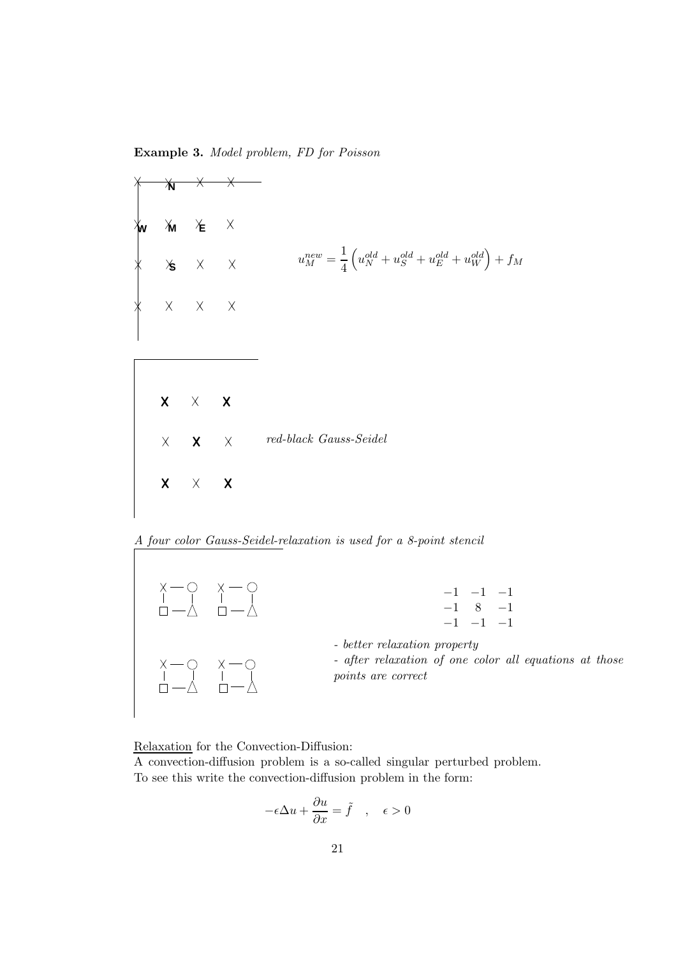Example 3. Model problem, FD for Poisson



A four color Gauss-Seidel-relaxation is used for a 8-point stencil



Relaxation for the Convection-Diffusion:

A convection-diffusion problem is a so-called singular perturbed problem. To see this write the convection-diffusion problem in the form:

$$
-\epsilon \Delta u + \frac{\partial u}{\partial x} = \tilde{f} \quad , \quad \epsilon > 0
$$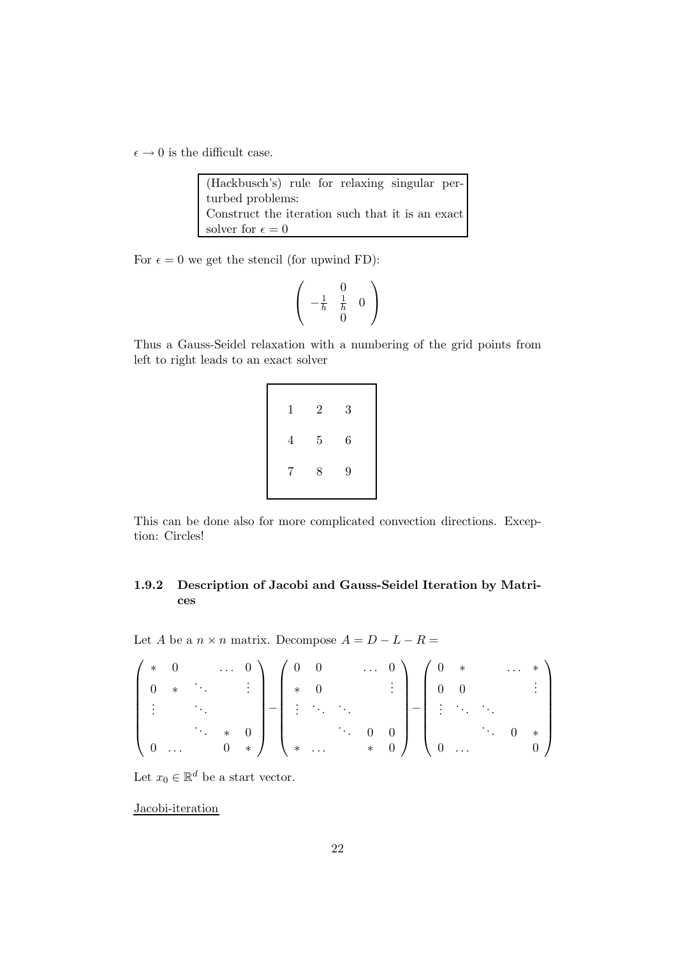$\epsilon \to 0$  is the difficult case.

| (Hackbusch's) rule for relaxing singular per-    |  |  |  |  |
|--------------------------------------------------|--|--|--|--|
| turbed problems:                                 |  |  |  |  |
| Construct the iteration such that it is an exact |  |  |  |  |
| solver for $\epsilon = 0$                        |  |  |  |  |

For  $\epsilon = 0$  we get the stencil (for upwind FD):

$$
\left(\begin{array}{rr} 0 \\ -\frac{1}{h} & \frac{1}{h} \\ 0 \end{array}\right)
$$

Thus a Gauss-Seidel relaxation with a numbering of the grid points from left to right leads to an exact solver

| $\mathbf 1$    | $\overline{2}$ | 3 |  |
|----------------|----------------|---|--|
| $\overline{4}$ | $\overline{5}$ | 6 |  |
| $7\phantom{.}$ | 8              | 9 |  |
|                |                |   |  |

This can be done also for more complicated convection directions. Exception: Circles!

## 1.9.2 Description of Jacobi and Gauss-Seidel Iteration by Matrices

Let  $A$  be a  $n \times n$  matrix. Decompose  $A = D - L - R =$ 

$$
\begin{pmatrix} * & 0 & & \dots & 0 \\ 0 & * & & & \vdots \\ \vdots & & & & \vdots \\ 0 & \dots & & & 0 \end{pmatrix} = \begin{pmatrix} 0 & 0 & & \dots & 0 \\ * & 0 & & & \vdots \\ \vdots & & & & \vdots \\ * & \dots & & & & 0 \\ * & \dots & & & * & 0 \end{pmatrix} = \begin{pmatrix} 0 & * & & \dots & * \\ 0 & 0 & & & \vdots \\ \vdots & & & & \vdots \\ 0 & \dots & & & 0 & * \\ 0 & \dots & & & 0 & * \end{pmatrix}
$$

Let  $x_0 \in \mathbb{R}^d$  be a start vector.

Jacobi-iteration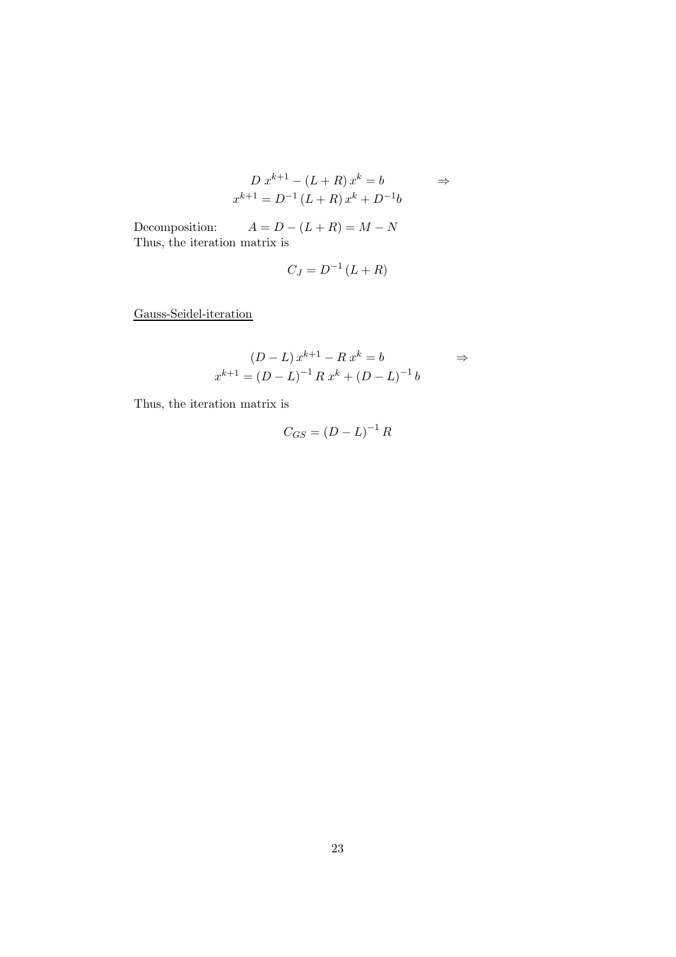$$
D x^{k+1} - (L+R) x^{k} = b \qquad \Rightarrow
$$
  

$$
x^{k+1} = D^{-1} (L+R) x^{k} + D^{-1} b
$$

Decomposition:  $A = D - (L + R) = M - N$ Thus, the iteration matrix is

$$
C_J = D^{-1} \left( L + R \right)
$$

Gauss-Seidel-iteration

$$
(D - L) x^{k+1} - R x^{k} = b \qquad \Rightarrow
$$
  

$$
x^{k+1} = (D - L)^{-1} R x^{k} + (D - L)^{-1} b
$$

Thus, the iteration matrix is

$$
C_{GS} = (D - L)^{-1} R
$$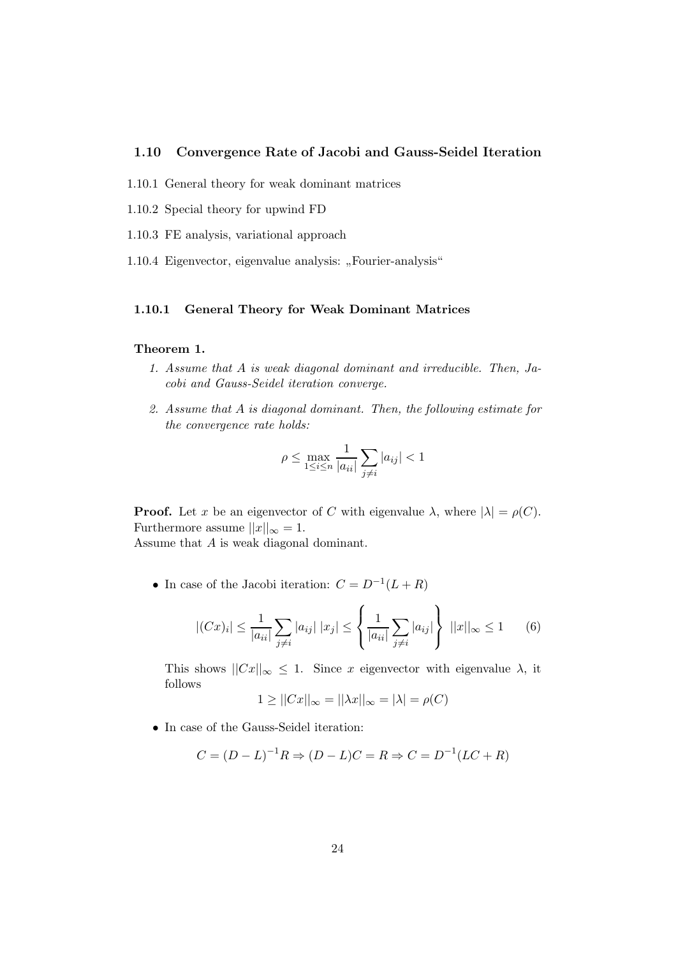#### 1.10 Convergence Rate of Jacobi and Gauss-Seidel Iteration

- 1.10.1 General theory for weak dominant matrices
- 1.10.2 Special theory for upwind FD
- 1.10.3 FE analysis, variational approach
- 1.10.4 Eigenvector, eigenvalue analysis: "Fourier-analysis"

#### 1.10.1 General Theory for Weak Dominant Matrices

#### Theorem 1.

- 1. Assume that A is weak diagonal dominant and irreducible. Then, Jacobi and Gauss-Seidel iteration converge.
- 2. Assume that A is diagonal dominant. Then, the following estimate for the convergence rate holds:

$$
\rho \leq \max_{1 \leq i \leq n} \frac{1}{|a_{ii}|} \sum_{j \neq i} |a_{ij}| < 1
$$

**Proof.** Let x be an eigenvector of C with eigenvalue  $\lambda$ , where  $|\lambda| = \rho(C)$ . Furthermore assume  $||x||_{\infty} = 1$ .

Assume that A is weak diagonal dominant.

• In case of the Jacobi iteration:  $C = D^{-1}(L+R)$ 

$$
|(Cx)_i| \le \frac{1}{|a_{ii}|} \sum_{j \ne i} |a_{ij}| \, |x_j| \le \left\{ \frac{1}{|a_{ii}|} \sum_{j \ne i} |a_{ij}| \right\} \, ||x||_{\infty} \le 1 \qquad (6)
$$

This shows  $||Cx||_{\infty} \leq 1$ . Since x eigenvector with eigenvalue  $\lambda$ , it follows

$$
1 \ge ||Cx||_{\infty} = ||\lambda x||_{\infty} = |\lambda| = \rho(C)
$$

• In case of the Gauss-Seidel iteration:

$$
C = (D - L)^{-1}R \Rightarrow (D - L)C = R \Rightarrow C = D^{-1}(LC + R)
$$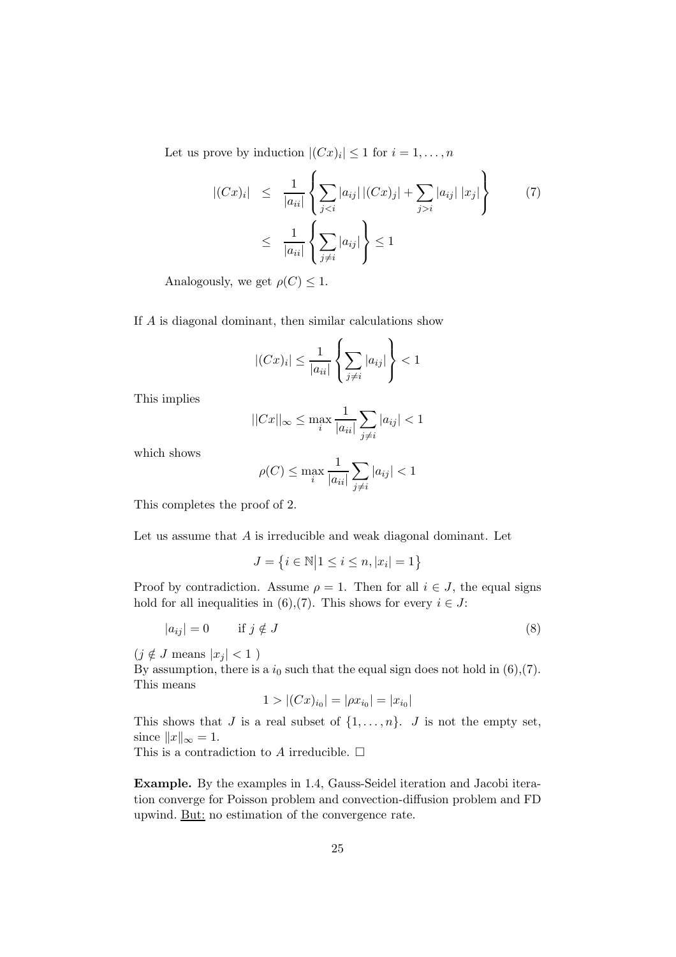Let us prove by induction  $|(Cx)_i| \leq 1$  for  $i = 1, ..., n$ 

$$
|(Cx)_i| \leq \frac{1}{|a_{ii}|} \left\{ \sum_{j < i} |a_{ij}| \left| (Cx)_j \right| + \sum_{j > i} |a_{ij}| \left| x_j \right| \right\} \tag{7}
$$
\n
$$
\leq \frac{1}{|a_{ii}|} \left\{ \sum_{j \neq i} |a_{ij}| \right\} \leq 1
$$

Analogously, we get  $\rho(C) \leq 1$ .

If A is diagonal dominant, then similar calculations show

$$
|(Cx)_i| \le \frac{1}{|a_{ii}|} \left\{ \sum_{j \ne i} |a_{ij}| \right\} < 1
$$

This implies

$$
||Cx||_{\infty} \le \max_{i} \frac{1}{|a_{ii}|} \sum_{j \neq i} |a_{ij}| < 1
$$

which shows

$$
\rho(C) \le \max_{i} \frac{1}{|a_{ii}|} \sum_{j \neq i} |a_{ij}| < 1
$$

This completes the proof of 2.

Let us assume that  $A$  is irreducible and weak diagonal dominant. Let

$$
J=\left\{i\in\mathbb{N}\middle|1\leq i\leq n,|x_i|=1\right\}
$$

Proof by contradiction. Assume  $\rho = 1$ . Then for all  $i \in J$ , the equal signs hold for all inequalities in (6),(7). This shows for every  $i \in J$ :

$$
|a_{ij}| = 0 \t\t \text{if } j \notin J \t\t(8)
$$

 $(j \notin J \text{ means } |x_j| < 1)$ 

By assumption, there is a  $i_0$  such that the equal sign does not hold in (6),(7). This means

$$
1 > |(Cx)_{i_0}| = |\rho x_{i_0}| = |x_{i_0}|
$$

This shows that J is a real subset of  $\{1, \ldots, n\}$ . J is not the empty set, since  $||x||_{\infty} = 1$ .

This is a contradiction to A irreducible.  $\Box$ 

Example. By the examples in 1.4, Gauss-Seidel iteration and Jacobi iteration converge for Poisson problem and convection-diffusion problem and FD upwind. But: no estimation of the convergence rate.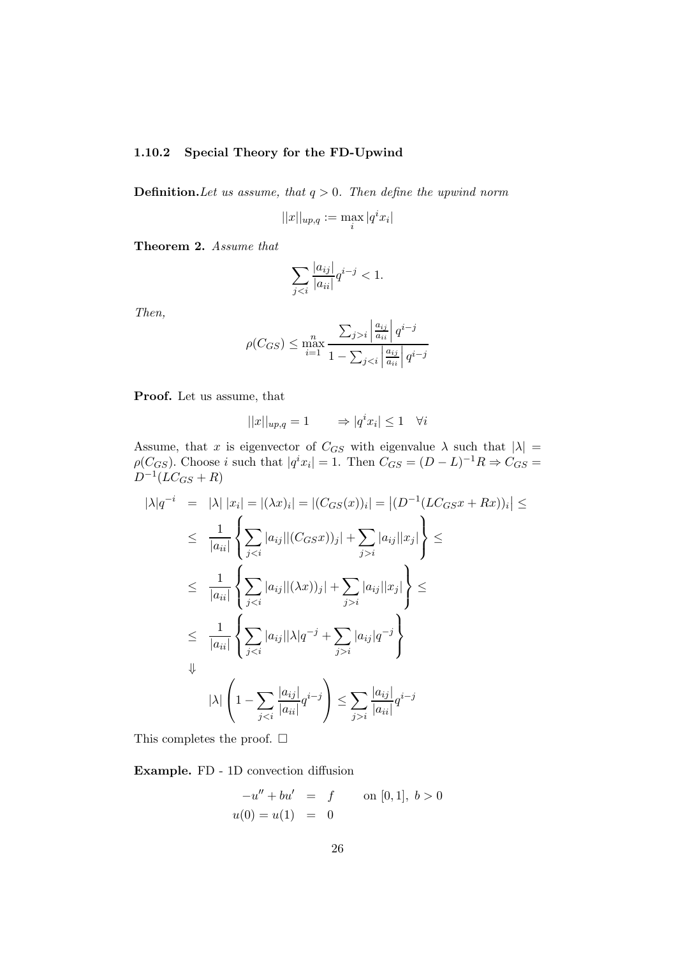#### 1.10.2 Special Theory for the FD-Upwind

**Definition.** Let us assume, that  $q > 0$ . Then define the upwind norm

$$
||x||_{up,q} := \max_i |q^i x_i|
$$

Theorem 2. Assume that

$$
\sum_{j
$$

Then,

$$
\rho(C_{GS}) \le \max_{i=1}^n \frac{\sum_{j>i} \left| \frac{a_{ij}}{a_{ii}} \right| q^{i-j}}{1 - \sum_{j
$$

Proof. Let us assume, that

$$
||x||_{up,q} = 1 \qquad \Rightarrow |q^i x_i| \le 1 \quad \forall i
$$

Assume, that x is eigenvector of  $C_{GS}$  with eigenvalue  $\lambda$  such that  $|\lambda| =$  $\rho(C_{GS})$ . Choose *i* such that  $|q^i x_i| = 1$ . Then  $C_{GS} = (D - L)^{-1}R \Rightarrow C_{GS} =$  $D^{-1}(LC_{GS} + R)$ 

$$
|\lambda|q^{-i} = |\lambda| |x_i| = |(\lambda x)_i| = |(C_{GS}(x))_i| = |(D^{-1}(LC_{GS}x + Rx))_i| \le
$$
  
\n
$$
\leq \frac{1}{|a_{ii}|} \left\{ \sum_{j < i} |a_{ij}| |(C_{GS}x)|_j| + \sum_{j > i} |a_{ij}| |x_j| \right\} \le
$$
  
\n
$$
\leq \frac{1}{|a_{ii}|} \left\{ \sum_{j < i} |a_{ij}| |(\lambda x))_j| + \sum_{j > i} |a_{ij}| |x_j| \right\} \le
$$
  
\n
$$
\leq \frac{1}{|a_{ii}|} \left\{ \sum_{j < i} |a_{ij}| |\lambda| q^{-j} + \sum_{j > i} |a_{ij}| q^{-j} \right\}
$$
  
\n
$$
\downarrow \qquad |\lambda| \left( 1 - \sum_{j < i} \frac{|a_{ij}|}{|a_{ii}|} q^{i-j} \right) \leq \sum_{j > i} \frac{|a_{ij}|}{|a_{ii}|} q^{i-j}
$$

This completes the proof.  $\square$ 

Example. FD - 1D convection diffusion

$$
-u'' + bu' = f \qquad \text{on } [0,1], \ b > 0
$$
  
 
$$
u(0) = u(1) = 0
$$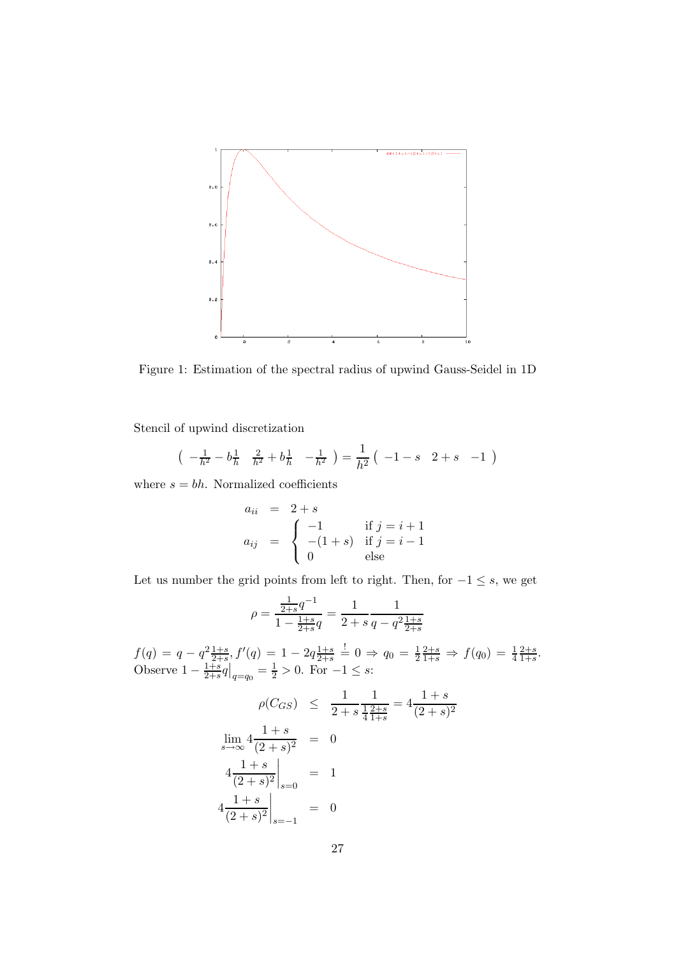

Figure 1: Estimation of the spectral radius of upwind Gauss-Seidel in 1D

Stencil of upwind discretization

$$
\left(-\frac{1}{h^2} - b\frac{1}{h} \quad \frac{2}{h^2} + b\frac{1}{h} \quad -\frac{1}{h^2}\right) = \frac{1}{h^2} \left(-1 - s \quad 2 + s \quad -1\right)
$$

where  $s = bh$ . Normalized coefficients

$$
a_{ii} = 2 + s
$$
  
\n
$$
a_{ij} = \begin{cases}\n-1 & \text{if } j = i + 1 \\
-(1 + s) & \text{if } j = i - 1 \\
0 & \text{else}\n\end{cases}
$$

Let us number the grid points from left to right. Then, for  $-1 \leq s$ , we get

$$
\rho = \frac{\frac{1}{2+s}q^{-1}}{1 - \frac{1+s}{2+s}q} = \frac{1}{2+s} \frac{1}{q - q^2 \frac{1+s}{2+s}}
$$

 $f(q) = q - q^2 \frac{1+s}{2+s}, f'(q) = 1 - 2q \frac{1+s}{2+s}$  $\frac{1+s}{2+s}$   $\stackrel{!}{=} 0 \Rightarrow q_0 = \frac{1}{2}$  $\frac{2+s}{1+s} \Rightarrow f(q_0) = \frac{1}{4}$  $_{2+s}$  $\frac{2+s}{1+s}$ . Observe  $1-\frac{1+s}{2+s}$  $\frac{1+s}{2+s}q|_{q=q_0} = \frac{1}{2} > 0.$  For  $-1 \leq s$ :

$$
\rho(C_{GS}) \leq \frac{1}{2+s} \frac{1}{\frac{1}{4} \frac{2+s}{1+s}} = 4 \frac{1+s}{(2+s)^2}
$$
  

$$
\lim_{s \to \infty} 4 \frac{1+s}{(2+s)^2} = 0
$$
  

$$
4 \frac{1+s}{(2+s)^2} \Big|_{s=0} = 1
$$
  

$$
4 \frac{1+s}{(2+s)^2} \Big|_{s=-1} = 0
$$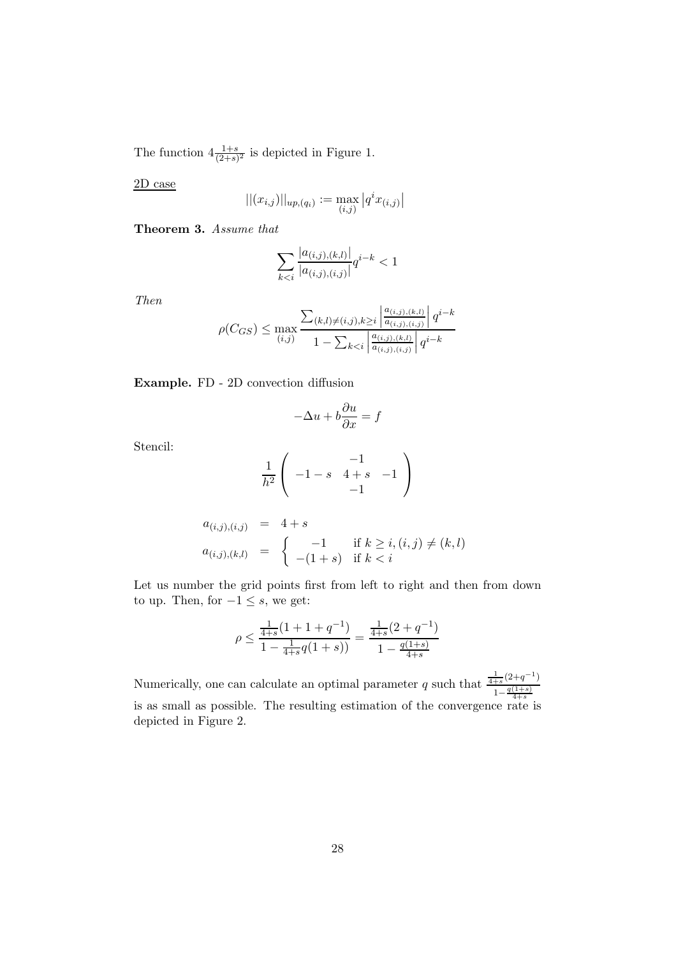The function  $4\frac{1+s}{(2+s)^2}$  is depicted in Figure 1.

2D case

$$
||(x_{i,j})||_{up,(q_i)} := \max_{(i,j)} |q^i x_{(i,j)}|
$$

Theorem 3. Assume that

$$
\sum_{k < i} \frac{|a_{(i,j),(k,l)}|}{|a_{(i,j),(i,j)}|} q^{i-k} < 1
$$

Then

$$
\rho(C_{GS}) \le \max_{(i,j)} \frac{\sum_{(k,l)\neq(i,j),k\ge i} \left| \frac{a_{(i,j),(k,l)}}{a_{(i,j),(i,j)}} \right| q^{i-k}}{1 - \sum_{k < i} \left| \frac{a_{(i,j),(k,l)}}{a_{(i,j),(i,j)}} \right| q^{i-k}}
$$

Example. FD - 2D convection diffusion

$$
-\Delta u + b\frac{\partial u}{\partial x} = f
$$

Stencil:

$$
\frac{1}{h^2} \left( \begin{array}{ccc} & -1 & & \\ -1 - s & 4 + s & -1 \\ & & -1 & \end{array} \right)
$$

$$
a_{(i,j),(i,j)} = 4+s
$$
  
\n
$$
a_{(i,j),(k,l)} = \begin{cases} -1 & \text{if } k \geq i, (i,j) \neq (k,l) \\ -(1+s) & \text{if } k < i \end{cases}
$$

Let us number the grid points first from left to right and then from down to up. Then, for  $-1 \leq s$ , we get:

$$
\rho \le \frac{\frac{1}{4+s}(1+1+q^{-1})}{1 - \frac{1}{4+s}q(1+s))} = \frac{\frac{1}{4+s}(2+q^{-1})}{1 - \frac{q(1+s)}{4+s}}
$$

Numerically, one can calculate an optimal parameter q such that  $\frac{\frac{1}{4+s}(2+q^{-1})}{\frac{1}{4}g(1+s)}$  $1-\frac{q(1+s)}{4+s}$ is as small as possible. The resulting estimation of the convergence rate is depicted in Figure 2.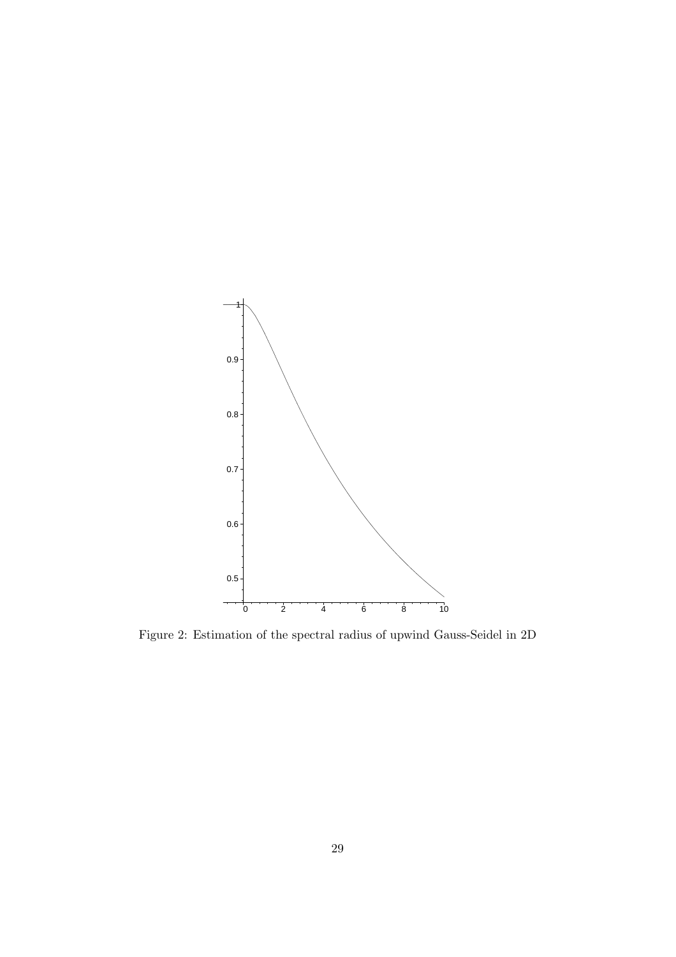

Figure 2: Estimation of the spectral radius of upwind Gauss-Seidel in 2D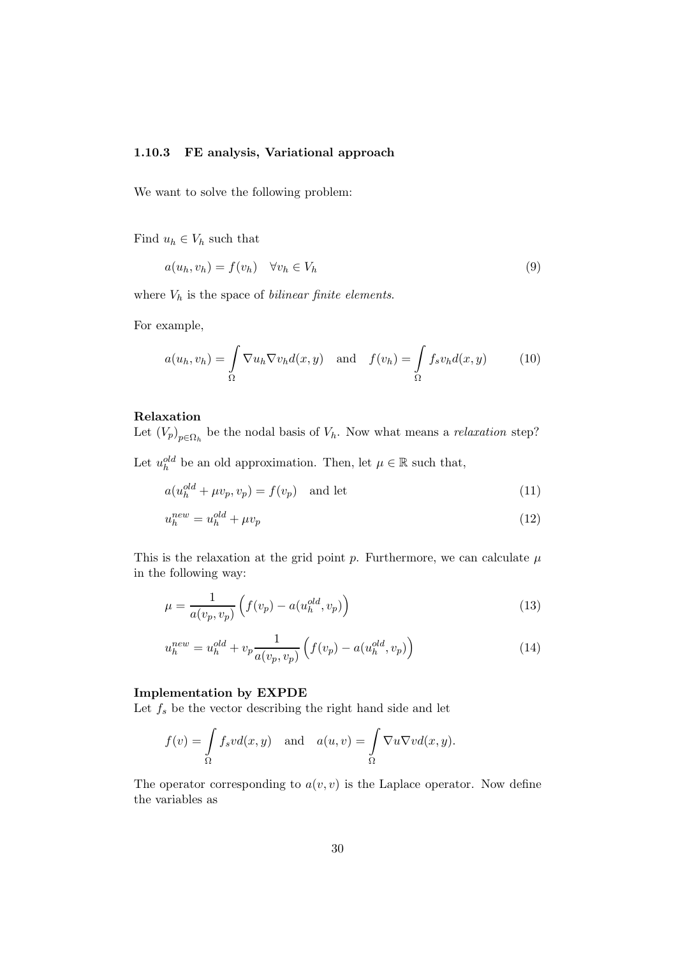#### 1.10.3 FE analysis, Variational approach

We want to solve the following problem:

Find  $u_h \in V_h$  such that

$$
a(u_h, v_h) = f(v_h) \quad \forall v_h \in V_h \tag{9}
$$

where  $V_h$  is the space of *bilinear finite elements*.

For example,

$$
a(u_h, v_h) = \int_{\Omega} \nabla u_h \nabla v_h d(x, y) \quad \text{and} \quad f(v_h) = \int_{\Omega} f_s v_h d(x, y) \tag{10}
$$

## Relaxation

Let  $(V_p)_{p \in \Omega_h}$  be the nodal basis of  $V_h$ . Now what means a *relaxation* step?

Let  $u_h^{old}$  be an old approximation. Then, let  $\mu \in \mathbb{R}$  such that,

$$
a(u_h^{old} + \mu v_p, v_p) = f(v_p) \quad \text{and let} \tag{11}
$$

$$
u_h^{new} = u_h^{old} + \mu v_p \tag{12}
$$

This is the relaxation at the grid point p. Furthermore, we can calculate  $\mu$ in the following way:

$$
\mu = \frac{1}{a(v_p, v_p)} \left( f(v_p) - a(u_h^{old}, v_p) \right) \tag{13}
$$

$$
u_h^{new} = u_h^{old} + v_p \frac{1}{a(v_p, v_p)} \left( f(v_p) - a(u_h^{old}, v_p) \right)
$$
 (14)

#### Implementation by EXPDE

Let  $f_s$  be the vector describing the right hand side and let

$$
f(v) = \int_{\Omega} f_s v d(x, y) \text{ and } a(u, v) = \int_{\Omega} \nabla u \nabla v d(x, y).
$$

The operator corresponding to  $a(v, v)$  is the Laplace operator. Now define the variables as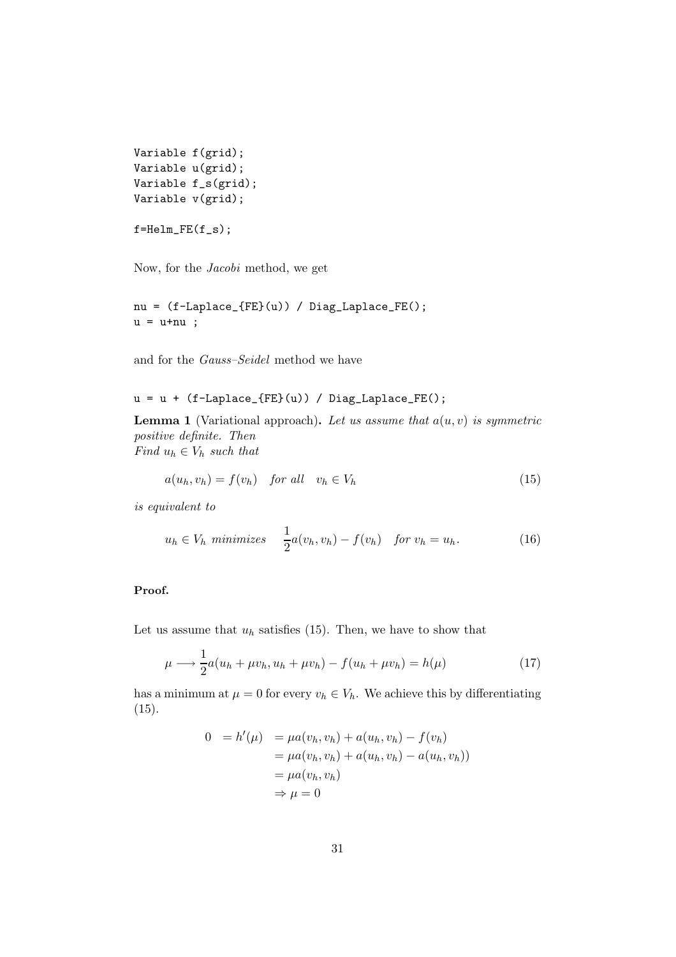```
Variable f(grid);
Variable u(grid);
Variable f_s(grid);
Variable v(grid);
```

```
f=Helm_FE(f_s);
```
Now, for the Jacobi method, we get

nu = (f-Laplace\_{FE}(u)) / Diag\_Laplace\_FE();  $u = u + nu$ ;

and for the Gauss–Seidel method we have

$$
u = u + (f-Laplace_{FE}(u)) / Diag_{Laplace_{FE}(i);
$$

**Lemma 1** (Variational approach). Let us assume that  $a(u, v)$  is symmetric positive definite. Then Find  $u_h \in V_h$  such that

$$
a(u_h, v_h) = f(v_h) \quad \text{for all} \quad v_h \in V_h \tag{15}
$$

is equivalent to

$$
u_h \in V_h \text{ minimizes } \frac{1}{2}a(v_h, v_h) - f(v_h) \quad \text{for } v_h = u_h. \tag{16}
$$

#### Proof.

Let us assume that  $u_h$  satisfies (15). Then, we have to show that

$$
\mu \longrightarrow \frac{1}{2}a(u_h + \mu v_h, u_h + \mu v_h) - f(u_h + \mu v_h) = h(\mu)
$$
\n(17)

has a minimum at  $\mu = 0$  for every  $v_h \in V_h$ . We achieve this by differentiating (15).

$$
0 = h'(\mu) = \mu a(v_h, v_h) + a(u_h, v_h) - f(v_h)
$$
  
=  $\mu a(v_h, v_h) + a(u_h, v_h) - a(u_h, v_h)$ )  
=  $\mu a(v_h, v_h)$   
 $\Rightarrow \mu = 0$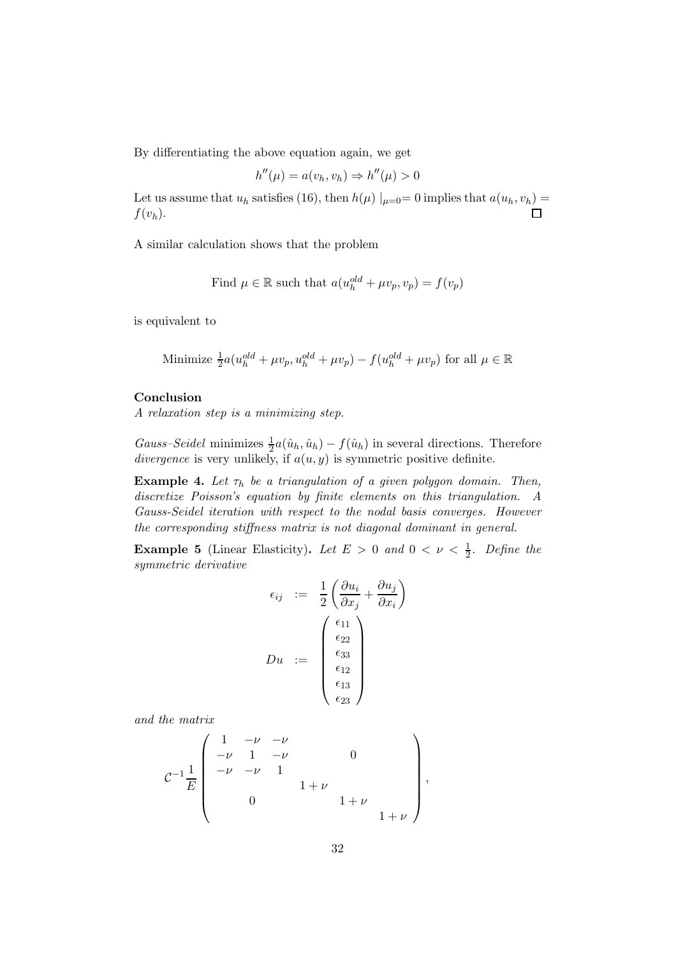By differentiating the above equation again, we get

$$
h''(\mu) = a(v_h, v_h) \Rightarrow h''(\mu) > 0
$$

Let us assume that  $u_h$  satisfies (16), then  $h(\mu) \mid_{\mu=0}=0$  implies that  $a(u_h, v_h)$  =  $f(v_h)$ .

A similar calculation shows that the problem

Find 
$$
\mu \in \mathbb{R}
$$
 such that  $a(u_h^{old} + \mu v_p, v_p) = f(v_p)$ 

is equivalent to

Minimize 
$$
\frac{1}{2}a(u_h^{old} + \mu v_p, u_h^{old} + \mu v_p) - f(u_h^{old} + \mu v_p)
$$
 for all  $\mu \in \mathbb{R}$ 

#### Conclusion

A relaxation step is a minimizing step.

Gauss–Seidel minimizes  $\frac{1}{2}a(\hat{u}_h, \hat{u}_h) - f(\hat{u}_h)$  in several directions. Therefore divergence is very unlikely, if  $a(u, y)$  is symmetric positive definite.

**Example 4.** Let  $\tau_h$  be a triangulation of a given polygon domain. Then, discretize Poisson's equation by finite elements on this triangulation. A Gauss-Seidel iteration with respect to the nodal basis converges. However the corresponding stiffness matrix is not diagonal dominant in general.

**Example 5** (Linear Elasticity). Let  $E > 0$  and  $0 < \nu < \frac{1}{2}$ . Define the symmetric derivative

$$
\epsilon_{ij} := \frac{1}{2} \left( \frac{\partial u_i}{\partial x_j} + \frac{\partial u_j}{\partial x_i} \right)
$$

$$
Du := \begin{pmatrix} \epsilon_{11} \\ \epsilon_{22} \\ \epsilon_{33} \\ \epsilon_{12} \\ \epsilon_{13} \\ \epsilon_{23} \end{pmatrix}
$$

and the matrix

$$
\mathcal{C}^{-1} \frac{1}{E} \begin{pmatrix} 1 & -\nu & -\nu & & & & \\ -\nu & 1 & -\nu & 0 & & \\ -\nu & -\nu & 1 & & & \\ & 0 & & 1+\nu & & \\ & & 0 & & & 1+\nu & \\ & & & & & 1+\nu \end{pmatrix},
$$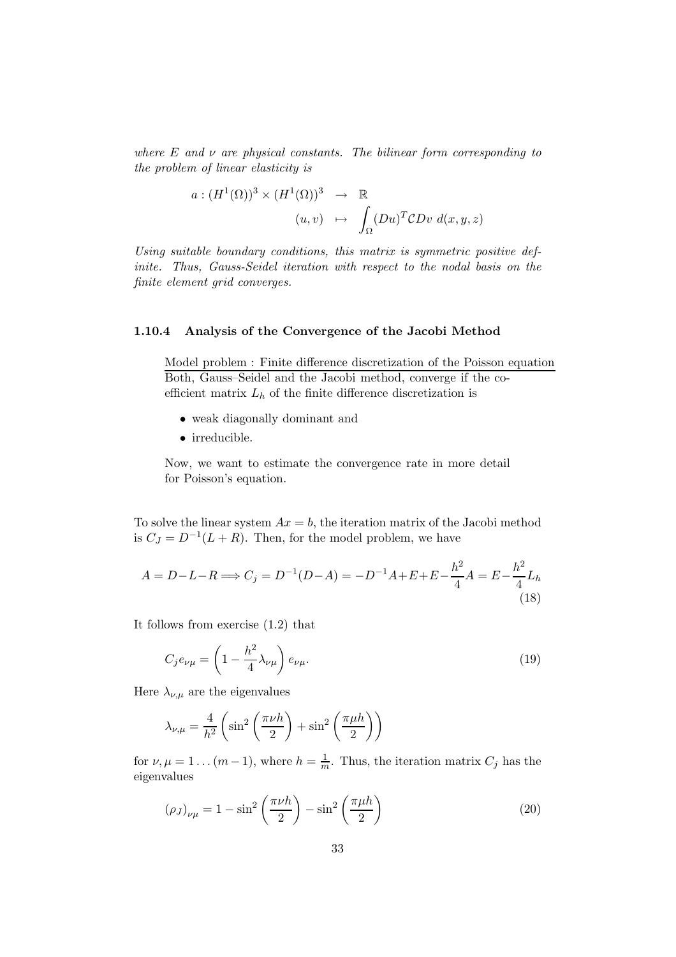where  $E$  and  $\nu$  are physical constants. The bilinear form corresponding to the problem of linear elasticity is

$$
a: (H^1(\Omega))^3 \times (H^1(\Omega))^3 \rightarrow \mathbb{R}
$$
  

$$
(u,v) \mapsto \int_{\Omega} (Du)^T CDv \, d(x,y,z)
$$

Using suitable boundary conditions, this matrix is symmetric positive definite. Thus, Gauss-Seidel iteration with respect to the nodal basis on the finite element grid converges.

#### 1.10.4 Analysis of the Convergence of the Jacobi Method

Model problem : Finite difference discretization of the Poisson equation Both, Gauss–Seidel and the Jacobi method, converge if the coefficient matrix  $L<sub>h</sub>$  of the finite difference discretization is

- weak diagonally dominant and
- irreducible.

Now, we want to estimate the convergence rate in more detail for Poisson's equation.

To solve the linear system  $Ax = b$ , the iteration matrix of the Jacobi method is  $C_J = D^{-1}(L+R)$ . Then, for the model problem, we have

$$
A = D - L - R \Longrightarrow C_j = D^{-1}(D - A) = -D^{-1}A + E + E - \frac{h^2}{4}A = E - \frac{h^2}{4}L_h
$$
\n(18)

It follows from exercise (1.2) that

$$
C_j e_{\nu\mu} = \left(1 - \frac{h^2}{4} \lambda_{\nu\mu}\right) e_{\nu\mu}.
$$
\n(19)

Here  $\lambda_{\nu,\mu}$  are the eigenvalues

$$
\lambda_{\nu,\mu} = \frac{4}{h^2} \left( \sin^2 \left( \frac{\pi \nu h}{2} \right) + \sin^2 \left( \frac{\pi \mu h}{2} \right) \right)
$$

for  $\nu, \mu = 1 \dots (m-1)$ , where  $h = \frac{1}{m}$ . Thus, the iteration matrix  $C_j$  has the eigenvalues

$$
(\rho_J)_{\nu\mu} = 1 - \sin^2\left(\frac{\pi\nu h}{2}\right) - \sin^2\left(\frac{\pi\mu h}{2}\right) \tag{20}
$$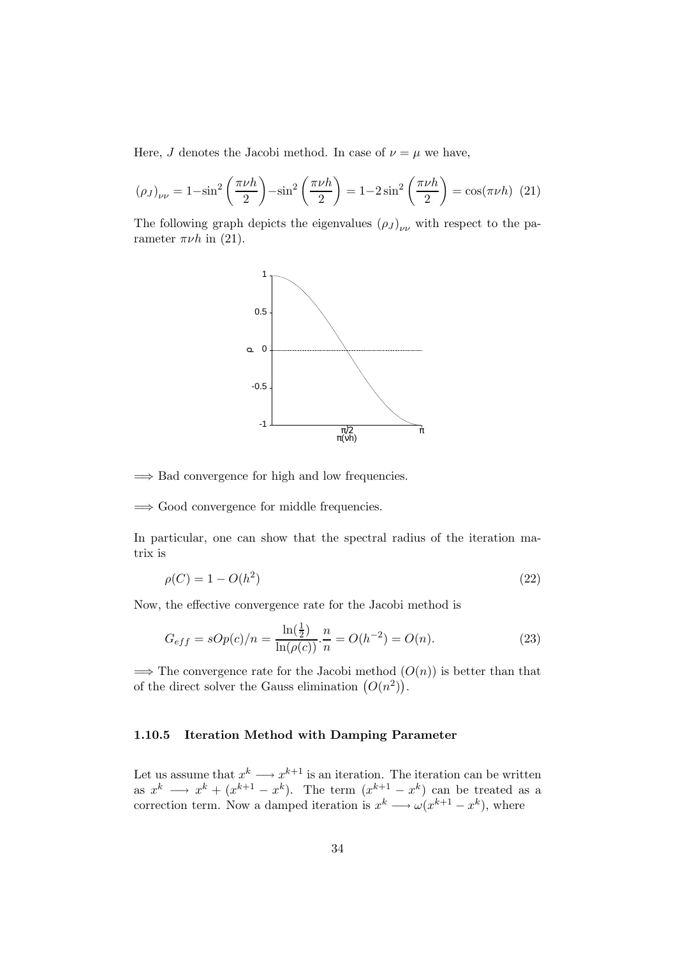Here, J denotes the Jacobi method. In case of  $\nu = \mu$  we have,

$$
(\rho_J)_{\nu\nu} = 1 - \sin^2\left(\frac{\pi\nu h}{2}\right) - \sin^2\left(\frac{\pi\nu h}{2}\right) = 1 - 2\sin^2\left(\frac{\pi\nu h}{2}\right) = \cos(\pi\nu h) \tag{21}
$$

The following graph depicts the eigenvalues  $(\rho_J)_{\nu\nu}$  with respect to the parameter  $\pi\nu h$  in (21).



 $\Rightarrow$  Bad convergence for high and low frequencies.

=⇒ Good convergence for middle frequencies.

In particular, one can show that the spectral radius of the iteration matrix is

$$
\rho(C) = 1 - O(h^2)
$$
\n(22)

Now, the effective convergence rate for the Jacobi method is

$$
G_{eff} = sOp(c)/n = \frac{\ln(\frac{1}{2})}{\ln(\rho(c))} \cdot \frac{n}{n} = O(h^{-2}) = O(n). \tag{23}
$$

 $\Rightarrow$  The convergence rate for the Jacobi method  $(O(n))$  is better than that of the direct solver the Gauss elimination  $(O(n^2))$ .

#### 1.10.5 Iteration Method with Damping Parameter

Let us assume that  $x^k \longrightarrow x^{k+1}$  is an iteration. The iteration can be written as  $x^k \longrightarrow x^k + (x^{k+1} - x^k)$ . The term  $(x^{k+1} - x^k)$  can be treated as a correction term. Now a damped iteration is  $x^k \longrightarrow \omega(x^{k+1} - x^k)$ , where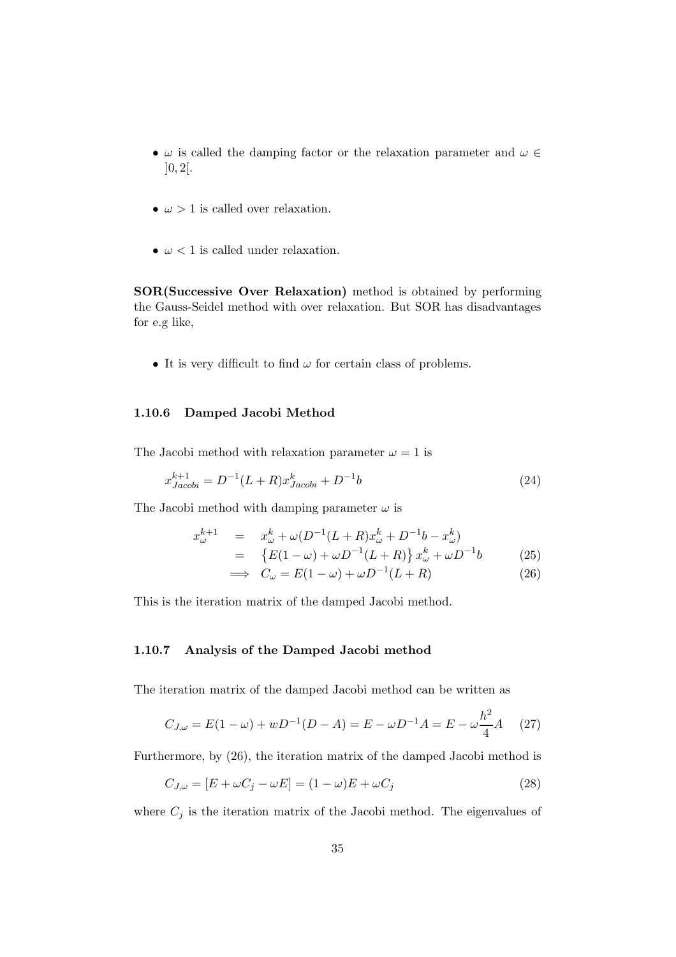- $\omega$  is called the damping factor or the relaxation parameter and  $\omega \in$  $]0, 2[$ .
- $\omega > 1$  is called over relaxation.
- $\omega$  < 1 is called under relaxation.

SOR(Successive Over Relaxation) method is obtained by performing the Gauss-Seidel method with over relaxation. But SOR has disadvantages for e.g like,

• It is very difficult to find  $\omega$  for certain class of problems.

#### 1.10.6 Damped Jacobi Method

The Jacobi method with relaxation parameter  $\omega = 1$  is

$$
x_{Jacobi}^{k+1} = D^{-1}(L+R)x_{Jacobi}^k + D^{-1}b \tag{24}
$$

The Jacobi method with damping parameter  $\omega$  is

$$
x_{\omega}^{k+1} = x_{\omega}^k + \omega (D^{-1}(L+R)x_{\omega}^k + D^{-1}b - x_{\omega}^k)
$$
  
= 
$$
\{E(1-\omega) + \omega D^{-1}(L+R)\}x_{\omega}^k + \omega D^{-1}b
$$
 (25)  

$$
\implies C_{\omega} = E(1-\omega) + \omega D^{-1}(L+R)
$$
 (26)

This is the iteration matrix of the damped Jacobi method.

#### 1.10.7 Analysis of the Damped Jacobi method

The iteration matrix of the damped Jacobi method can be written as

$$
C_{J,\omega} = E(1 - \omega) + wD^{-1}(D - A) = E - \omega D^{-1}A = E - \omega \frac{h^2}{4}A \quad (27)
$$

Furthermore, by (26), the iteration matrix of the damped Jacobi method is

$$
C_{J,\omega} = [E + \omega C_j - \omega E] = (1 - \omega)E + \omega C_j \tag{28}
$$

where  $C_j$  is the iteration matrix of the Jacobi method. The eigenvalues of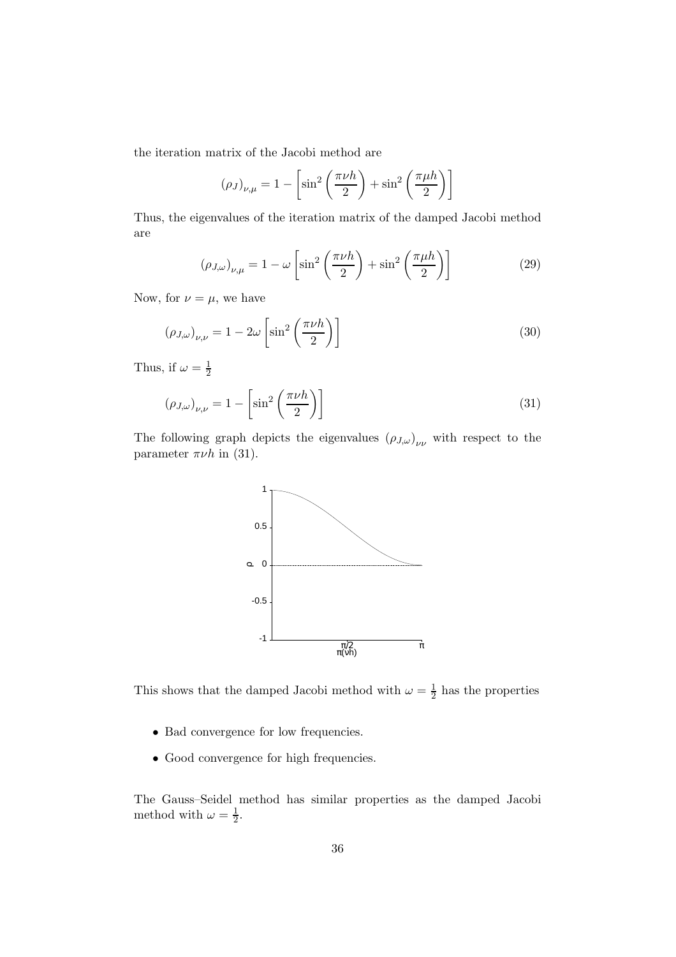the iteration matrix of the Jacobi method are

$$
(\rho_J)_{\nu,\mu} = 1 - \left[\sin^2\left(\frac{\pi\nu h}{2}\right) + \sin^2\left(\frac{\pi\mu h}{2}\right)\right]
$$

Thus, the eigenvalues of the iteration matrix of the damped Jacobi method are

$$
(\rho_{J,\omega})_{\nu,\mu} = 1 - \omega \left[ \sin^2 \left( \frac{\pi \nu h}{2} \right) + \sin^2 \left( \frac{\pi \mu h}{2} \right) \right]
$$
 (29)

Now, for  $\nu = \mu$ , we have

$$
(\rho_{J,\omega})_{\nu,\nu} = 1 - 2\omega \left[ \sin^2 \left( \frac{\pi \nu h}{2} \right) \right]
$$
 (30)

Thus, if  $\omega = \frac{1}{2}$ 2

$$
(\rho_{J,\omega})_{\nu,\nu} = 1 - \left[\sin^2\left(\frac{\pi\nu h}{2}\right)\right]
$$
\n(31)

The following graph depicts the eigenvalues  $(\rho_{J,\omega})_{\nu\nu}$  with respect to the parameter  $\pi\nu h$  in (31).



This shows that the damped Jacobi method with  $\omega = \frac{1}{2}$  $\frac{1}{2}$  has the properties

- Bad convergence for low frequencies.
- Good convergence for high frequencies.

The Gauss–Seidel method has similar properties as the damped Jacobi method with  $\omega = \frac{1}{2}$  $\frac{1}{2}$ .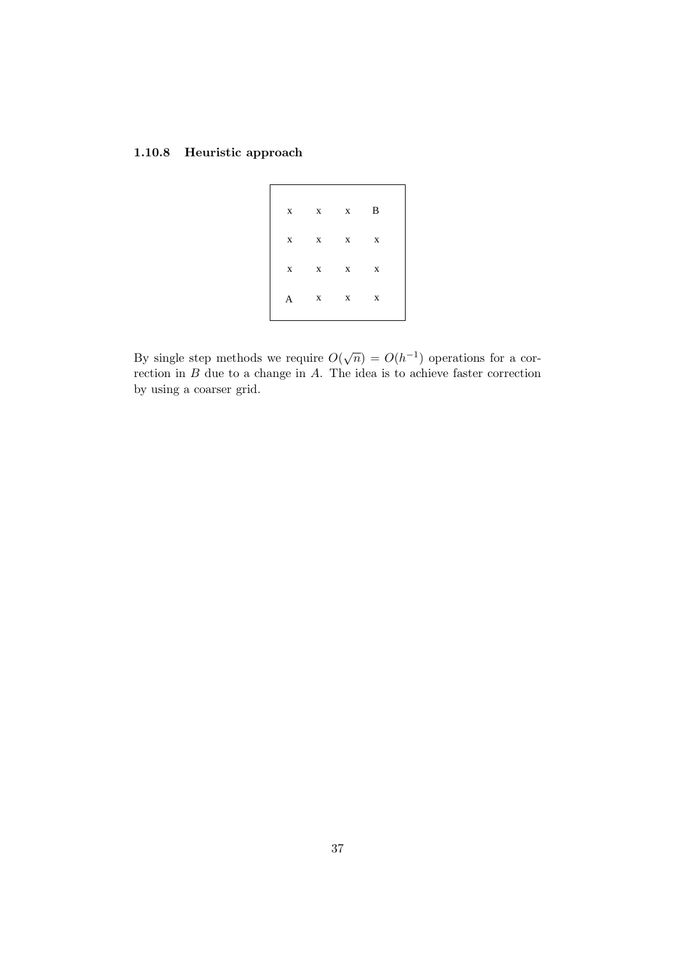## 1.10.8 Heuristic approach

| $\mathbf{X}$ | $\mathbf{X}$ | $\mathbf{X}$ | B                         |  |
|--------------|--------------|--------------|---------------------------|--|
| X            | $\mathbf{X}$ | $\mathbf{X}$ | $\boldsymbol{\mathrm{X}}$ |  |
| $\mathbf{X}$ | $\mathbf{X}$ | $\mathbf{X}$ | X                         |  |
| A            | $\mathbf{X}$ | $\mathbf{X}$ | $\mathbf X$               |  |
|              |              |              |                           |  |

By single step methods we require  $O(\sqrt{n}) = O(h^{-1})$  operations for a correction in  $B$  due to a change in  $A$ . The idea is to achieve faster correction by using a coarser grid.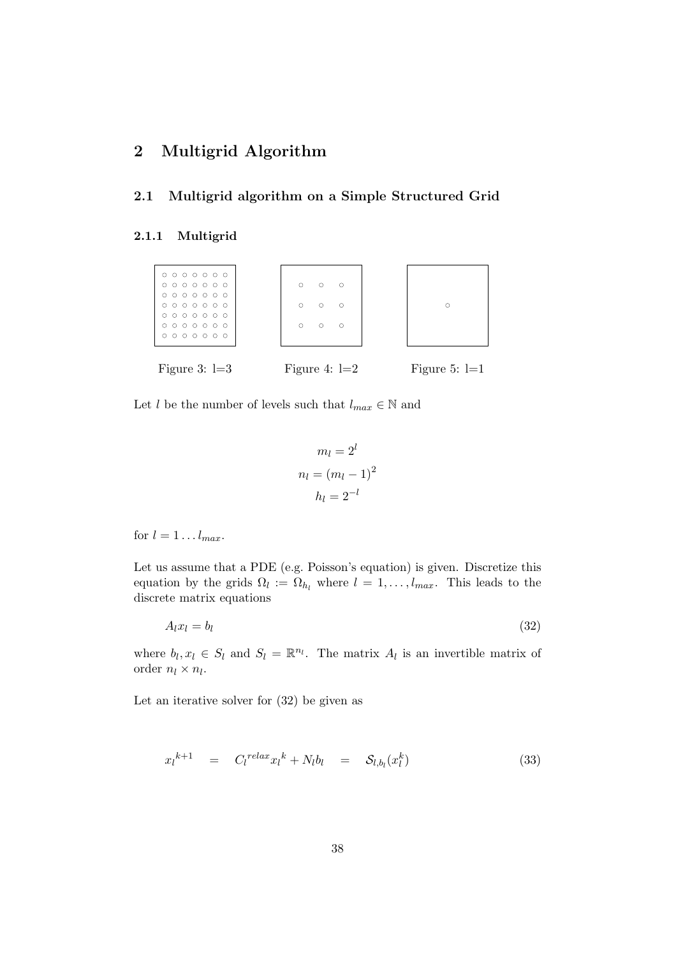# 2 Multigrid Algorithm

#### 2.1 Multigrid algorithm on a Simple Structured Grid

#### 2.1.1 Multigrid



Let l be the number of levels such that  $l_{max} \in \mathbb{N}$  and

$$
m_l = 2^l
$$

$$
n_l = (m_l - 1)^2
$$

$$
h_l = 2^{-l}
$$

for  $l = 1 \dots l_{max}$ .

Let us assume that a PDE (e.g. Poisson's equation) is given. Discretize this equation by the grids  $\Omega_l := \Omega_{h_l}$  where  $l = 1, \ldots, l_{max}$ . This leads to the discrete matrix equations

$$
A_l x_l = b_l \tag{32}
$$

where  $b_l, x_l \in S_l$  and  $S_l = \mathbb{R}^{n_l}$ . The matrix  $A_l$  is an invertible matrix of order  $n_l \times n_l$ .

Let an iterative solver for (32) be given as

$$
x_l^{k+1} = C_l^{relax} x_l^k + N_l b_l = S_{l,b_l}(x_l^k)
$$
\n(33)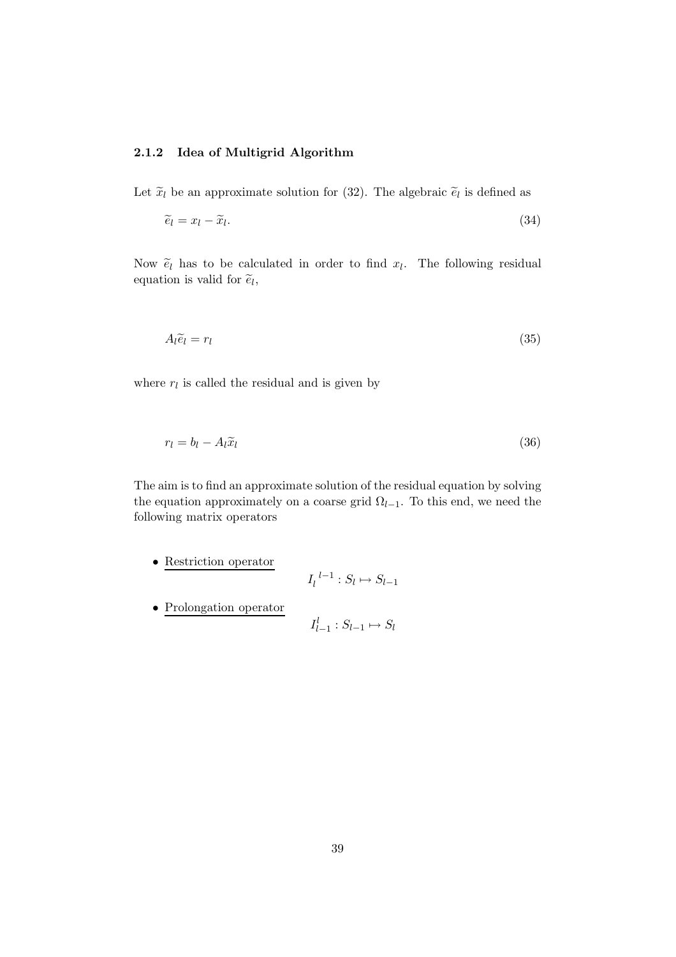### 2.1.2 Idea of Multigrid Algorithm

Let  $\tilde{x}_l$  be an approximate solution for (32). The algebraic  $\tilde{e}_l$  is defined as

$$
\widetilde{e}_l = x_l - \widetilde{x}_l. \tag{34}
$$

Now  $\tilde{e}_l$  has to be calculated in order to find  $x_l$ . The following residual equation is valid for  $\tilde{e}_l$ ,

$$
A_l \tilde{e}_l = r_l \tag{35}
$$

where  $r_l$  is called the residual and is given by

$$
r_l = b_l - A_l \tilde{x}_l \tag{36}
$$

The aim is to find an approximate solution of the residual equation by solving the equation approximately on a coarse grid  $\Omega_{l-1}$ . To this end, we need the following matrix operators

- Restriction operator  $I_l^{\ l-1}$  $\frac{l-1}{l}: S_l \mapsto S_{l-1}$
- Prolongation operator

$$
I_{l-1}^l : S_{l-1} \mapsto S_l
$$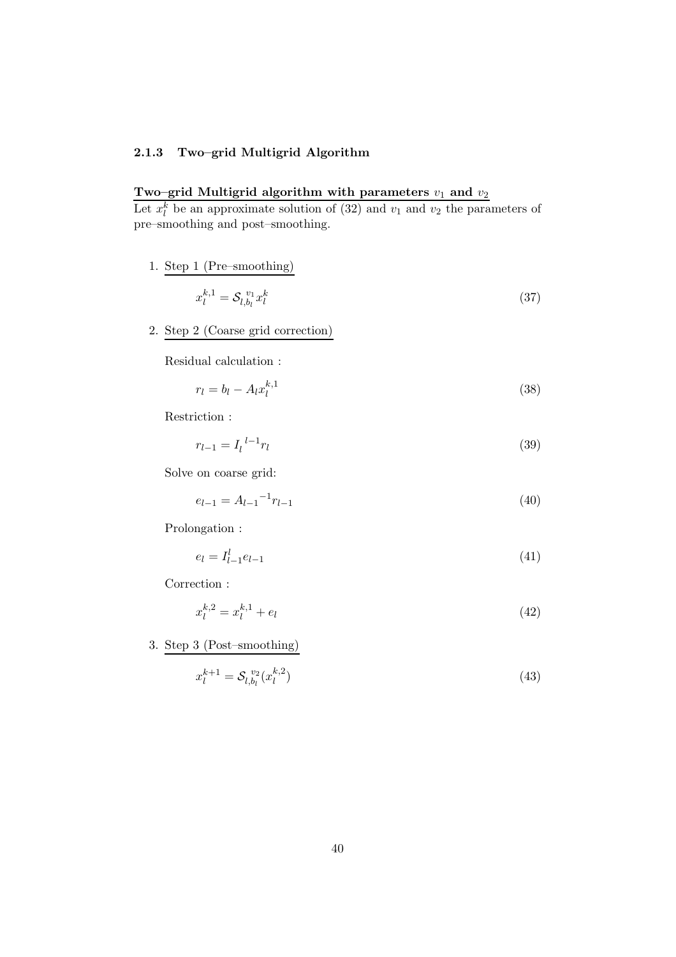### 2.1.3 Two–grid Multigrid Algorithm

### Two–grid Multigrid algorithm with parameters  $v_1$  and  $v_2$

Let  $x_l^k$  be an approximate solution of (32) and  $v_1$  and  $v_2$  the parameters of pre–smoothing and post–smoothing.

1. Step 1 (Pre–smoothing)

$$
x_l^{k,1} = \mathcal{S}_{l,b_l}^{v_1} x_l^k \tag{37}
$$

2. Step 2 (Coarse grid correction)

Residual calculation :

$$
r_l = b_l - A_l x_l^{k,1} \tag{38}
$$

Restriction :

$$
r_{l-1} = I_l^{l-1} r_l \tag{39}
$$

Solve on coarse grid:

$$
e_{l-1} = A_{l-1}^{-1} r_{l-1} \tag{40}
$$

Prolongation :

$$
e_l = I_{l-1}^l e_{l-1} \tag{41}
$$

Correction :

$$
x_l^{k,2} = x_l^{k,1} + e_l \tag{42}
$$

3. Step 3 (Post–smoothing)

$$
x_l^{k+1} = \mathcal{S}_{l,b_l}^{v_2}(x_l^{k,2})
$$
\n(43)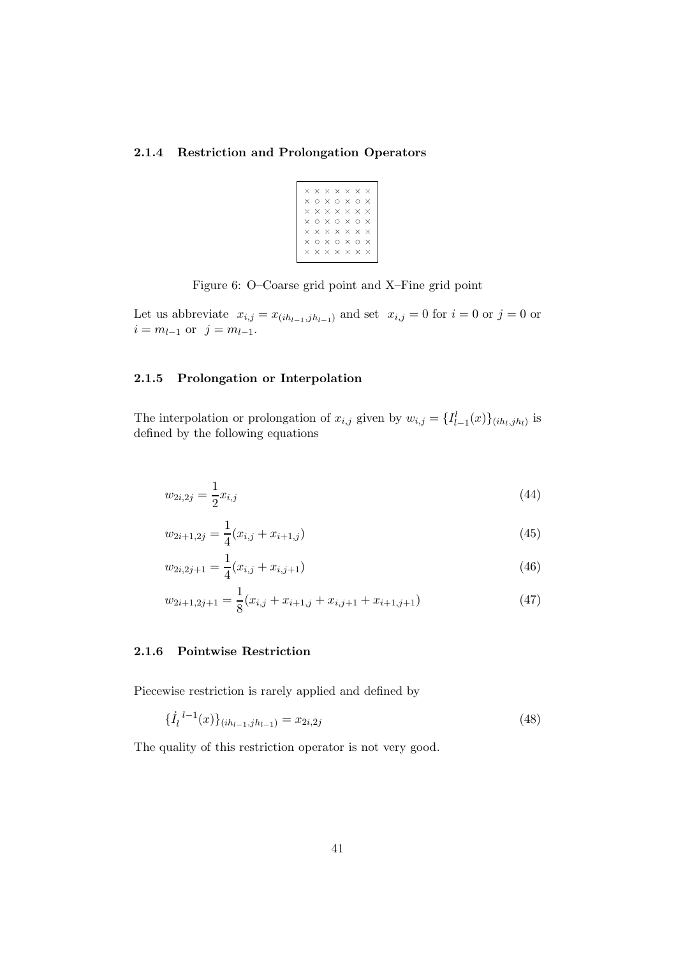#### 2.1.4 Restriction and Prolongation Operators

| ×        |         | $\times$ $\times$ $\times$ $\times$ $\times$ |  |              |  |
|----------|---------|----------------------------------------------|--|--------------|--|
| $\times$ | $\circ$ | x o x o                                      |  | $\times$     |  |
| $\times$ |         | $\times$ $\times$ $\times$ $\times$ $\times$ |  |              |  |
| ×        |         | $0 \times 0 \times 0$                        |  | $\mathsf{x}$ |  |
| $\times$ |         | $\times$ $\times$ $\times$ $\times$ $\times$ |  | $\mathsf{x}$ |  |
| $\times$ |         | n x n x n                                    |  | $\times$     |  |
| $\times$ |         | $\times$ $\times$ $\times$ $\times$          |  | $\mathsf{x}$ |  |
|          |         |                                              |  |              |  |

Figure 6: O–Coarse grid point and X–Fine grid point

Let us abbreviate  $x_{i,j} = x_{(ih_{l-1},jh_{l-1})}$  and set  $x_{i,j} = 0$  for  $i = 0$  or  $j = 0$  or  $i = m_{l-1}$  or  $j = m_{l-1}$ .

### 2.1.5 Prolongation or Interpolation

The interpolation or prolongation of  $x_{i,j}$  given by  $w_{i,j} = \{I_{l-1}^l(x)\}_{(ih_l,jh_l)}$  is defined by the following equations

$$
w_{2i,2j} = \frac{1}{2}x_{i,j} \tag{44}
$$

$$
w_{2i+1,2j} = \frac{1}{4}(x_{i,j} + x_{i+1,j})
$$
\n(45)

$$
w_{2i,2j+1} = \frac{1}{4}(x_{i,j} + x_{i,j+1})
$$
\n(46)

$$
w_{2i+1,2j+1} = \frac{1}{8}(x_{i,j} + x_{i+1,j} + x_{i,j+1} + x_{i+1,j+1})
$$
\n(47)

### 2.1.6 Pointwise Restriction

Piecewise restriction is rarely applied and defined by

$$
\{\dot{I}_l^{\ l-1}(x)\}_{(ih_{l-1},jh_{l-1})} = x_{2i,2j} \tag{48}
$$

The quality of this restriction operator is not very good.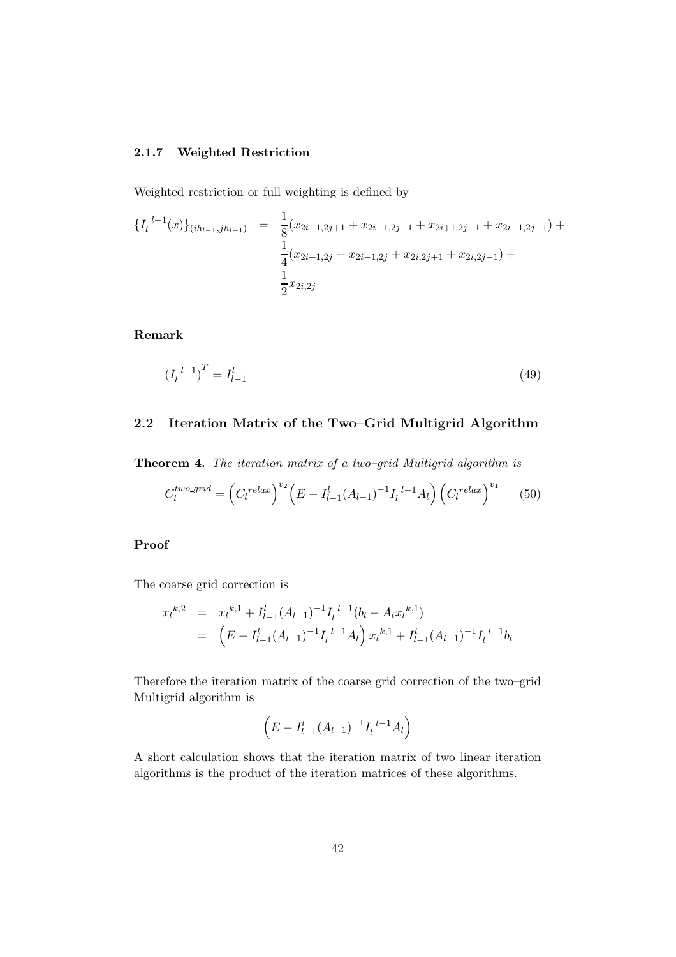#### 2.1.7 Weighted Restriction

Weighted restriction or full weighting is defined by

$$
\{I_l^{l-1}(x)\}_{(ih_{l-1},jh_{l-1})} = \frac{1}{8}(x_{2i+1,2j+1} + x_{2i-1,2j+1} + x_{2i+1,2j-1} + x_{2i-1,2j-1}) + \frac{1}{4}(x_{2i+1,2j} + x_{2i-1,2j} + x_{2i,2j+1} + x_{2i,2j-1}) + \frac{1}{2}x_{2i,2j}
$$

Remark

$$
\left(I_l^{l-1}\right)^T = I_{l-1}^l \tag{49}
$$

## 2.2 Iteration Matrix of the Two–Grid Multigrid Algorithm

Theorem 4. The iteration matrix of a two-grid Multigrid algorithm is

$$
C_l^{two\text{-}grid} = \left(C_l^{relax}\right)^{v_2} \left(E - I_{l-1}^l (A_{l-1})^{-1} I_l^{l-1} A_l\right) \left(C_l^{relax}\right)^{v_1} \tag{50}
$$

## Proof

The coarse grid correction is

$$
x_l^{k,2} = x_l^{k,1} + I_{l-1}^l (A_{l-1})^{-1} I_l^{l-1} (b_l - A_l x_l^{k,1})
$$
  
= 
$$
(E - I_{l-1}^l (A_{l-1})^{-1} I_l^{l-1} A_l) x_l^{k,1} + I_{l-1}^l (A_{l-1})^{-1} I_l^{l-1} b_l
$$

Therefore the iteration matrix of the coarse grid correction of the two–grid Multigrid algorithm is

$$
\left(E - I_{l-1}^{l}(A_{l-1})^{-1}I_{l}^{l-1}A_{l}\right)
$$

A short calculation shows that the iteration matrix of two linear iteration algorithms is the product of the iteration matrices of these algorithms.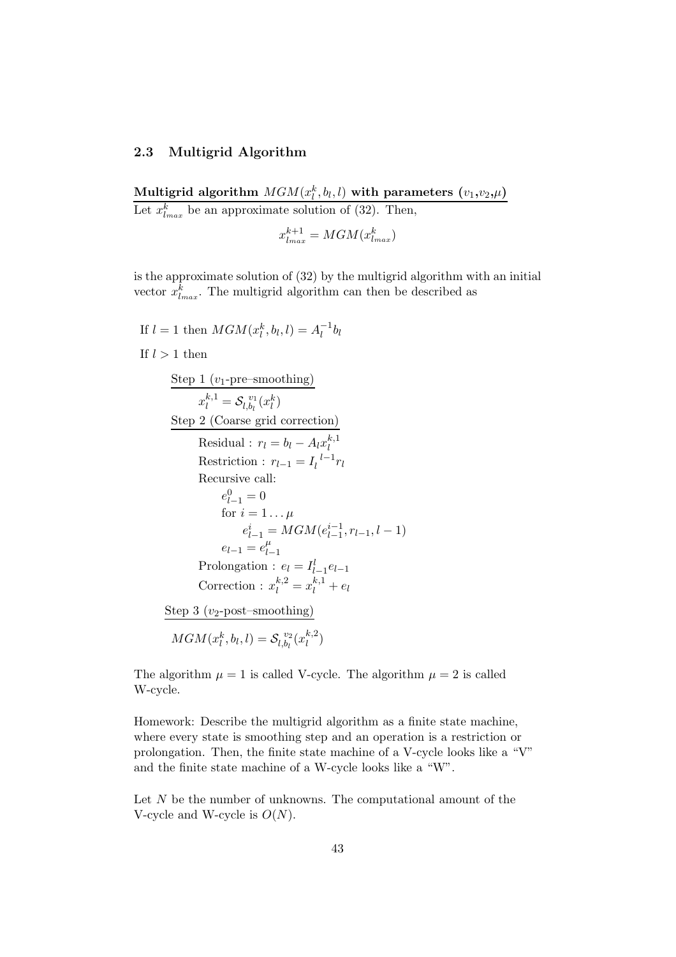### 2.3 Multigrid Algorithm

Multigrid algorithm  $MGM(x_l^k,b_l,l)$  with parameters  $(v_1,v_2,\mu)$ Let  $x_{l_{max}}^k$  be an approximate solution of (32). Then,

 $x_{l_{max}}^{k+1} = MGM(x_{l_{max}}^k)$ 

is the approximate solution of (32) by the multigrid algorithm with an initial vector  $x_{l_{max}}^k$ . The multigrid algorithm can then be described as

If  $l = 1$  then  $MGM(x_l^k, b_l, l) = A_l^{-1}$  $\overline{\iota}^{\text{-1}}b_l$ If  $l > 1$  then Step 1 ( $v_1$ -pre–smoothing)  $x_l^{k,1} = \mathcal{S}_{l,b_l}^{\ \ v_1}$  $\binom{v_1}{l,b_l}(x_l^k)$ Step 2 (Coarse grid correction) Residual :  $r_l = b_l - A_l x_l^{k,1}$ l Restriction :  $r_{l-1} = I_l^{\ l-1}$  $\frac{l-1}{l}r_l$ Recursive call:  $e_{l-1}^0 = 0$ for  $i = 1 \dots \mu$  $e_{l-1}^{i} = MGM(e_{l-1}^{i-1})$  $\binom{l-1}{l-1}, r_{l-1}, l-1$  $e_{l-1} = e_l^{\mu}$  $l-1$ Prolongation :  $e_l = I_{l-1}^l e_{l-1}$ Correction :  $x_l^{k,2} = x_l^{k,1} + e_l$ Step 3 ( $v_2$ -post–smoothing)  $MGM(x_l^k, b_l, l) = \mathcal{S}_{l, b_l}^{\ v_2}$  $\int_{l,b_l}^{v_2} (x_l^{k,2})$  $\binom{k,2}{l}$ 

The algorithm  $\mu = 1$  is called V-cycle. The algorithm  $\mu = 2$  is called W-cycle.

Homework: Describe the multigrid algorithm as a finite state machine, where every state is smoothing step and an operation is a restriction or prolongation. Then, the finite state machine of a V-cycle looks like a "V" and the finite state machine of a W-cycle looks like a "W".

Let N be the number of unknowns. The computational amount of the V-cycle and W-cycle is  $O(N)$ .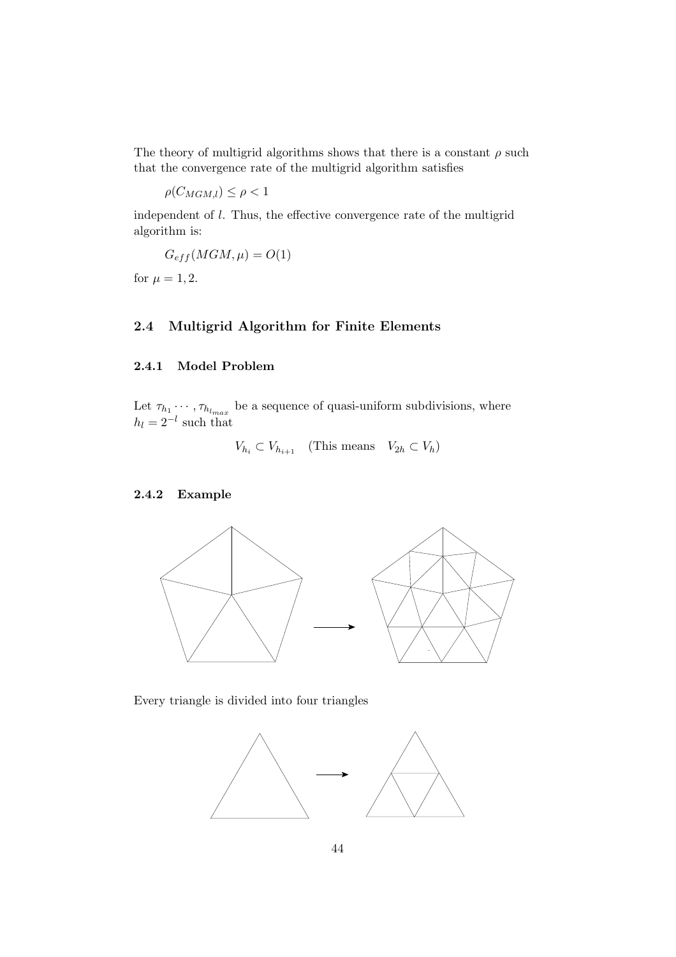The theory of multigrid algorithms shows that there is a constant  $\rho$  such that the convergence rate of the multigrid algorithm satisfies

$$
\rho(C_{MGM,l}) \le \rho < 1
$$

independent of l. Thus, the effective convergence rate of the multigrid algorithm is:

$$
G_{eff}(MGM,\mu) = O(1)
$$

for  $\mu = 1, 2$ .

## 2.4 Multigrid Algorithm for Finite Elements

## 2.4.1 Model Problem

Let  $\tau_{h_1} \cdots, \tau_{h_{l_{max}}}$  be a sequence of quasi-uniform subdivisions, where  $h_l = 2^{-l}$  such that

$$
V_{h_i} \subset V_{h_{i+1}} \quad \text{(This means} \quad V_{2h} \subset V_h)
$$

### 2.4.2 Example



Every triangle is divided into four triangles

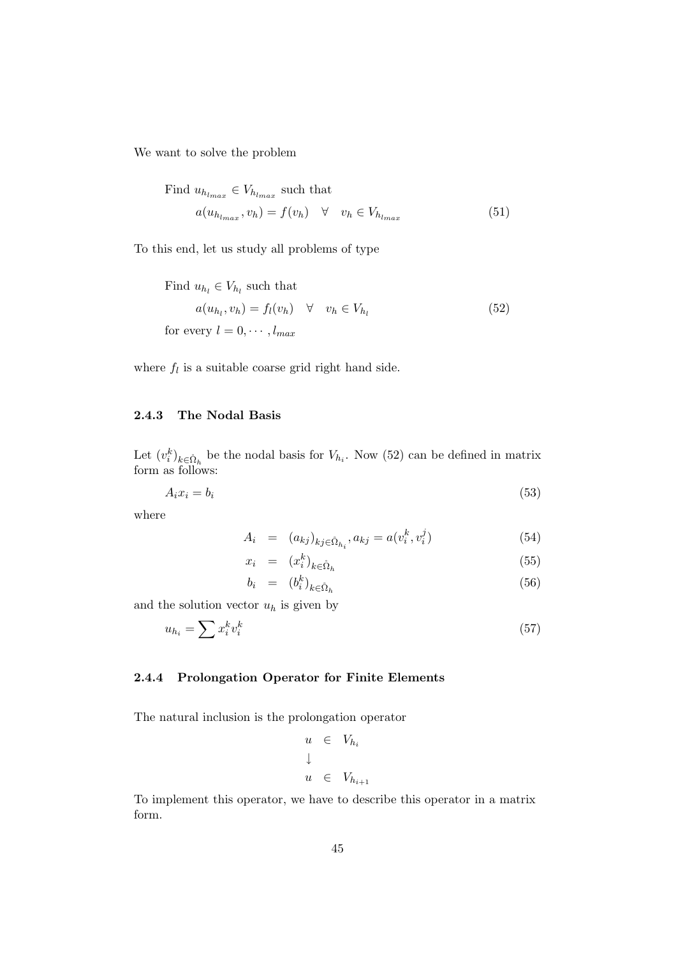We want to solve the problem

Find 
$$
u_{h_{l_{max}}} \in V_{h_{l_{max}}}
$$
 such that  
\n
$$
a(u_{h_{l_{max}}}, v_h) = f(v_h) \quad \forall \quad v_h \in V_{h_{l_{max}}} \tag{51}
$$

To this end, let us study all problems of type

Find 
$$
u_{h_l} \in V_{h_l}
$$
 such that  
\n
$$
a(u_{h_l}, v_h) = f_l(v_h) \quad \forall \quad v_h \in V_{h_l}
$$
\nfor every  $l = 0, \dots, l_{max}$  (52)

where  $f_l$  is a suitable coarse grid right hand side.

#### 2.4.3 The Nodal Basis

Let  $(v_i^k)_{k \in \mathring{\Omega}_h}$  be the nodal basis for  $V_{h_i}$ . Now (52) can be defined in matrix form as follows:

$$
A_i x_i = b_i \tag{53}
$$

where

$$
A_i = (a_{kj})_{kj \in \mathring{\Omega}_{h_i}}, a_{kj} = a(v_i^k, v_i^j)
$$
\n(54)

$$
x_i = (x_i^k)_{k \in \mathring{\Omega}_h} \tag{55}
$$

$$
b_i = (b_i^k)_{k \in \mathring{\Omega}_h} \tag{56}
$$

and the solution vector  $u_h$  is given by

$$
u_{h_i} = \sum x_i^k v_i^k \tag{57}
$$

### 2.4.4 Prolongation Operator for Finite Elements

The natural inclusion is the prolongation operator

$$
u \in V_{h_i}
$$
  

$$
\downarrow
$$
  

$$
u \in V_{h_{i+1}}
$$

To implement this operator, we have to describe this operator in a matrix form.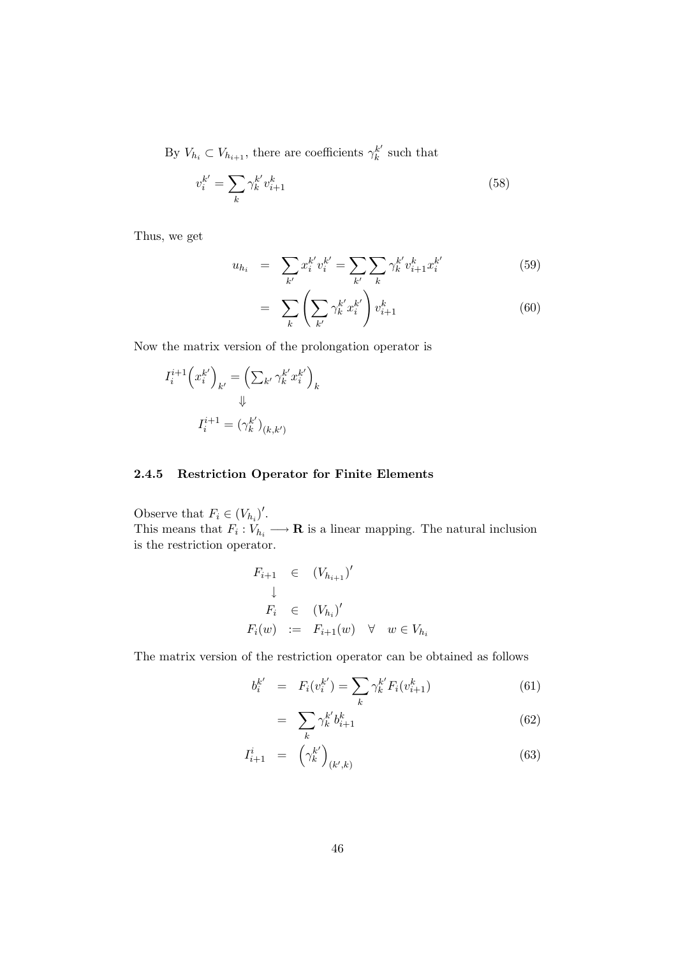By  $V_{h_i} \subset V_{h_{i+1}}$ , there are coefficients  $\gamma_k^{k'}$  $\frac{k'}{k}$  such that

$$
v_i^{k'} = \sum_k \gamma_k^{k'} v_{i+1}^k \tag{58}
$$

Thus, we get

$$
u_{h_i} = \sum_{k'} x_i^{k'} v_i^{k'} = \sum_{k'} \sum_k \gamma_k^{k'} v_{i+1}^{k} x_i^{k'} \tag{59}
$$

$$
= \sum_{k} \left( \sum_{k'} \gamma_k^{k'} x_i^{k'} \right) v_{i+1}^k \tag{60}
$$

Now the matrix version of the prolongation operator is

$$
I_i^{i+1} \left( x_i^{k'} \right)_{k'} = \left( \sum_{k'} \gamma_k^{k'} x_i^{k'} \right)_k
$$
  

$$
\Downarrow
$$
  

$$
I_i^{i+1} = \left( \gamma_k^{k'} \right)_{(k,k')}
$$

### 2.4.5 Restriction Operator for Finite Elements

Observe that  $F_i \in (V_{h_i})'$ . This means that  $F_i: V_{h_i} \longrightarrow \mathbf{R}$  is a linear mapping. The natural inclusion is the restriction operator.

$$
F_{i+1} \in (V_{h_{i+1}})'
$$
  
\n
$$
\downarrow
$$
  
\n
$$
F_i \in (V_{h_i})'
$$
  
\n
$$
F_i(w) := F_{i+1}(w) \quad \forall \quad w \in V_{h_i}
$$

The matrix version of the restriction operator can be obtained as follows

$$
b_i^{k'} = F_i(v_i^{k'}) = \sum_k \gamma_k^{k'} F_i(v_{i+1}^k)
$$
\n(61)

$$
= \sum_{k} \gamma_k^{k'} b_{i+1}^k \tag{62}
$$

$$
I_{i+1}^i = \left(\gamma_k^{k'}\right)_{(k',k)}\tag{63}
$$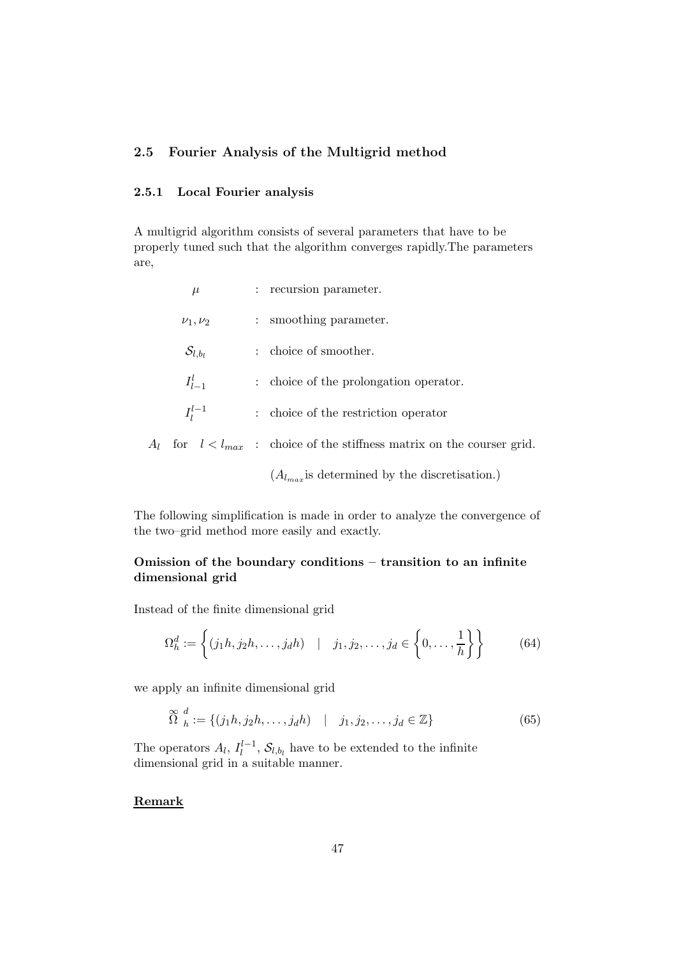## 2.5 Fourier Analysis of the Multigrid method

### 2.5.1 Local Fourier analysis

A multigrid algorithm consists of several parameters that have to be properly tuned such that the algorithm converges rapidly.The parameters are,

| $\mu$                 |               | : recursion parameter.                                                  |
|-----------------------|---------------|-------------------------------------------------------------------------|
| $\nu_1, \nu_2$        | $\mathcal{L}$ | smoothing parameter.                                                    |
| $\mathcal{S}_{l,b_l}$ |               | choice of smoother.                                                     |
| $I_{l-1}^l$           |               | : choice of the prolongation operator.                                  |
| $I_1^{l-1}$           |               | : choice of the restriction operator                                    |
|                       |               | for $l < l_{max}$ : choice of the stiffness matrix on the courser grid. |
|                       |               |                                                                         |

 $(A_{l_{max}})$  is determined by the discretisation.)

The following simplification is made in order to analyze the convergence of the two–grid method more easily and exactly.

## Omission of the boundary conditions – transition to an infinite dimensional grid

Instead of the finite dimensional grid

$$
\Omega_h^d := \left\{ (j_1 h, j_2 h, \dots, j_d h) \quad | \quad j_1, j_2, \dots, j_d \in \left\{ 0, \dots, \frac{1}{h} \right\} \right\} \tag{64}
$$

we apply an infinite dimensional grid

$$
\widetilde{\Omega}^d_h := \{ (j_1 h, j_2 h, \dots, j_d h) \mid j_1, j_2, \dots, j_d \in \mathbb{Z} \}
$$
\n(65)

The operators  $A_l$ ,  $I_l^{l-1}$  $\mathcal{E}_l^{l-1}, \mathcal{S}_{l,b_l}$  have to be extended to the infinite dimensional grid in a suitable manner.

## Remark

 $A_l$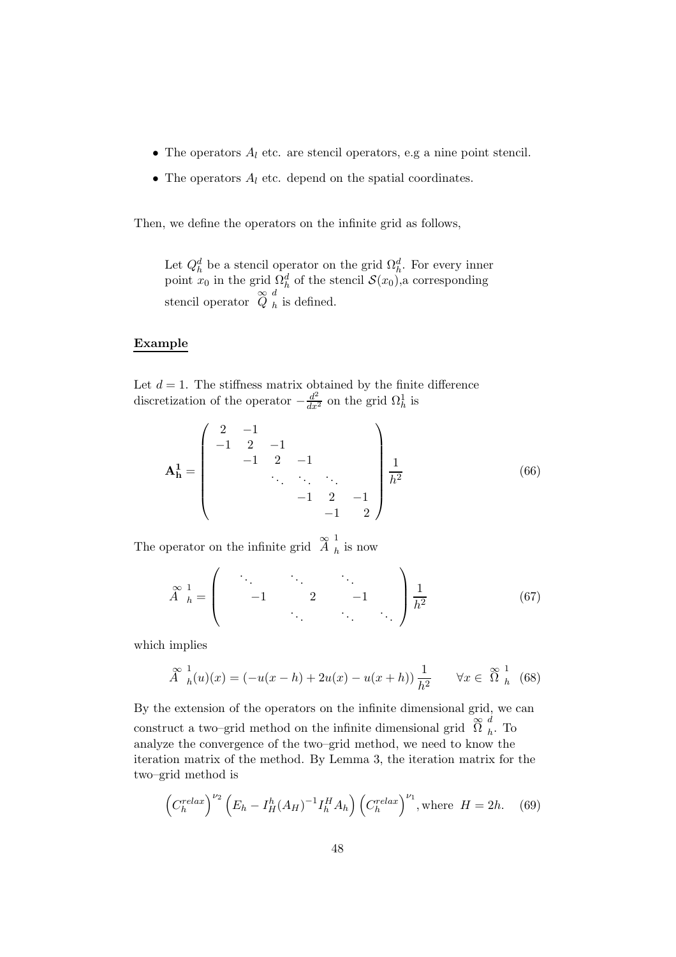- The operators  $A_l$  etc. are stencil operators, e.g a nine point stencil.
- The operators  $A_l$  etc. depend on the spatial coordinates.

Then, we define the operators on the infinite grid as follows,

Let  $Q_h^d$  be a stencil operator on the grid  $\Omega_h^d$ . For every inner point  $x_0$  in the grid  $\Omega_h^d$  of the stencil  $\mathcal{S}(x_0)$ , a corresponding stencil operator  $\varphi_h^d$  $<sub>h</sub>$  is defined.</sub>

### Example

Let  $d = 1$ . The stiffness matrix obtained by the finite difference discretization of the operator  $-\frac{d^2}{dx^2}$  on the grid  $\Omega_h^1$  is

$$
\mathbf{A}_{\mathbf{h}}^1 = \begin{pmatrix} 2 & -1 & & & & \\ -1 & 2 & -1 & & & \\ & -1 & 2 & -1 & & \\ & & \ddots & \ddots & \ddots & \\ & & & -1 & 2 & -1 \\ & & & & -1 & 2 \end{pmatrix} \frac{1}{h^2}
$$
(66)

The operator on the infinite grid  $\mathbb{Z}_{h}$ <sup>1</sup>  $h$  is now

$$
\stackrel{\infty}{A}^{1}_{h} = \begin{pmatrix} \ddots & \ddots & \ddots & \ddots \\ & -1 & 2 & -1 \\ & & \ddots & \ddots \end{pmatrix} \frac{1}{h^{2}} \tag{67}
$$

which implies

$$
\stackrel{\infty}{A}_{h}(u)(x) = (-u(x-h) + 2u(x) - u(x+h))\frac{1}{h^{2}} \quad \forall x \in \stackrel{\infty}{\Omega}_{h}^{1} (68)
$$

By the extension of the operators on the infinite dimensional grid, we can construct a two–grid method on the infinite dimensional grid  $\widetilde{\Omega}$   $\frac{d}{h}$  $_h$ . To analyze the convergence of the two–grid method, we need to know the iteration matrix of the method. By Lemma 3, the iteration matrix for the two–grid method is

$$
\left(C_h^{relax}\right)^{\nu_2}\left(E_h - I_H^h(A_H)^{-1}I_h^H A_h\right)\left(C_h^{relax}\right)^{\nu_1}, \text{where } H = 2h. \quad (69)
$$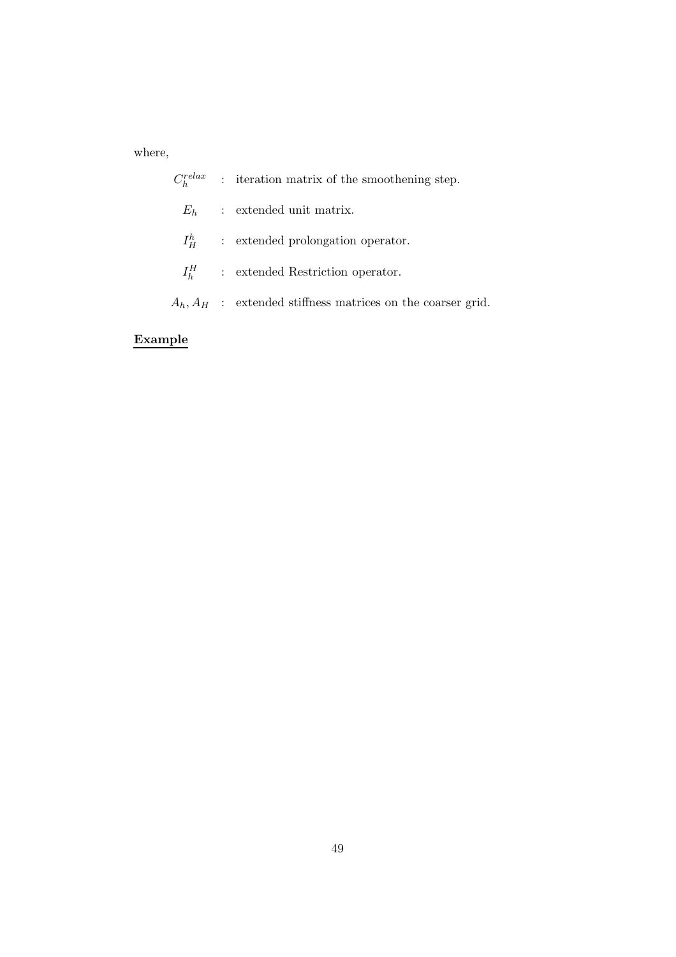where,

|  | $C_h^{relax}$ : iteration matrix of the smoothening step.      |
|--|----------------------------------------------------------------|
|  | $E_h$ : extended unit matrix.                                  |
|  | $I_H^h$ : extended prolongation operator.                      |
|  | $I_{\scriptscriptstyle{k}}^H$ : extended Restriction operator. |
|  | $A_h, A_H$ : extended stiffness matrices on the coarser grid.  |
|  |                                                                |

# Example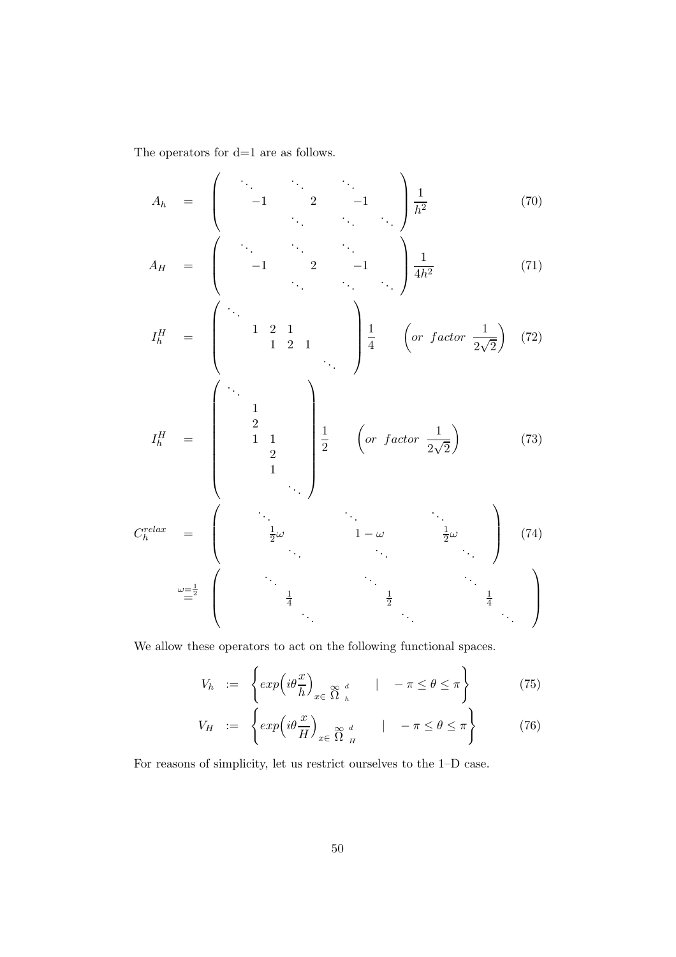The operators for  $\mathrm{d}{=}1$  are as follows.

$$
A_h = \begin{pmatrix} \ddots & \ddots & \ddots \\ -1 & 2 & -1 \\ \vdots & \ddots & \ddots \end{pmatrix} \frac{1}{h^2} \tag{70}
$$

$$
A_H = \begin{pmatrix} \cdot & \cdot & \cdot & \cdot \\ -1 & 2 & -1 & \cdot \\ & \cdot & \cdot & \cdot \\ & & \cdot & \cdot \end{pmatrix} \frac{1}{4h^2}
$$
 (71)

$$
I_h^H = \begin{pmatrix} \ddots & & & \\ & 1 & 2 & 1 & \\ & & 1 & 2 & 1 \\ & & & & \ddots \end{pmatrix} \begin{pmatrix} 1 & & & \\ 4 & & \left( \text{or factor } \frac{1}{2\sqrt{2}} \right) \\ 1 & & & \ddots \end{pmatrix}
$$
(72)

$$
I_h^H = \begin{pmatrix} \ddots & & & \\ & 1 & & & \\ & & 2 & & \\ & & & 1 & 1 \\ & & & & 2 & \\ & & & & & 1 \\ & & & & & & \ddots \end{pmatrix} \begin{pmatrix} & & & & & \\ & & & & & \\ 1 & & & & & \\ & & & & & 2 & \\ & & & & & & \ddots \end{pmatrix}
$$
(73)

$$
C_h^{relax} = \begin{pmatrix} \cdot & \cdot & \cdot & \cdot & \cdot \\ \frac{1}{2}\omega & \cdot & 1-\omega & \cdot & \frac{1}{2}\omega \\ \cdot & \cdot & \cdot & \cdot & \cdot \\ \frac{\omega=\frac{1}{2}}{4} & \cdot & \frac{1}{2} & \cdot & \frac{1}{4} \\ \cdot & \cdot & \cdot & \cdot & \cdot \end{pmatrix} \tag{74}
$$

We allow these operators to act on the following functional spaces.

$$
V_h := \left\{ \exp\left(i\theta \frac{x}{h}\right)_{x \in \widehat{\Omega}^{\ d}} \mid -\pi \le \theta \le \pi \right\} \tag{75}
$$

$$
V_H := \left\{ \exp\left(i\theta \frac{x}{H}\right)_{x \in \Omega} \underset{H}{\otimes} d \qquad | \quad -\pi \le \theta \le \pi \right\} \tag{76}
$$

For reasons of simplicity, let us restrict ourselves to the 1–D case.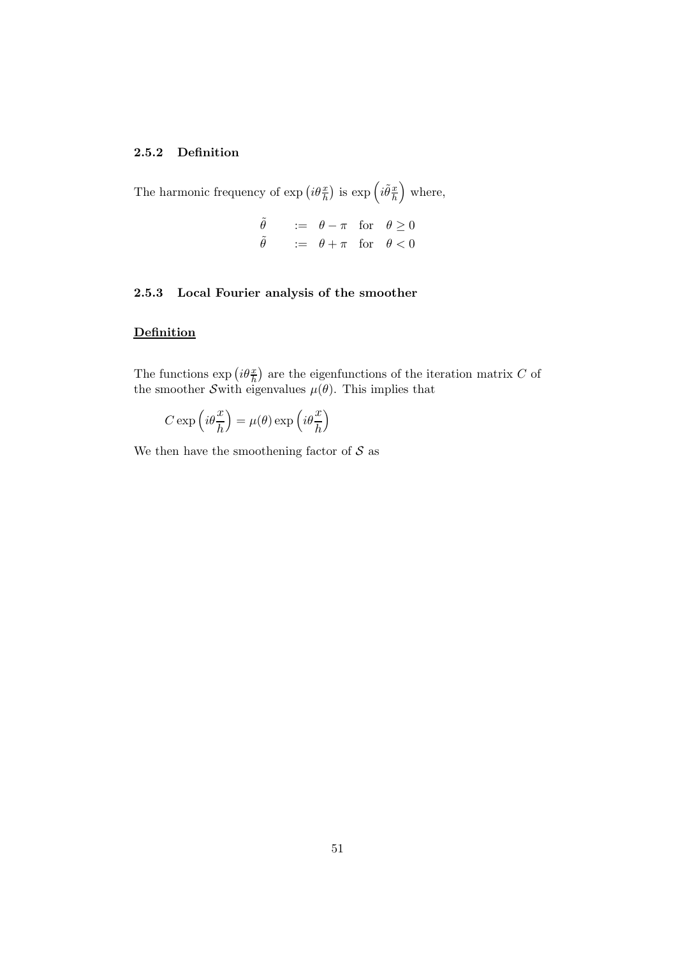## 2.5.2 Definition

The harmonic frequency of  $\exp\left(i\theta\frac{x}{h}\right)$  is  $\exp\left(i\tilde{\theta}\frac{x}{h}\right)$ h where,

$$
\begin{array}{lll}\n\tilde{\theta} & := & \theta - \pi \quad \text{for} \quad \theta \ge 0 \\
\tilde{\theta} & := & \theta + \pi \quad \text{for} \quad \theta < 0\n\end{array}
$$

### 2.5.3 Local Fourier analysis of the smoother

### **Definition**

The functions  $\exp\left(i\theta\frac{x}{h}\right)$  are the eigenfunctions of the iteration matrix C of the smoother Swith eigenvalues  $\mu(\theta)$ . This implies that

$$
C \exp\left(i\theta \frac{x}{h}\right) = \mu(\theta) \exp\left(i\theta \frac{x}{h}\right)
$$

We then have the smoothening factor of  $S$  as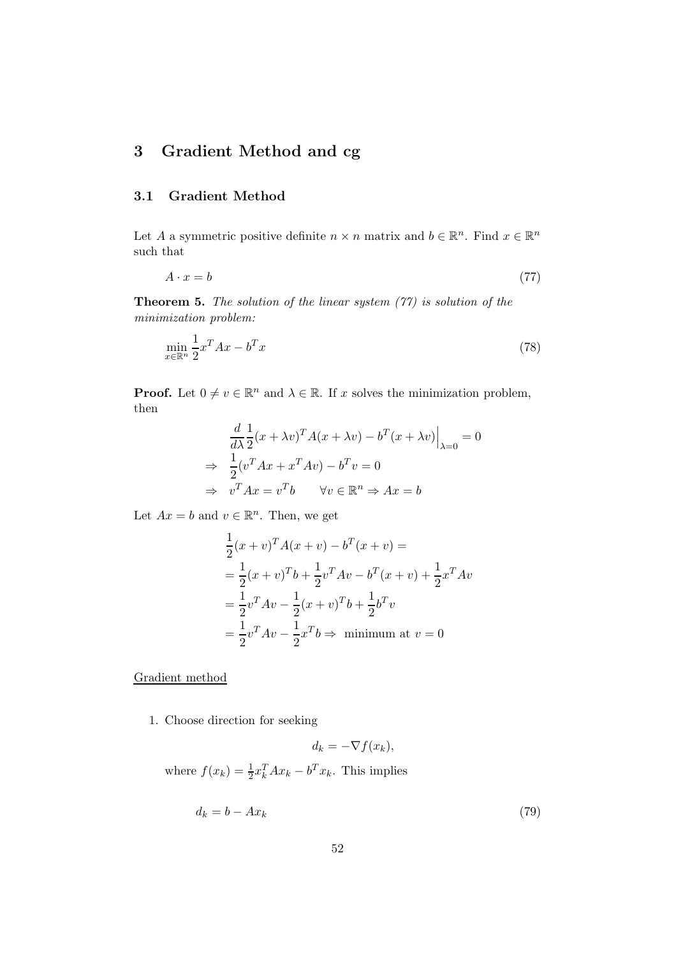# 3 Gradient Method and cg

## 3.1 Gradient Method

Let A a symmetric positive definite  $n \times n$  matrix and  $b \in \mathbb{R}^n$ . Find  $x \in \mathbb{R}^n$ such that

$$
A \cdot x = b \tag{77}
$$

**Theorem 5.** The solution of the linear system  $(77)$  is solution of the minimization problem:

$$
\min_{x \in \mathbb{R}^n} \frac{1}{2} x^T A x - b^T x \tag{78}
$$

**Proof.** Let  $0 \neq v \in \mathbb{R}^n$  and  $\lambda \in \mathbb{R}$ . If x solves the minimization problem, then

$$
\frac{d}{d\lambda} \frac{1}{2} (x + \lambda v)^T A (x + \lambda v) - b^T (x + \lambda v) \Big|_{\lambda=0} = 0
$$
  
\n
$$
\Rightarrow \frac{1}{2} (v^T A x + x^T A v) - b^T v = 0
$$
  
\n
$$
\Rightarrow v^T A x = v^T b \qquad \forall v \in \mathbb{R}^n \Rightarrow Ax = b
$$

Let  $Ax = b$  and  $v \in \mathbb{R}^n$ . Then, we get

$$
\frac{1}{2}(x+v)^T A(x+v) - b^T (x+v) =
$$
\n
$$
= \frac{1}{2}(x+v)^T b + \frac{1}{2}v^T A v - b^T (x+v) + \frac{1}{2}x^T A v
$$
\n
$$
= \frac{1}{2}v^T A v - \frac{1}{2}(x+v)^T b + \frac{1}{2}b^T v
$$
\n
$$
= \frac{1}{2}v^T A v - \frac{1}{2}x^T b \Rightarrow \text{ minimum at } v = 0
$$

Gradient method

1. Choose direction for seeking

$$
d_k = -\nabla f(x_k),
$$

where  $f(x_k) = \frac{1}{2} x_k^T A x_k - b^T x_k$ . This implies

$$
d_k = b - Ax_k \tag{79}
$$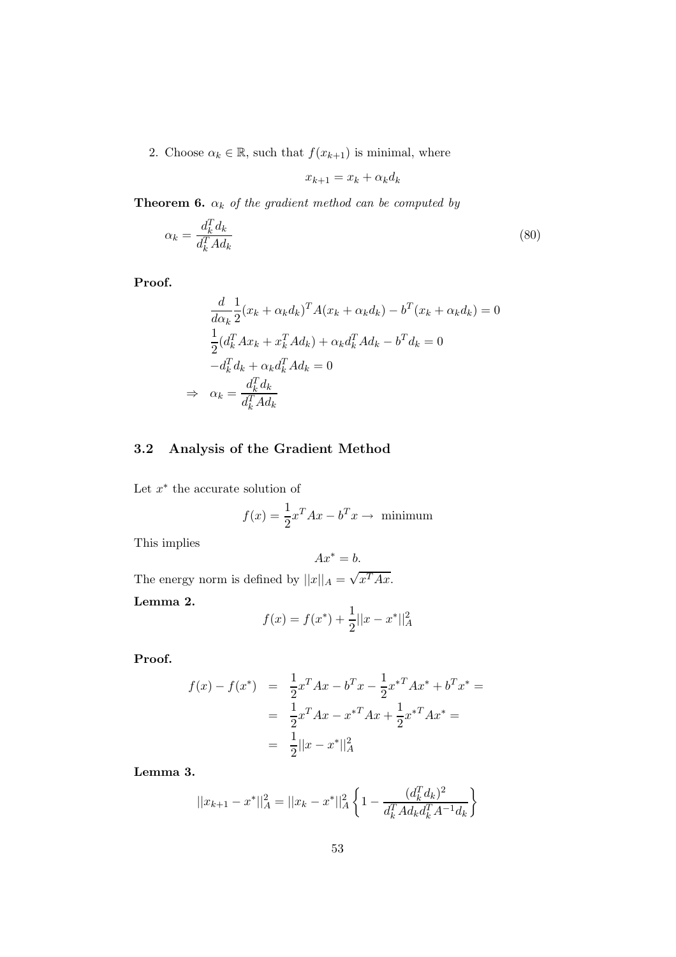2. Choose  $\alpha_k \in \mathbb{R}$ , such that  $f(x_{k+1})$  is minimal, where

$$
x_{k+1} = x_k + \alpha_k d_k
$$

**Theorem 6.**  $\alpha_k$  of the gradient method can be computed by

$$
\alpha_k = \frac{d_k^T d_k}{d_k^T A d_k} \tag{80}
$$

Proof.

$$
\frac{d}{d\alpha_k} \frac{1}{2} (x_k + \alpha_k d_k)^T A (x_k + \alpha_k d_k) - b^T (x_k + \alpha_k d_k) = 0
$$
\n
$$
\frac{1}{2} (d_k^T A x_k + x_k^T A d_k) + \alpha_k d_k^T A d_k - b^T d_k = 0
$$
\n
$$
-d_k^T d_k + \alpha_k d_k^T A d_k = 0
$$
\n
$$
\Rightarrow \alpha_k = \frac{d_k^T d_k}{d_k^T A d_k}
$$

# 3.2 Analysis of the Gradient Method

Let  $x^*$  the accurate solution of

$$
f(x) = \frac{1}{2}x^{T}Ax - b^{T}x \to \text{ minimum}
$$

This implies

$$
Ax^* = b.
$$

The energy norm is defined by  $||x||_A = \sqrt{x^T A x}$ .

Lemma 2.

$$
f(x) = f(x^*) + \frac{1}{2}||x - x^*||_A^2
$$

Proof.

$$
f(x) - f(x^*) = \frac{1}{2}x^T A x - b^T x - \frac{1}{2}x^{*T} A x^* + b^T x^* =
$$
  
= 
$$
\frac{1}{2}x^T A x - x^{*T} A x + \frac{1}{2}x^{*T} A x^* =
$$
  
= 
$$
\frac{1}{2} ||x - x^*||_A^2
$$

Lemma 3.

$$
||x_{k+1} - x^*||_A^2 = ||x_k - x^*||_A^2 \left\{ 1 - \frac{(d_k^T d_k)^2}{d_k^T A d_k d_k^T A^{-1} d_k} \right\}
$$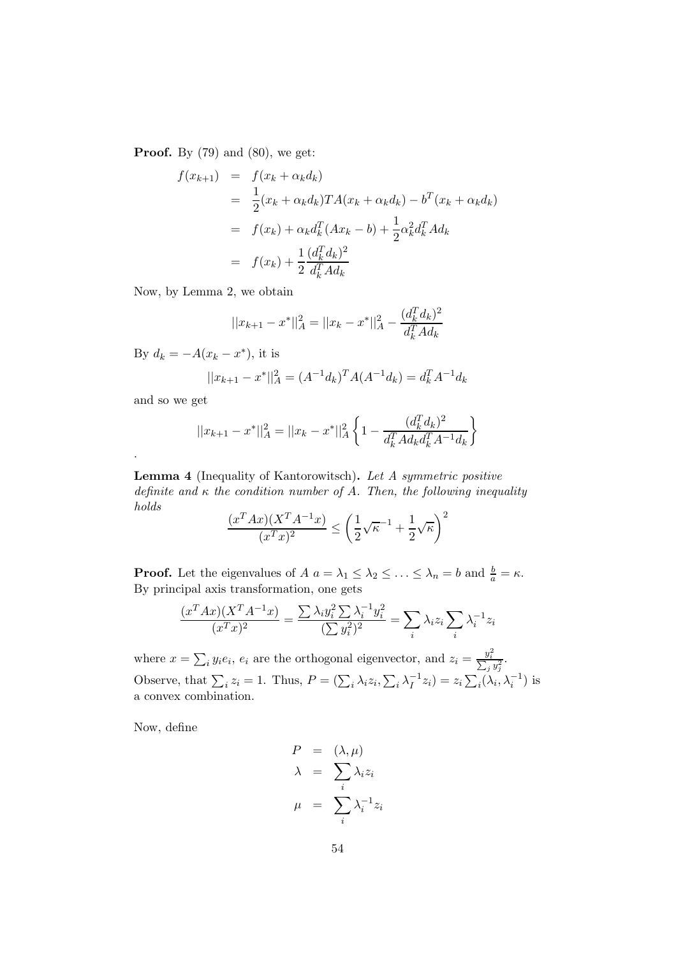**Proof.** By  $(79)$  and  $(80)$ , we get:

$$
f(x_{k+1}) = f(x_k + \alpha_k d_k)
$$
  
= 
$$
\frac{1}{2}(x_k + \alpha_k d_k) T A(x_k + \alpha_k d_k) - b^T (x_k + \alpha_k d_k)
$$
  
= 
$$
f(x_k) + \alpha_k d_k^T (Ax_k - b) + \frac{1}{2} \alpha_k^2 d_k^T A d_k
$$
  
= 
$$
f(x_k) + \frac{1}{2} \frac{(d_k^T d_k)^2}{d_k^T A d_k}
$$

Now, by Lemma 2, we obtain

$$
||x_{k+1} - x^*||_A^2 = ||x_k - x^*||_A^2 - \frac{(d_k^T d_k)^2}{d_k^T A d_k}
$$

By  $d_k = -A(x_k - x^*)$ , it is

$$
||x_{k+1} - x^*||_A^2 = (A^{-1}d_k)^T A (A^{-1}d_k) = d_k^T A^{-1}d_k
$$

and so we get

.

$$
||x_{k+1} - x^*||_A^2 = ||x_k - x^*||_A^2 \left\{ 1 - \frac{(d_k^T d_k)^2}{d_k^T A d_k d_k^T A^{-1} d_k} \right\}
$$

Lemma 4 (Inequality of Kantorowitsch). Let A symmetric positive definite and  $\kappa$  the condition number of A. Then, the following inequality holds

$$
\frac{(x^T A x)(X^T A^{-1} x)}{(x^T x)^2} \le \left(\frac{1}{2}\sqrt{\kappa}^{-1} + \frac{1}{2}\sqrt{\kappa}\right)^2
$$

**Proof.** Let the eigenvalues of  $A$   $a = \lambda_1 \leq \lambda_2 \leq \ldots \leq \lambda_n = b$  and  $\frac{b}{a} = \kappa$ . By principal axis transformation, one gets

$$
\frac{(x^T A x)(X^T A^{-1} x)}{(x^T x)^2} = \frac{\sum \lambda_i y_i^2 \sum \lambda_i^{-1} y_i^2}{(\sum y_i^2)^2} = \sum_i \lambda_i z_i \sum_i \lambda_i^{-1} z_i
$$

where  $x = \sum_i y_i e_i$ ,  $e_i$  are the orthogonal eigenvector, and  $z_i = \frac{y_i^2}{\sum_j y_j^2}$ . Observe, that  $\sum_i z_i = 1$ . Thus,  $P = (\sum_i \lambda_i z_i, \sum_i \lambda_i^{-1})$  $I_1^{-1}z_i$ ) =  $z_i\sum_i(\lambda_i, \lambda_i^{-1})$  is a convex combination.

Now, define

$$
P = (\lambda, \mu)
$$
  
\n
$$
\lambda = \sum_{i} \lambda_{i} z_{i}
$$
  
\n
$$
\mu = \sum_{i} \lambda_{i}^{-1} z_{i}
$$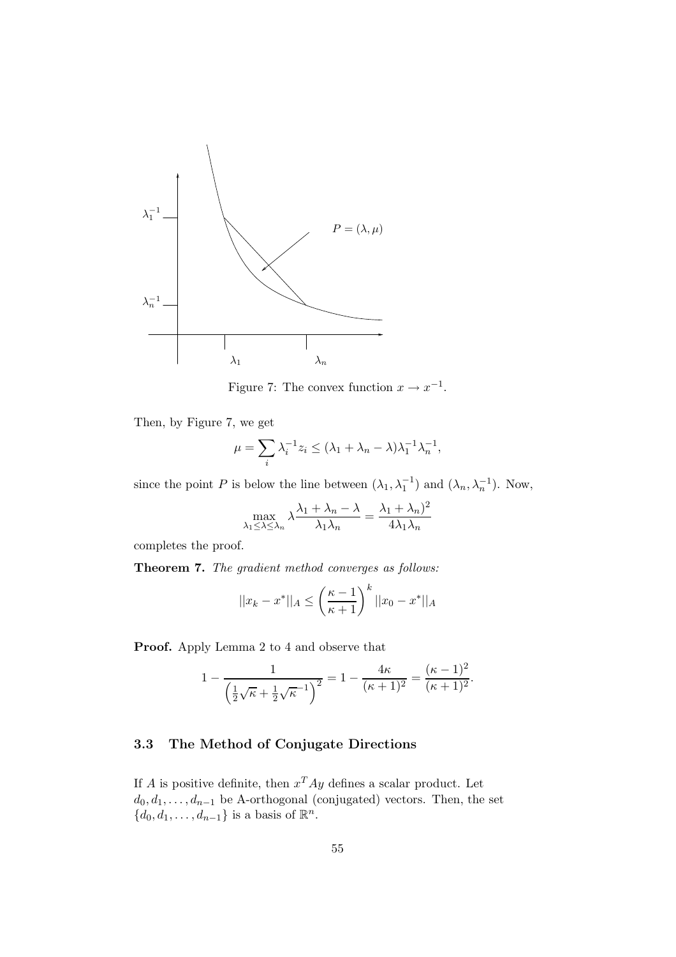

Figure 7: The convex function  $x \to x^{-1}$ .

Then, by Figure 7, we get

$$
\mu=\sum_i \lambda_i^{-1}z_i\leq (\lambda_1+\lambda_n-\lambda)\lambda_1^{-1}\lambda_n^{-1},
$$

since the point P is below the line between  $(\lambda_1, \lambda_1^{-1})$  and  $(\lambda_n, \lambda_n^{-1})$ . Now,

$$
\max_{\lambda_1 \leq \lambda \leq \lambda_n} \lambda \frac{\lambda_1 + \lambda_n - \lambda}{\lambda_1 \lambda_n} = \frac{\lambda_1 + \lambda_n^2}{4\lambda_1 \lambda_n}
$$

completes the proof.

Theorem 7. The gradient method converges as follows:

$$
||x_k - x^*||_A \le \left(\frac{\kappa - 1}{\kappa + 1}\right)^k ||x_0 - x^*||_A
$$

Proof. Apply Lemma 2 to 4 and observe that

$$
1 - \frac{1}{\left(\frac{1}{2}\sqrt{\kappa} + \frac{1}{2}\sqrt{\kappa}\right)^2} = 1 - \frac{4\kappa}{(\kappa+1)^2} = \frac{(\kappa-1)^2}{(\kappa+1)^2}.
$$

### 3.3 The Method of Conjugate Directions

If A is positive definite, then  $x^T A y$  defines a scalar product. Let  $d_0, d_1, \ldots, d_{n-1}$  be A-orthogonal (conjugated) vectors. Then, the set  $\{d_0, d_1, \ldots, d_{n-1}\}\$ is a basis of  $\mathbb{R}^n$ .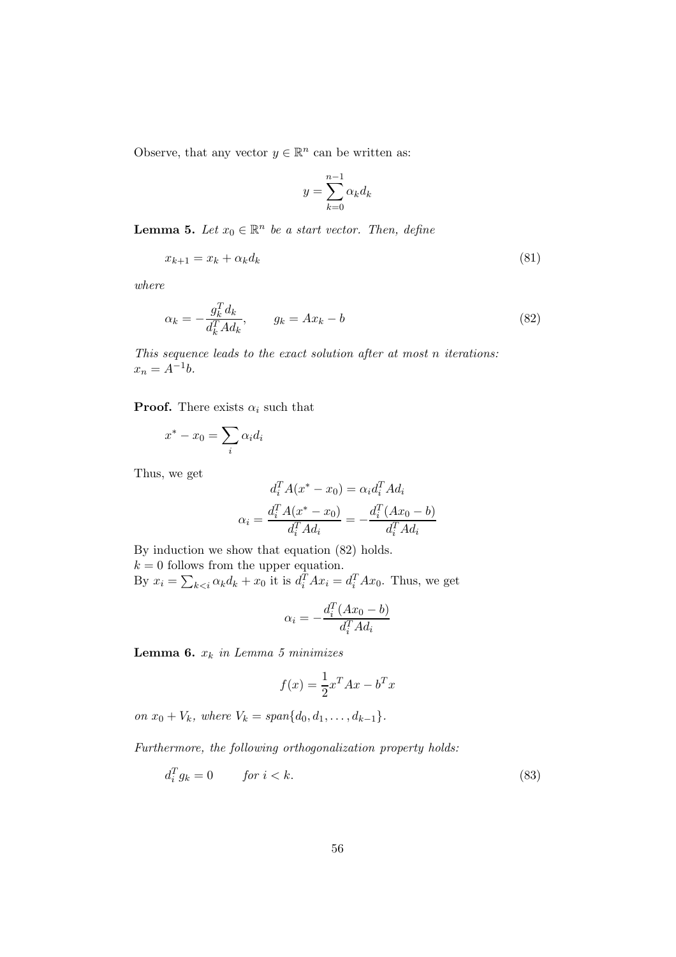Observe, that any vector  $y \in \mathbb{R}^n$  can be written as:

$$
y = \sum_{k=0}^{n-1} \alpha_k d_k
$$

**Lemma 5.** Let  $x_0 \in \mathbb{R}^n$  be a start vector. Then, define

$$
x_{k+1} = x_k + \alpha_k d_k \tag{81}
$$

where

$$
\alpha_k = -\frac{g_k^T d_k}{d_k^T A d_k}, \qquad g_k = A x_k - b \tag{82}
$$

This sequence leads to the exact solution after at most n iterations:  $x_n = A^{-1}b.$ 

**Proof.** There exists  $\alpha_i$  such that

$$
x^* - x_0 = \sum_i \alpha_i d_i
$$

Thus, we get

$$
d_i^T A(x^* - x_0) = \alpha_i d_i^T A d_i
$$

$$
\alpha_i = \frac{d_i^T A(x^* - x_0)}{d_i^T A d_i} = -\frac{d_i^T (Ax_0 - b)}{d_i^T A d_i}
$$

By induction we show that equation (82) holds.

 $k = 0$  follows from the upper equation. By  $x_i = \sum_{k \leq i} \alpha_k d_k + x_0$  it is  $d_i^T A x_i = d_i^T A x_0$ . Thus, we get

$$
\alpha_i = -\frac{d_i^T (Ax_0 - b)}{d_i^T A d_i}
$$

Lemma 6.  $x_k$  in Lemma 5 minimizes

$$
f(x) = \frac{1}{2}x^T A x - b^T x
$$

on  $x_0 + V_k$ , where  $V_k = span{d_0, d_1, ..., d_{k-1}}$ .

Furthermore, the following orthogonalization property holds:

$$
d_i^T g_k = 0 \t\t for \t i < k. \t\t(83)
$$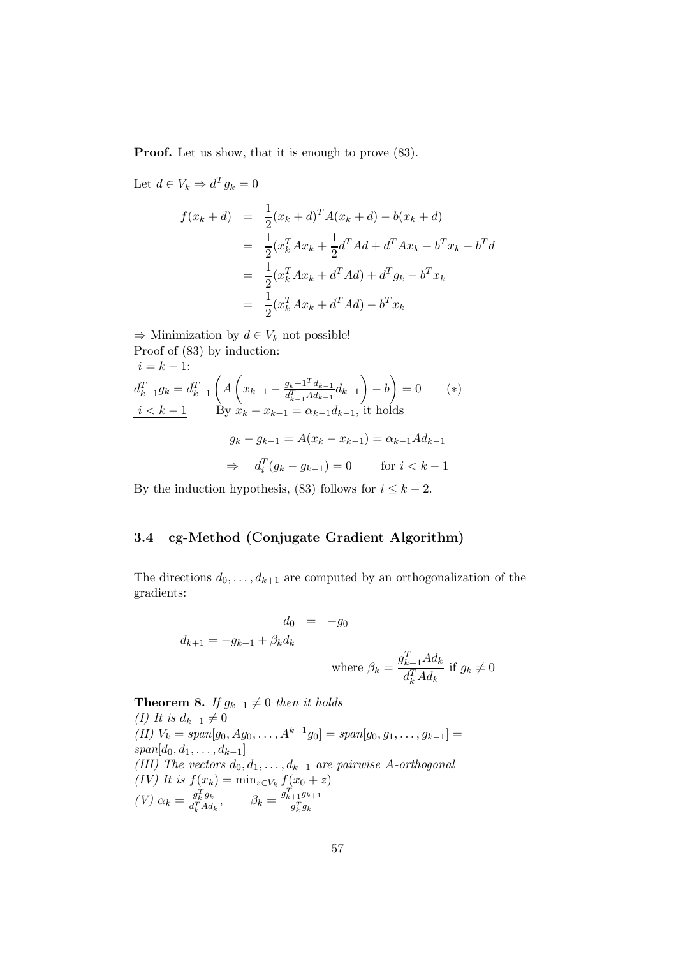**Proof.** Let us show, that it is enough to prove  $(83)$ .

Let 
$$
d \in V_k \Rightarrow d^T g_k = 0
$$
  
\n
$$
f(x_k + d) = \frac{1}{2} (x_k + d)^T A (x_k + d) - b(x_k + d)
$$
\n
$$
= \frac{1}{2} (x_k^T A x_k + \frac{1}{2} d^T A d + d^T A x_k - b^T x_k - b^T d
$$
\n
$$
= \frac{1}{2} (x_k^T A x_k + d^T A d) + d^T g_k - b^T x_k
$$
\n
$$
= \frac{1}{2} (x_k^T A x_k + d^T A d) - b^T x_k
$$

 $\Rightarrow$  Minimization by  $d \in V_k$  not possible! Proof of (83) by induction:  $i = k - 1$ :  $d_{k-1}^T g_k = d_{k-1}^T$  $\sqrt{ }$ A  $\sqrt{ }$  $x_{k-1} - \frac{g_k - 1^T d_{k-1}}{d_{k-1}^T A d_{k-1}}$  $\frac{g_k-1}{d_{k-1}^T A d_{k-1}} d_{k-1}$  $\setminus$  $-\,b$  $\setminus$  $= 0$  (\*)  $i \leq k-1$  By  $x_k - x_{k-1} = \alpha_{k-1} d_{k-1}$ , it holds  $g_k - g_{k-1} = A(x_k - x_{k-1}) = \alpha_{k-1} A d_{k-1}$  $\Rightarrow d_i^T(g_k - g_{k-1}) = 0$  for  $i < k - 1$ 

By the induction hypothesis, (83) follows for  $i \leq k - 2$ .

## 3.4 cg-Method (Conjugate Gradient Algorithm)

The directions  $d_0, \ldots, d_{k+1}$  are computed by an orthogonalization of the gradients:

$$
d_0 = -g_0
$$
  

$$
d_{k+1} = -g_{k+1} + \beta_k d_k
$$
  
where  $\beta_k = \frac{g_{k+1}^T A d_k}{d_k^T A d_k}$  if  $g_k \neq 0$ 

**Theorem 8.** If  $g_{k+1} \neq 0$  then it holds (I) It is  $d_{k-1} \neq 0$ (II)  $V_k = span[g_0, Ag_0, \ldots, A^{k-1}g_0] = span[g_0, g_1, \ldots, g_{k-1}] =$  $span[d_0, d_1, \ldots, d_{k-1}]$ (III) The vectors  $d_0, d_1, \ldots, d_{k-1}$  are pairwise A-orthogonal (IV) It is  $f(x_k) = \min_{z \in V_k} f(x_0 + z)$  $(V)$   $\alpha_k = \frac{g_k^T g_k}{d_k^T A d}$  $\frac{g_k^T g_k}{d_k^T A d_k}, \qquad \beta_k = \frac{g_{k+1}^T g_{k+1}}{g_k^T g_k}$  $g_k^T g_k$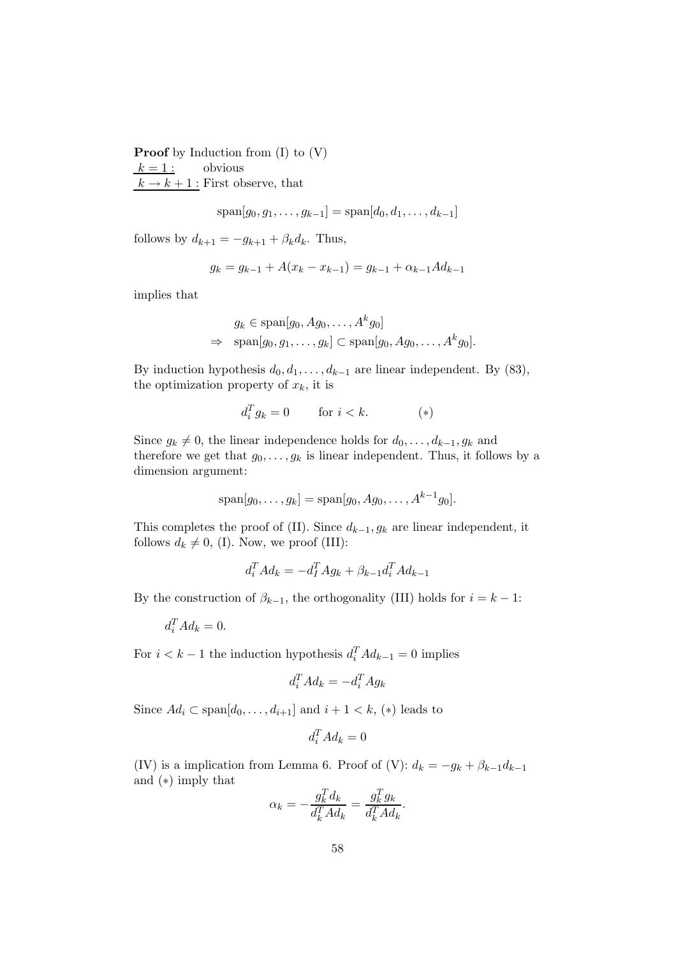**Proof** by Induction from  $(I)$  to  $(V)$  $k = 1$ : obvious  $k \to k+1$ : First observe, that

$$
span[g_0, g_1, \dots, g_{k-1}] = span[d_0, d_1, \dots, d_{k-1}]
$$

follows by  $d_{k+1} = -g_{k+1} + \beta_k d_k$ . Thus,

$$
g_k = g_{k-1} + A(x_k - x_{k-1}) = g_{k-1} + \alpha_{k-1} A d_{k-1}
$$

implies that

$$
g_k \in \text{span}[g_0, Ag_0, \dots, A^k g_0]
$$
  
\n
$$
\Rightarrow \text{span}[g_0, g_1, \dots, g_k] \subset \text{span}[g_0, Ag_0, \dots, A^k g_0].
$$

By induction hypothesis  $d_0, d_1, \ldots, d_{k-1}$  are linear independent. By (83), the optimization property of  $x_k$ , it is

$$
d_i^T g_k = 0 \qquad \text{for } i < k. \tag{*}
$$

Since  $g_k \neq 0$ , the linear independence holds for  $d_0, \ldots, d_{k-1}, g_k$  and therefore we get that  $g_0, \ldots, g_k$  is linear independent. Thus, it follows by a dimension argument:

$$
span[g_0,...,g_k] = span[g_0, Ag_0,...,A^{k-1}g_0].
$$

This completes the proof of (II). Since  $d_{k-1}, g_k$  are linear independent, it follows  $d_k \neq 0$ , (I). Now, we proof (III):

$$
d_i^T A d_k = -d_i^T A g_k + \beta_{k-1} d_i^T A d_{k-1}
$$

By the construction of  $\beta_{k-1}$ , the orthogonality (III) holds for  $i = k - 1$ :

 $d_i^T A d_k = 0.$ 

For  $i < k - 1$  the induction hypothesis  $d_i^T A d_{k-1} = 0$  implies

$$
d_i^T A d_k = -d_i^T A g_k
$$

Since  $Ad_i \,\subset \text{span}[d_0, \ldots, d_{i+1}]$  and  $i+1 \lt k$ ,  $(*)$  leads to

$$
d_i^T A d_k = 0
$$

(IV) is a implication from Lemma 6. Proof of (V):  $d_k = -g_k + \beta_{k-1}d_{k-1}$ and (∗) imply that  $\overline{a}$  $\overline{f}$ 

$$
\alpha_k = -\frac{g_k^T d_k}{d_k^T A d_k} = \frac{g_k^T g_k}{d_k^T A d_k}.
$$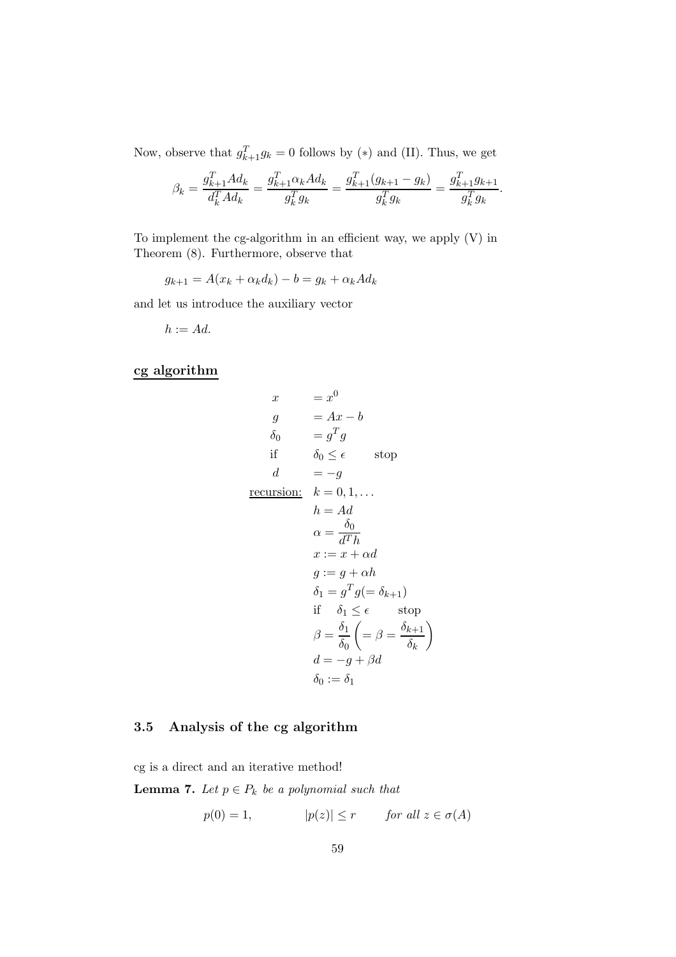Now, observe that  $g_{k+1}^T g_k = 0$  follows by (\*) and (II). Thus, we get

$$
\beta_k = \frac{g_{k+1}^T A d_k}{d_k^T A d_k} = \frac{g_{k+1}^T \alpha_k A d_k}{g_k^T g_k} = \frac{g_{k+1}^T (g_{k+1} - g_k)}{g_k^T g_k} = \frac{g_{k+1}^T g_{k+1}}{g_k^T g_k}.
$$

To implement the cg-algorithm in an efficient way, we apply (V) in Theorem (8). Furthermore, observe that

 $g_{k+1} = A(x_k + \alpha_k d_k) - b = g_k + \alpha_k A d_k$ 

and let us introduce the auxiliary vector

$$
h:=Ad.
$$

cg algorithm

$$
x = x^{0}
$$
  
\n
$$
g = Ax - b
$$
  
\n
$$
\delta_{0} = g^{T} g
$$
  
\nif  $\delta_{0} \leq \epsilon$  stop  
\n
$$
d = -g
$$
  
\nrecursion:  $k = 0, 1, ...$   
\n
$$
h = Ad
$$
  
\n
$$
\alpha = \frac{\delta_{0}}{d^{T}h}
$$
  
\n
$$
x := x + \alpha d
$$
  
\n
$$
g := g + \alpha h
$$
  
\n
$$
\delta_{1} = g^{T} g (= \delta_{k+1})
$$
  
\nif  $\delta_{1} \leq \epsilon$  stop  
\n
$$
\beta = \frac{\delta_{1}}{\delta_{0}} \left( = \beta = \frac{\delta_{k+1}}{\delta_{k}} \right)
$$
  
\n
$$
d = -g + \beta d
$$
  
\n
$$
\delta_{0} := \delta_{1}
$$

## 3.5 Analysis of the cg algorithm

cg is a direct and an iterative method!

**Lemma 7.** Let  $p \in P_k$  be a polynomial such that

$$
p(0) = 1, \qquad |p(z)| \le r \qquad \text{for all } z \in \sigma(A)
$$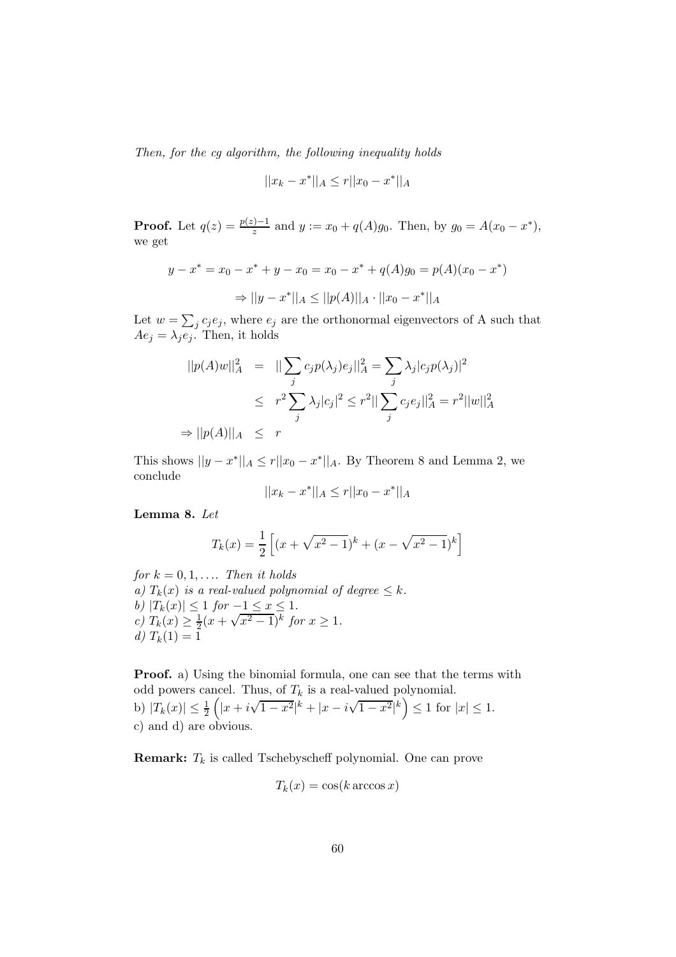Then, for the cg algorithm, the following inequality holds

$$
||x_k - x^*||_A \le r||x_0 - x^*||_A
$$

**Proof.** Let  $q(z) = \frac{p(z)-1}{z}$  and  $y := x_0 + q(A)g_0$ . Then, by  $g_0 = A(x_0 - x^*)$ , we get

$$
y - x^* = x_0 - x^* + y - x_0 = x_0 - x^* + q(A)g_0 = p(A)(x_0 - x^*)
$$
  

$$
\Rightarrow ||y - x^*||_A \le ||p(A)||_A \cdot ||x_0 - x^*||_A
$$

Let  $w = \sum_j c_j e_j$ , where  $e_j$  are the orthonormal eigenvectors of A such that  $Ae_j = \lambda_j e_j$ . Then, it holds

$$
||p(A)w||_A^2 = ||\sum_j c_j p(\lambda_j) e_j||_A^2 = \sum_j \lambda_j |c_j p(\lambda_j)|^2
$$
  
\n
$$
\leq r^2 \sum_j \lambda_j |c_j|^2 \leq r^2 ||\sum_j c_j e_j||_A^2 = r^2 ||w||_A^2
$$
  
\n
$$
\Rightarrow ||p(A)||_A \leq r
$$

This shows  $||y - x^*||_A \le r||x_0 - x^*||_A$ . By Theorem 8 and Lemma 2, we conclude

$$
||x_k - x^*||_A \le r||x_0 - x^*||_A
$$

Lemma 8. Let

$$
T_k(x) = \frac{1}{2} \left[ (x + \sqrt{x^2 - 1})^k + (x - \sqrt{x^2 - 1})^k \right]
$$

for  $k = 0, 1, \ldots$  Then it holds a)  $T_k(x)$  is a real-valued polynomial of degree  $\leq k$ . b)  $|T_k(x)| \leq 1$  for  $-\underline{1 \leq x} \leq 1$ . c)  $T_k(x) \geq \frac{1}{2}$  $\frac{1}{2}(x+\sqrt{x^2-1})^k$  for  $x \ge 1$ . d)  $T_k(1) = 1$ 

Proof. a) Using the binomial formula, one can see that the terms with odd powers cancel. Thus, of  $T_k$  is a real-valued polynomial. b)  $|T_k(x)| \leq \frac{1}{2}$  $\left(|x+i\sqrt{1-x^2}|^k+|x-i\sqrt{1-x^2}|^k\right)\leq 1$  for  $|x|\leq 1$ . c) and d) are obvious.

**Remark:**  $T_k$  is called Tschebyscheff polynomial. One can prove

$$
T_k(x) = \cos(k \arccos x)
$$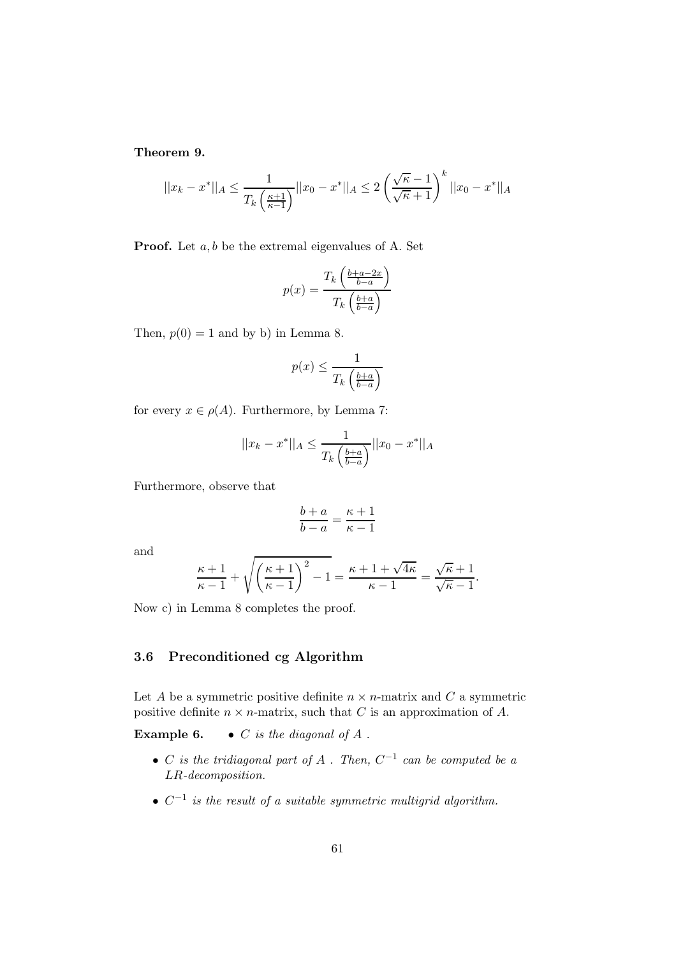Theorem 9.

$$
||x_k - x^*||_A \le \frac{1}{T_k \left(\frac{\kappa + 1}{\kappa - 1}\right)} ||x_0 - x^*||_A \le 2 \left(\frac{\sqrt{\kappa} - 1}{\sqrt{\kappa} + 1}\right)^k ||x_0 - x^*||_A
$$

**Proof.** Let  $a, b$  be the extremal eigenvalues of A. Set

$$
p(x) = \frac{T_k \left(\frac{b+a-2x}{b-a}\right)}{T_k \left(\frac{b+a}{b-a}\right)}
$$

Then,  $p(0) = 1$  and by b) in Lemma 8.

$$
p(x) \le \frac{1}{T_k \left(\frac{b+a}{b-a}\right)}
$$

for every  $x \in \rho(A)$ . Furthermore, by Lemma 7:

$$
||x_k - x^*||_A \le \frac{1}{T_k \left(\frac{b+a}{b-a}\right)} ||x_0 - x^*||_A
$$

Furthermore, observe that

$$
\frac{b+a}{b-a} = \frac{\kappa+1}{\kappa-1}
$$

and

$$
\frac{\kappa+1}{\kappa-1} + \sqrt{\left(\frac{\kappa+1}{\kappa-1}\right)^2 - 1} = \frac{\kappa+1 + \sqrt{4\kappa}}{\kappa-1} = \frac{\sqrt{\kappa}+1}{\sqrt{\kappa}-1}.
$$

Now c) in Lemma 8 completes the proof.

## 3.6 Preconditioned cg Algorithm

Let A be a symmetric positive definite  $n \times n$ -matrix and C a symmetric positive definite  $n \times n$ -matrix, such that C is an approximation of A.

**Example 6.** • C is the diagonal of A.

- C is the tridiagonal part of A . Then,  $C^{-1}$  can be computed be a LR-decomposition.
- $C^{-1}$  is the result of a suitable symmetric multigrid algorithm.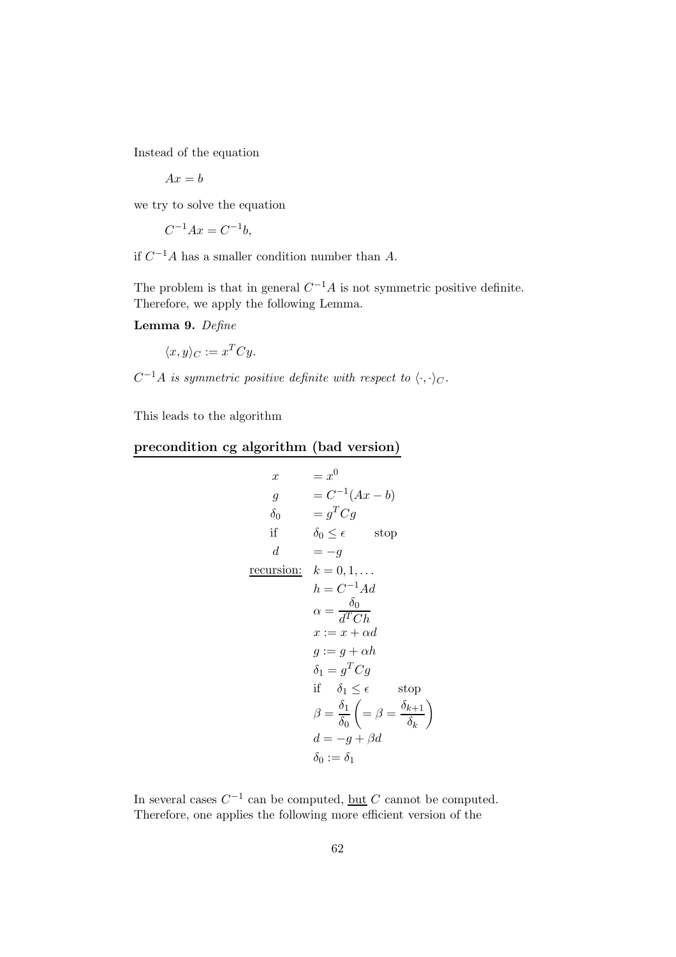Instead of the equation

 $Ax = b$ 

we try to solve the equation

$$
C^{-1}Ax = C^{-1}b,
$$

if  $C^{-1}A$  has a smaller condition number than A.

The problem is that in general  $C^{-1}A$  is not symmetric positive definite. Therefore, we apply the following Lemma.

Lemma 9. Define

$$
\langle x, y \rangle_C := x^T C y.
$$

 $C^{-1}A$  is symmetric positive definite with respect to  $\langle \cdot, \cdot \rangle_C$ .

This leads to the algorithm

# precondition cg algorithm (bad version)

$$
x = x^{0}
$$
  
\n
$$
g = C^{-1}(Ax - b)
$$
  
\n
$$
\delta_{0} = g^{T}Cg
$$
  
\nif  $\delta_{0} \le \epsilon$  stop  
\n
$$
d = -g
$$
  
\nrecursion:  $k = 0, 1, ...$   
\n
$$
h = C^{-1}Ad
$$
  
\n
$$
\alpha = \frac{\delta_{0}}{d^{T}Ch}
$$
  
\n
$$
x := x + \alpha d
$$
  
\n
$$
g := g + \alpha h
$$
  
\n
$$
\delta_{1} = g^{T}Cg
$$
  
\nif  $\delta_{1} \le \epsilon$  stop  
\n
$$
\beta = \frac{\delta_{1}}{\delta_{0}} \left( = \beta = \frac{\delta_{k+1}}{\delta_{k}} \right)
$$
  
\n
$$
d = -g + \beta d
$$
  
\n
$$
\delta_{0} := \delta_{1}
$$

In several cases  $C^{-1}$  can be computed, <u>but</u> C cannot be computed. Therefore, one applies the following more efficient version of the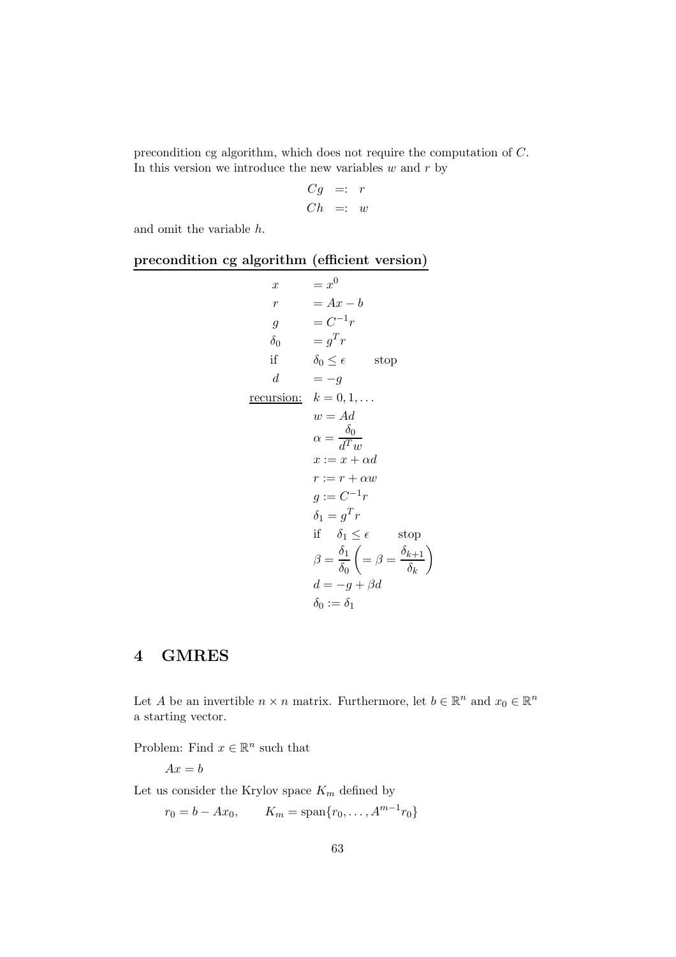precondition cg algorithm, which does not require the computation of C. In this version we introduce the new variables  $w$  and  $r$  by

$$
\begin{array}{rcl} Cg & =: & r \\ Ch & =: & w \end{array}
$$

and omit the variable h.

## precondition cg algorithm (efficient version)

| $\boldsymbol{x}$  | $= x^0$                                                                                    |
|-------------------|--------------------------------------------------------------------------------------------|
| $\mathfrak{r}$    | $= Ax - b$                                                                                 |
| $\overline{g}$    | $= C^{-1}r$                                                                                |
| $\delta_0$        | $= q^T r$                                                                                  |
| if                | $\delta_0 \leq \epsilon$ stop                                                              |
| $\boldsymbol{d}$  | $=-g$                                                                                      |
| <u>recursion:</u> | $k=0,1,\ldots$                                                                             |
|                   | $w = Ad$                                                                                   |
|                   | $\alpha = \frac{\delta_0}{d^Tm}$                                                           |
|                   | $x := x + \alpha d$                                                                        |
|                   | $r := r + \alpha w$                                                                        |
|                   | $q := C^{-1}r$                                                                             |
|                   | $\delta_1 = g^T r$                                                                         |
|                   | if $\delta_1 \leq \epsilon$<br>stop                                                        |
|                   | $\beta = \frac{\delta_1}{\delta_0} \left( = \beta = \frac{\delta_{k+1}}{\delta_k} \right)$ |
|                   | $d = -g + \beta d$                                                                         |
|                   | $\delta_0 := \delta_1$                                                                     |

# 4 GMRES

Let A be an invertible  $n \times n$  matrix. Furthermore, let  $b \in \mathbb{R}^n$  and  $x_0 \in \mathbb{R}^n$ a starting vector.

Problem: Find  $x \in \mathbb{R}^n$  such that

$$
Ax=b
$$

Let us consider the Krylov space  $K_m$  defined by

 $r_0 = b - Ax_0,$   $K_m = \text{span}\{r_0, \ldots, A^{m-1}r_0\}$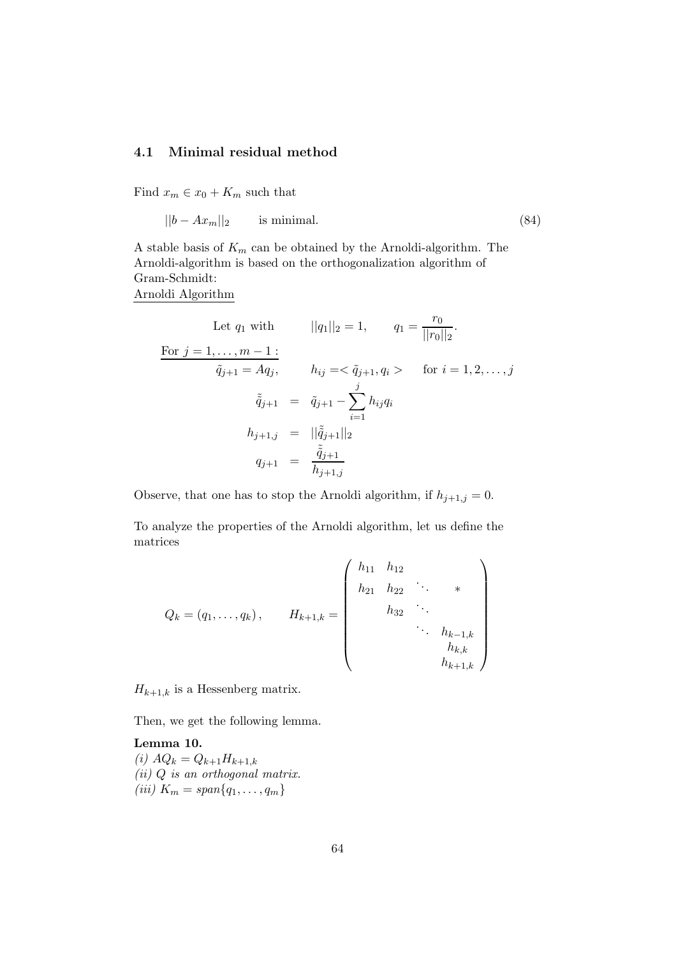#### 4.1 Minimal residual method

Find  $x_m \in x_0 + K_m$  such that

$$
||b - Ax_m||_2 \qquad \text{is minimal.} \tag{84}
$$

A stable basis of  $K_m$  can be obtained by the Arnoldi-algorithm. The Arnoldi-algorithm is based on the orthogonalization algorithm of Gram-Schmidt: Arnoldi Algorithm

Let  $q_1$  with  $||q_1||_2 = 1$ ,  $q_1 = \frac{r_0}{||r_0||_2}$  $\frac{1}{||r_0||_2}$ . For  $j = 1, ..., m - 1$ :  $\tilde{q}_{j+1} = Aq_j, \qquad h_{ij} = \langle \tilde{q}_{j+1}, q_i \rangle \qquad \text{for } i = 1, 2, \dots, j$  $\tilde{\tilde{q}}_{j+1} = \tilde{q}_{j+1} - \sum_{j=1}^{j}$  $i=1$  $h_{ij}q_i$  $h_{j+1,j} = ||\tilde{\tilde{q}}_{j+1}||_2$  $q_{j+1} = \frac{\tilde{\tilde{q}}_{j+1}}{\tilde{k}}$  $h_{j+1,j}$ 

Observe, that one has to stop the Arnoldi algorithm, if  $h_{j+1,j} = 0$ .

To analyze the properties of the Arnoldi algorithm, let us define the matrices

 $\overline{a}$ 

$$
Q_k = (q_1, \ldots, q_k), \qquad H_{k+1,k} = \begin{pmatrix} h_{11} & h_{12} & & & \\ & h_{21} & h_{22} & \cdots & * \\ & & h_{32} & \ddots & \\ & & & \ddots & h_{k-1,k} \\ & & & & h_{k,k} \\ & & & & h_{k+1,k} \end{pmatrix}
$$

 $H_{k+1,k}$  is a Hessenberg matrix.

Then, we get the following lemma.

Lemma 10. (i)  $AQ_k = Q_{k+1}H_{k+1,k}$  $(ii) Q$  is an orthogonal matrix. (*iii*)  $K_m = \text{span}\{q_1, ..., q_m\}$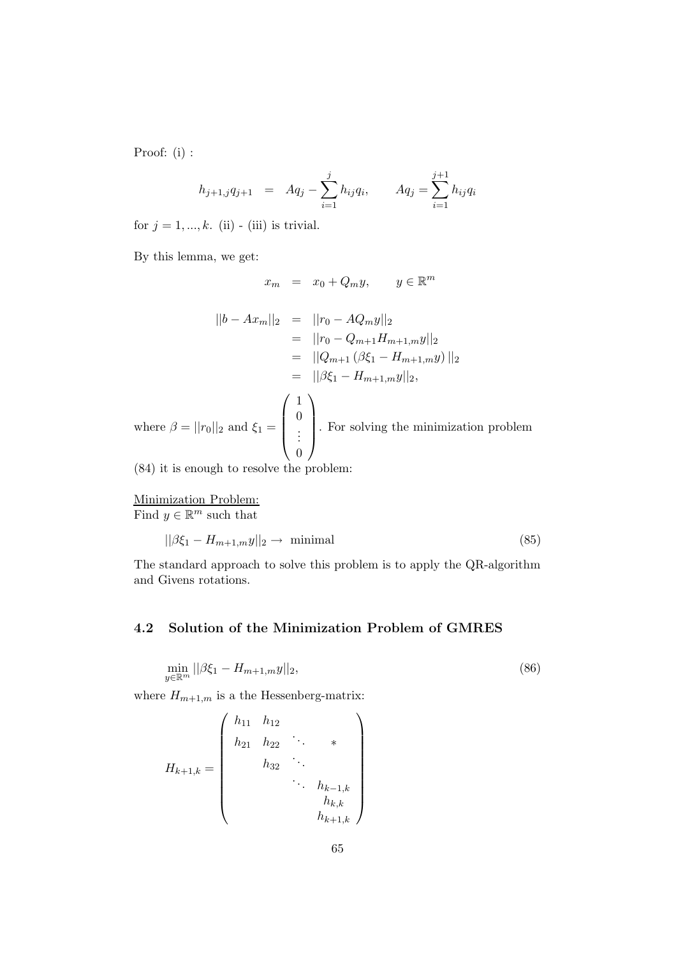Proof: (i) :

$$
h_{j+1,j}q_{j+1} = Aq_j - \sum_{i=1}^j h_{ij}q_i, \qquad Aq_j = \sum_{i=1}^{j+1} h_{ij}q_i
$$

for  $j = 1, ..., k$ . (ii) - (iii) is trivial.

By this lemma, we get:

$$
x_m = x_0 + Q_m y, \qquad y \in \mathbb{R}^m
$$

$$
||b - Ax_m||_2 = ||r_0 - AQ_my||_2
$$
  
\n
$$
= ||r_0 - Q_{m+1}H_{m+1,m}y||_2
$$
  
\n
$$
= ||Q_{m+1}(\beta \xi_1 - H_{m+1,m}y)||_2
$$
  
\n
$$
= ||\beta \xi_1 - H_{m+1,m}y||_2,
$$
  
\nwhere  $\beta = ||r_0||_2$  and  $\xi_1 = \begin{pmatrix} 1 \\ 0 \\ \vdots \\ 0 \end{pmatrix}$ . For solving the minimization problem

(84) it is enough to resolve the problem:

Minimization Problem:

Find  $y \in \mathbb{R}^m$  such that

$$
||\beta \xi_1 - H_{m+1,m}y||_2 \to \text{ minimal}
$$
\n(85)

The standard approach to solve this problem is to apply the QR-algorithm and Givens rotations.

## 4.2 Solution of the Minimization Problem of GMRES

$$
\min_{y \in \mathbb{R}^m} ||\beta \xi_1 - H_{m+1,m} y||_2,\tag{86}
$$

where  $H_{m+1,m}$  is a the Hessenberg-matrix:

$$
H_{k+1,k} = \begin{pmatrix} h_{11} & h_{12} & & & \\ h_{21} & h_{22} & \ddots & & \\ & h_{32} & \ddots & & \\ & & \ddots & h_{k-1,k} & \\ & & & h_{k,k} & \\ & & & & h_{k+1,k} \end{pmatrix}
$$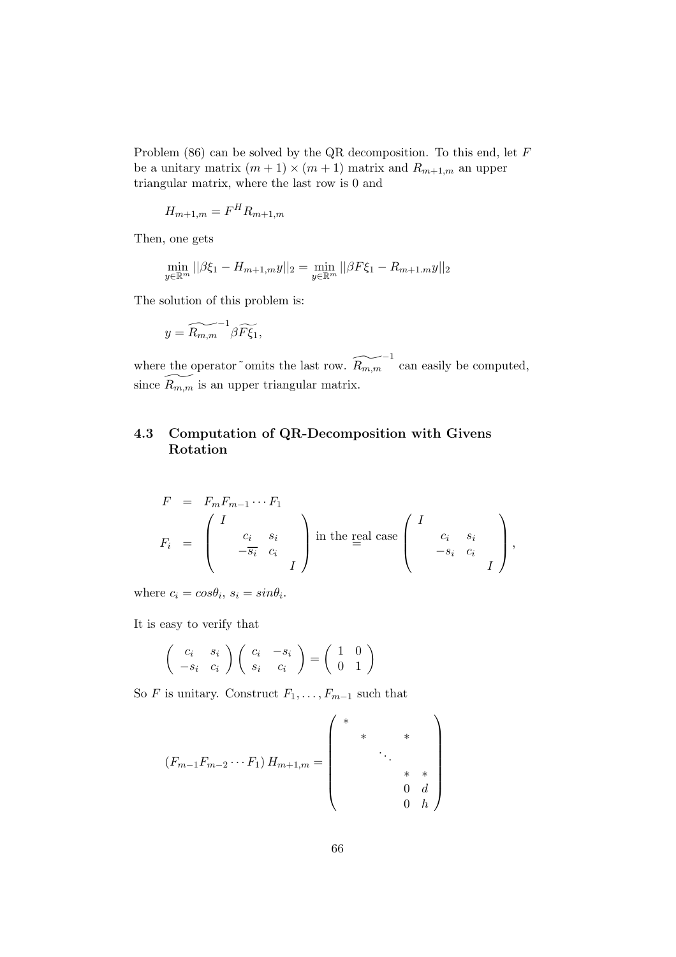Problem (86) can be solved by the QR decomposition. To this end, let F be a unitary matrix  $(m + 1) \times (m + 1)$  matrix and  $R_{m+1,m}$  an upper triangular matrix, where the last row is 0 and

$$
H_{m+1,m} = F^H R_{m+1,m}
$$

Then, one gets

$$
\min_{y \in \mathbb{R}^m} ||\beta \xi_1 - H_{m+1,m}y||_2 = \min_{y \in \mathbb{R}^m} ||\beta F \xi_1 - R_{m+1,m}y||_2
$$

The solution of this problem is:

$$
y = \widetilde{R_{m,m}}^{-1} \beta \widetilde{F\xi_1},
$$

where the operator~omits the last row.  $\widetilde{R_{m,m}}^{-1}$  can easily be computed, since  $\widetilde{R_{m,m}}$  is an upper triangular matrix.

## 4.3 Computation of QR-Decomposition with Givens Rotation

$$
F = F_m F_{m-1} \cdots F_1
$$
  
\n
$$
F_i = \begin{pmatrix} I & & & \\ & c_i & s_i & \\ & -\overline{s_i} & c_i & \\ & & I & \end{pmatrix}
$$
 in the real case  $\begin{pmatrix} I & & & \\ & c_i & s_i & \\ & -s_i & c_i & \\ & & I & \end{pmatrix}$ ,

where  $c_i = cos\theta_i$ ,  $s_i = sin\theta_i$ .

It is easy to verify that

$$
\left(\begin{array}{cc}c_i & s_i\\-s_i & c_i\end{array}\right)\left(\begin{array}{cc}c_i & -s_i\\s_i & c_i\end{array}\right) = \left(\begin{array}{cc}1 & 0\\0 & 1\end{array}\right)
$$

So F is unitary. Construct  $F_1, \ldots, F_{m-1}$  such that

$$
(F_{m-1}F_{m-2}\cdots F_1) H_{m+1,m} = \begin{pmatrix} * & & & & & \\ & * & & * & & \\ & & \ddots & & & \\ & & & * & * & \\ & & & & 0 & d \\ & & & & & 0 \end{pmatrix}
$$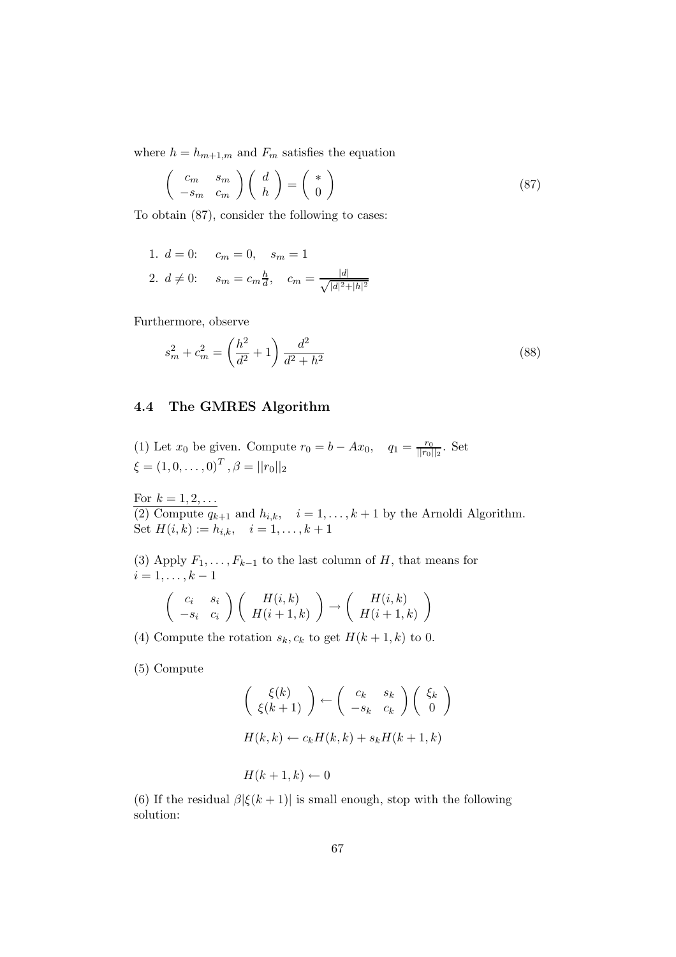where  $h = h_{m+1,m}$  and  $F_m$  satisfies the equation

$$
\begin{pmatrix} c_m & s_m \\ -s_m & c_m \end{pmatrix} \begin{pmatrix} d \\ h \end{pmatrix} = \begin{pmatrix} * \\ 0 \end{pmatrix}
$$
 (87)

To obtain (87), consider the following to cases:

1. 
$$
d = 0
$$
:  $c_m = 0$ ,  $s_m = 1$   
2.  $d \neq 0$ :  $s_m = c_m \frac{h}{d}$ ,  $c_m = \frac{|d|}{\sqrt{|d|^2 + |h|^2}}$ 

Furthermore, observe

$$
s_m^2 + c_m^2 = \left(\frac{h^2}{d^2} + 1\right) \frac{d^2}{d^2 + h^2} \tag{88}
$$

### 4.4 The GMRES Algorithm

(1) Let  $x_0$  be given. Compute  $r_0 = b - Ax_0$ ,  $q_1 = \frac{r_0}{||r_0||}$  $\frac{r_0}{||r_0||_2}$ . Set  $\xi = (1, 0, \ldots, 0)^T$ ,  $\beta = ||r_0||_2$ 

For  $k = 1, 2, ...$ (2) Compute  $q_{k+1}$  and  $h_{i,k}$ ,  $i = 1, ..., k+1$  by the Arnoldi Algorithm. Set  $H(i,k) := h_{i,k}, \quad i = 1, \ldots, k+1$ 

(3) Apply  $F_1, \ldots, F_{k-1}$  to the last column of H, that means for  $i = 1, \ldots, k - 1$ 

$$
\left(\begin{array}{cc} c_i & s_i \\ -s_i & c_i \end{array}\right) \left(\begin{array}{c} H(i,k) \\ H(i+1,k) \end{array}\right) \rightarrow \left(\begin{array}{c} H(i,k) \\ H(i+1,k) \end{array}\right)
$$

(4) Compute the rotation  $s_k, c_k$  to get  $H(k+1, k)$  to 0.

(5) Compute

$$
\begin{pmatrix} \xi(k) \\ \xi(k+1) \end{pmatrix} \leftarrow \begin{pmatrix} c_k & s_k \\ -s_k & c_k \end{pmatrix} \begin{pmatrix} \xi_k \\ 0 \end{pmatrix}
$$

$$
H(k,k) \leftarrow c_k H(k,k) + s_k H(k+1,k)
$$

$$
H(k+1,k) \leftarrow 0
$$

(6) If the residual  $\beta |\xi(k+1)|$  is small enough, stop with the following solution: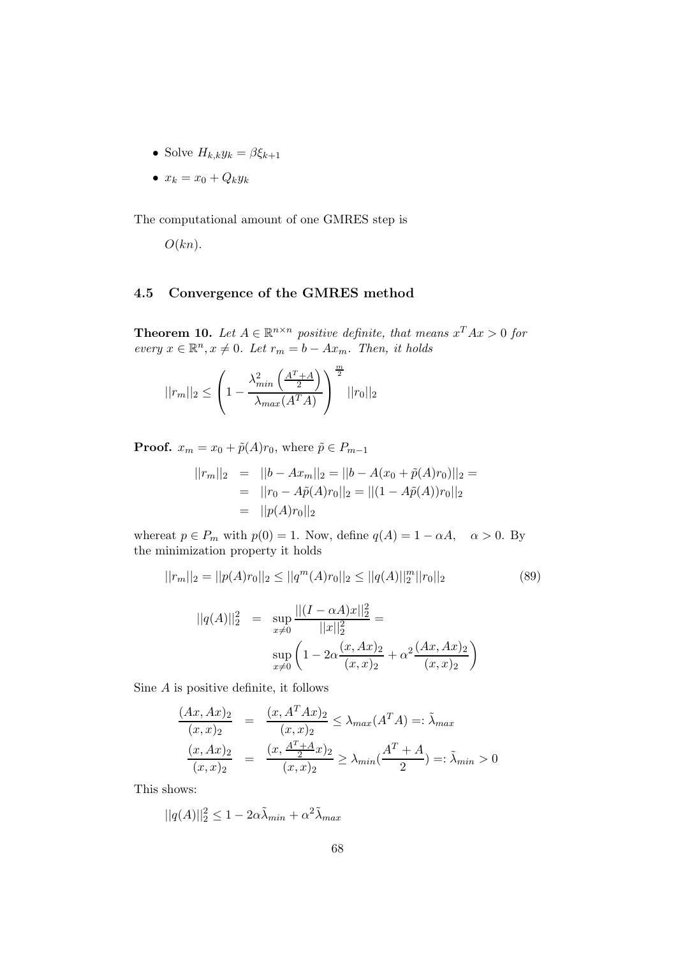- Solve  $H_{k,k}y_k = \beta \xi_{k+1}$
- $x_k = x_0 + Q_k y_k$

The computational amount of one GMRES step is

 $O(kn)$ .

## 4.5 Convergence of the GMRES method

**Theorem 10.** Let  $A \in \mathbb{R}^{n \times n}$  positive definite, that means  $x^T A x > 0$  for every  $x \in \mathbb{R}^n, x \neq 0$ . Let  $r_m = b - Ax_m$ . Then, it holds

$$
||r_m||_2 \le \left(1 - \frac{\lambda_{min}^2 \left(\frac{A^T + A}{2}\right)}{\lambda_{max}(A^T A)}\right)^{\frac{m}{2}} ||r_0||_2
$$

**Proof.**  $x_m = x_0 + \tilde{p}(A)r_0$ , where  $\tilde{p} \in P_{m-1}$ 

$$
||r_m||_2 = ||b - Ax_m||_2 = ||b - A(x_0 + \tilde{p}(A)r_0)||_2 =
$$
  
= 
$$
||r_0 - A\tilde{p}(A)r_0||_2 = ||(1 - A\tilde{p}(A))r_0||_2
$$
  
= 
$$
||p(A)r_0||_2
$$

whereat  $p \in P_m$  with  $p(0) = 1$ . Now, define  $q(A) = 1 - \alpha A$ ,  $\alpha > 0$ . By the minimization property it holds

$$
||r_m||_2 = ||p(A)r_0||_2 \le ||q^m(A)r_0||_2 \le ||q(A)||_2^m ||r_0||_2
$$
\n(89)

$$
||q(A)||_2^2 = \sup_{x \neq 0} \frac{||(I - \alpha A)x||_2^2}{||x||_2^2} =
$$
  

$$
\sup_{x \neq 0} \left(1 - 2\alpha \frac{(x, Ax)_2}{(x, x)_2} + \alpha^2 \frac{(Ax, Ax)_2}{(x, x)_2}\right)
$$

Sine A is positive definite, it follows

$$
\frac{(Ax, Ax)_2}{(x, x)_2} = \frac{(x, A^T A x)_2}{(x, x)_2} \le \lambda_{max}(A^T A) =: \tilde{\lambda}_{max}
$$
\n
$$
\frac{(x, Ax)_2}{(x, x)_2} = \frac{(x, \frac{A^T + A}{2} x)_2}{(x, x)_2} \ge \lambda_{min}(\frac{A^T + A}{2}) =: \tilde{\lambda}_{min} > 0
$$

This shows:

$$
||q(A)||_2^2 \le 1 - 2\alpha \tilde{\lambda}_{min} + \alpha^2 \tilde{\lambda}_{max}
$$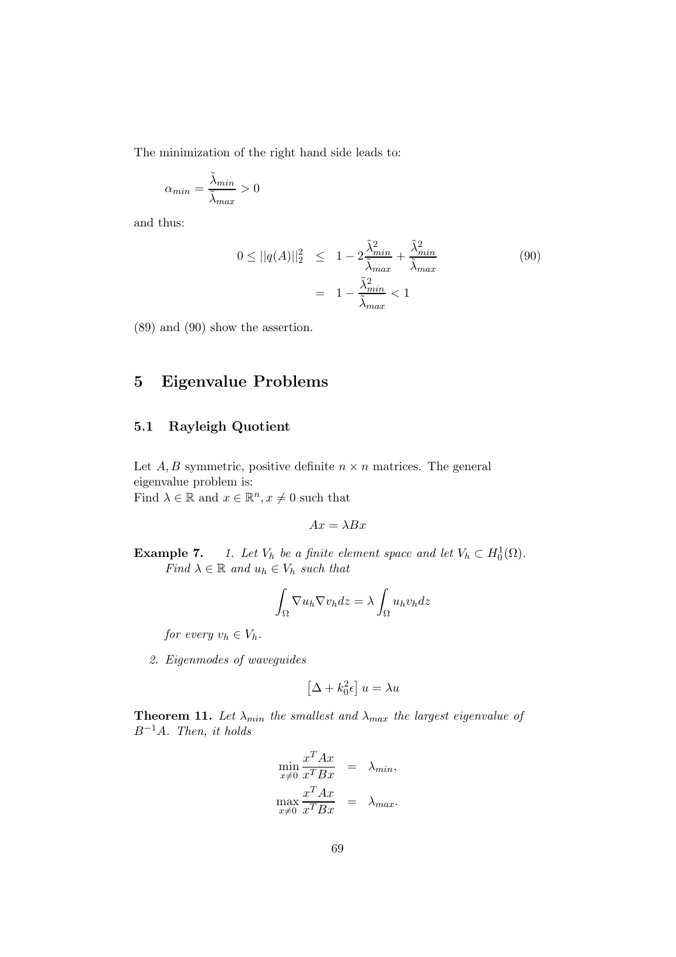The minimization of the right hand side leads to:

$$
\alpha_{min} = \frac{\tilde{\lambda}_{min}}{\tilde{\lambda}_{max}} > 0
$$

and thus:

$$
0 \le ||q(A)||_2^2 \le 1 - 2\frac{\tilde{\lambda}_{min}^2}{\tilde{\lambda}_{max}} + \frac{\tilde{\lambda}_{min}^2}{\tilde{\lambda}_{max}}
$$
(90)  
=  $1 - \frac{\tilde{\lambda}_{min}^2}{\tilde{\lambda}_{max}} < 1$ 

(89) and (90) show the assertion.

# 5 Eigenvalue Problems

#### 5.1 Rayleigh Quotient

Let  $A, B$  symmetric, positive definite  $n \times n$  matrices. The general eigenvalue problem is: Find  $\lambda \in \mathbb{R}$  and  $x \in \mathbb{R}^n, x \neq 0$  such that

$$
Ax = \lambda Bx
$$

**Example 7.** 1. Let  $V_h$  be a finite element space and let  $V_h \subset H_0^1(\Omega)$ . Find  $\lambda \in \mathbb{R}$  and  $u_h \in V_h$  such that

$$
\int_{\Omega} \nabla u_h \nabla v_h dz = \lambda \int_{\Omega} u_h v_h dz
$$

for every  $v_h \in V_h$ .

2. Eigenmodes of waveguides

$$
\left[\Delta + k_0^2 \epsilon \right] u = \lambda u
$$

**Theorem 11.** Let  $\lambda_{min}$  the smallest and  $\lambda_{max}$  the largest eigenvalue of  $B^{-1}A$ . Then, it holds

$$
\min_{x \neq 0} \frac{x^T A x}{x^T B x} = \lambda_{min},
$$
  

$$
\max_{x \neq 0} \frac{x^T A x}{x^T B x} = \lambda_{max}.
$$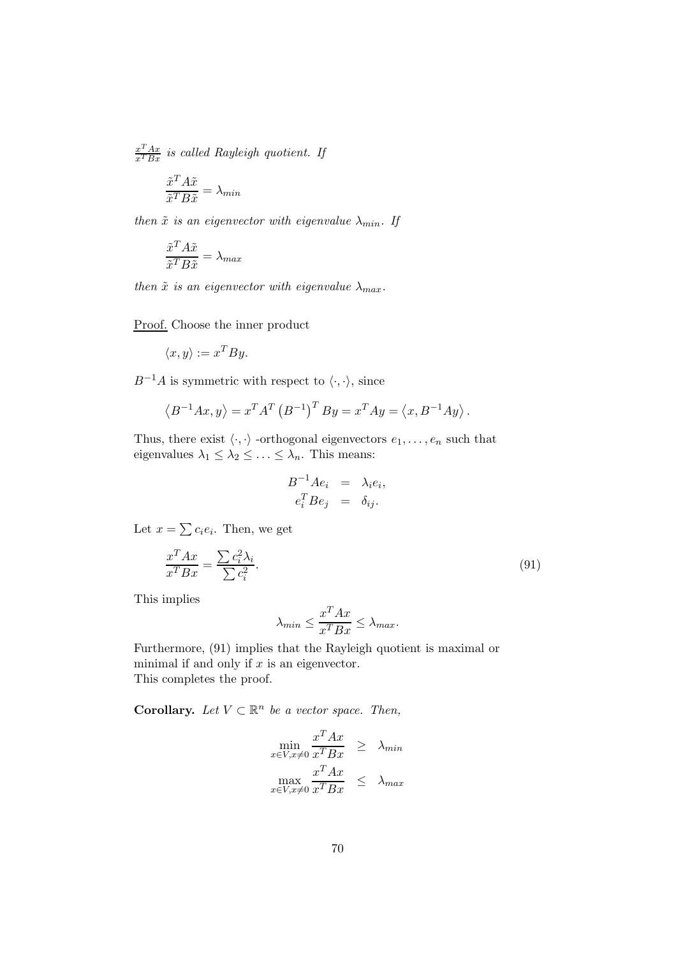$$
\frac{x^T A x}{x^T B x}
$$
 is called Rayleigh quotient. If

$$
\frac{\tilde{x}^T A \tilde{x}}{\tilde{x}^T B \tilde{x}} = \lambda_{min}
$$

then  $\tilde{x}$  is an eigenvector with eigenvalue  $\lambda_{min}$ . If

$$
\frac{\tilde{x}^T A \tilde{x}}{\tilde{x}^T B \tilde{x}} = \lambda_{max}
$$

then  $\tilde{x}$  is an eigenvector with eigenvalue  $\lambda_{max}$ .

Proof. Choose the inner product

$$
\langle x, y \rangle := x^T B y.
$$

 $B^{-1}A$  is symmetric with respect to  $\langle \cdot, \cdot \rangle$ , since

$$
\langle B^{-1}Ax, y \rangle = x^T A^T (B^{-1})^T By = x^T Ay = \langle x, B^{-1}Ay \rangle.
$$

Thus, there exist  $\langle \cdot, \cdot \rangle$  -orthogonal eigenvectors  $e_1, \ldots, e_n$  such that eigenvalues  $\lambda_1 \leq \lambda_2 \leq \ldots \leq \lambda_n$ . This means:

$$
B^{-1}Ae_i = \lambda_i e_i,
$$
  

$$
e_i^T Be_j = \delta_{ij}.
$$

Let  $x = \sum c_i e_i$ . Then, we get

$$
\frac{x^T A x}{x^T B x} = \frac{\sum c_i^2 \lambda_i}{\sum c_i^2}.\tag{91}
$$

This implies

$$
\lambda_{min} \le \frac{x^T A x}{x^T B x} \le \lambda_{max}.
$$

Furthermore, (91) implies that the Rayleigh quotient is maximal or minimal if and only if  $x$  is an eigenvector. This completes the proof.

**Corollary.** Let  $V \subset \mathbb{R}^n$  be a vector space. Then,

$$
\min_{x \in V, x \neq 0} \frac{x^T A x}{x^T B x} \ge \lambda_{min}
$$

$$
\max_{x \in V, x \neq 0} \frac{x^T A x}{x^T B x} \le \lambda_{max}
$$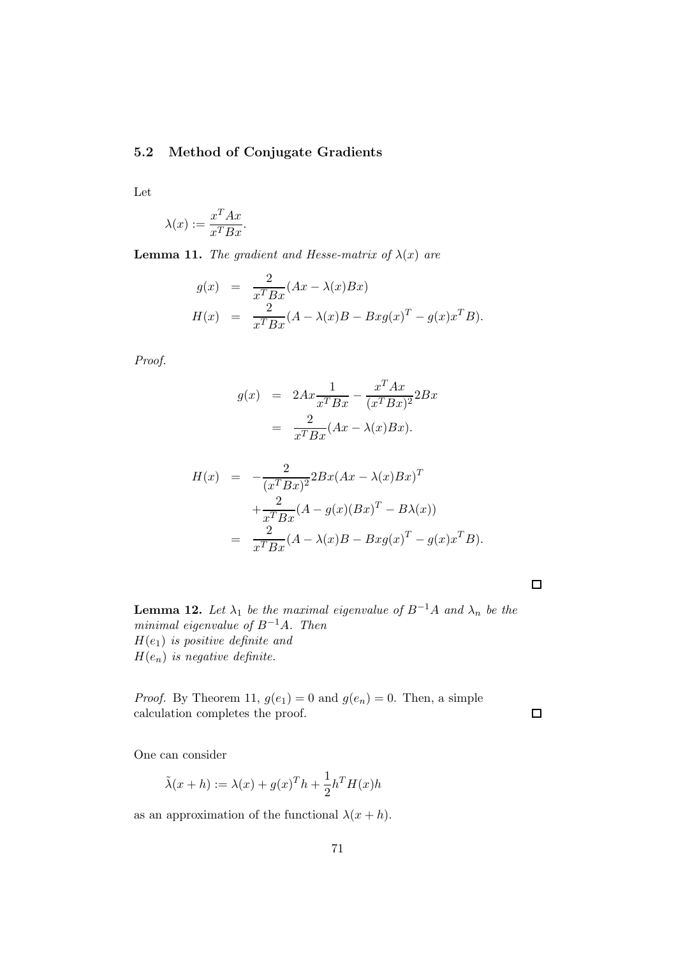## 5.2 Method of Conjugate Gradients

Let

$$
\lambda(x) := \frac{x^T A x}{x^T B x}.
$$

**Lemma 11.** The gradient and Hesse-matrix of  $\lambda(x)$  are

$$
g(x) = \frac{2}{x^T B x} (Ax - \lambda(x)Bx)
$$
  
\n
$$
H(x) = \frac{2}{x^T B x} (A - \lambda(x)B - Bxg(x)^T - g(x)x^T B).
$$

Proof.

$$
g(x) = 2Ax \frac{1}{x^T Bx} - \frac{x^T Ax}{(x^T Bx)^2} 2Bx
$$

$$
= \frac{2}{x^T Bx} (Ax - \lambda(x)Bx).
$$

$$
H(x) = -\frac{2}{(x^T Bx)^2} 2Bx(Ax - \lambda(x)Bx)^T
$$

$$
+ \frac{2}{x^T Bx} (A - g(x)(Bx)^T - B\lambda(x))
$$

$$
= \frac{2}{x^T Bx} (A - \lambda(x)B - Bxg(x)^T - g(x)x^T B).
$$

 $\Box$ 

 $\Box$ 

**Lemma 12.** Let  $\lambda_1$  be the maximal eigenvalue of  $B^{-1}A$  and  $\lambda_n$  be the minimal eigenvalue of  $B^{-1}A$ . Then  $H(e_1)$  is positive definite and  $H(e_n)$  is negative definite.

*Proof.* By Theorem 11,  $g(e_1) = 0$  and  $g(e_n) = 0$ . Then, a simple calculation completes the proof.

One can consider

$$
\tilde{\lambda}(x+h) := \lambda(x) + g(x)^{T}h + \frac{1}{2}h^{T}H(x)h
$$

as an approximation of the functional  $\lambda(x+h)$ .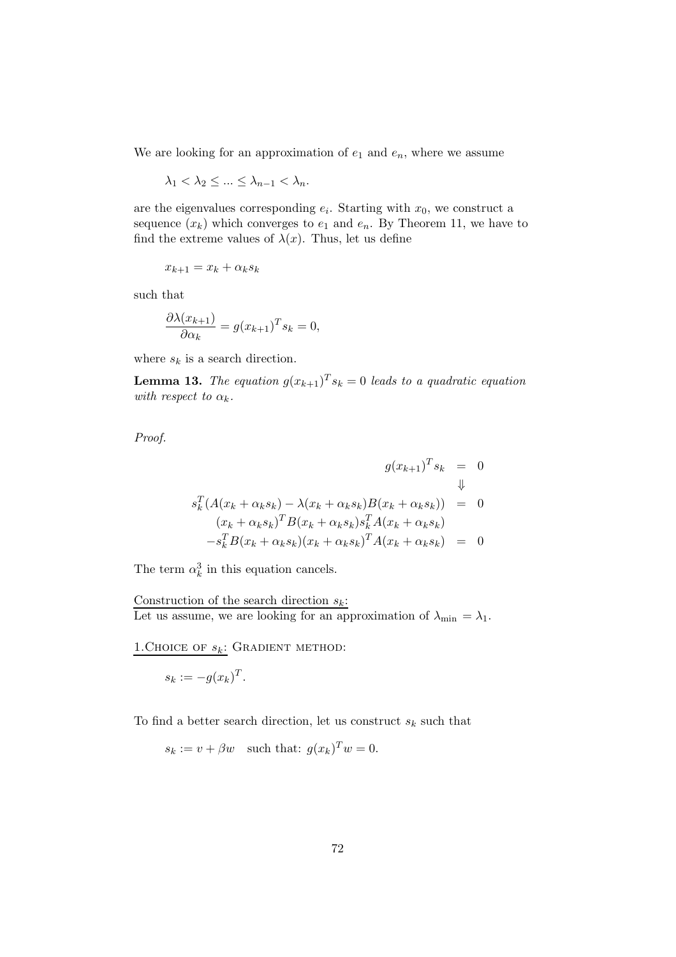We are looking for an approximation of  $e_1$  and  $e_n$ , where we assume

$$
\lambda_1 < \lambda_2 \leq \ldots \leq \lambda_{n-1} < \lambda_n.
$$

are the eigenvalues corresponding  $e_i$ . Starting with  $x_0$ , we construct a sequence  $(x_k)$  which converges to  $e_1$  and  $e_n$ . By Theorem 11, we have to find the extreme values of  $\lambda(x)$ . Thus, let us define

$$
x_{k+1} = x_k + \alpha_k s_k
$$

such that

$$
\frac{\partial \lambda(x_{k+1})}{\partial \alpha_k} = g(x_{k+1})^T s_k = 0,
$$

where  $s_k$  is a search direction.

**Lemma 13.** The equation  $g(x_{k+1})^T s_k = 0$  leads to a quadratic equation with respect to  $\alpha_k$ .

Proof.

$$
g(x_{k+1})^T s_k = 0
$$
  
\n
$$
s_k^T (A(x_k + \alpha_k s_k) - \lambda (x_k + \alpha_k s_k) B(x_k + \alpha_k s_k)) = 0
$$
  
\n
$$
(x_k + \alpha_k s_k)^T B(x_k + \alpha_k s_k) s_k^T A(x_k + \alpha_k s_k)
$$
  
\n
$$
-s_k^T B(x_k + \alpha_k s_k) (x_k + \alpha_k s_k)^T A(x_k + \alpha_k s_k) = 0
$$

 $\overline{ }$ 

The term  $\alpha_k^3$  in this equation cancels.

Construction of the search direction  $s_k$ : Let us assume, we are looking for an approximation of  $\lambda_{\min} = \lambda_1$ .

1. CHOICE OF  $s_k$ : GRADIENT METHOD:

$$
s_k := -g(x_k)^T.
$$

To find a better search direction, let us construct  $s_k$  such that

$$
s_k := v + \beta w
$$
 such that:  $g(x_k)^T w = 0$ .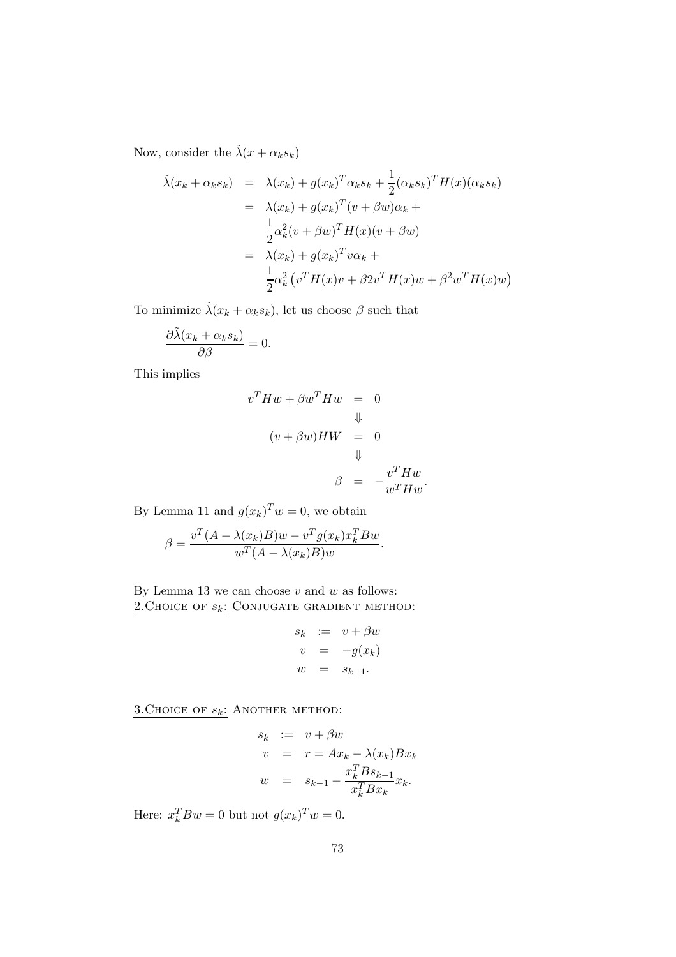Now, consider the  $\tilde{\lambda}(x+\alpha_ks_k)$ 

$$
\tilde{\lambda}(x_k + \alpha_k s_k) = \lambda(x_k) + g(x_k)^T \alpha_k s_k + \frac{1}{2} (\alpha_k s_k)^T H(x) (\alpha_k s_k)
$$
  
\n
$$
= \lambda(x_k) + g(x_k)^T (v + \beta w) \alpha_k + \frac{1}{2} \alpha_k^2 (v + \beta w)^T H(x) (v + \beta w)
$$
  
\n
$$
= \lambda(x_k) + g(x_k)^T v \alpha_k + \frac{1}{2} \alpha_k^2 (v^T H(x) v + \beta 2v^T H(x) w + \beta^2 w^T H(x) w)
$$

To minimize  $\tilde{\lambda}(x_k + \alpha_k s_k)$ , let us choose  $\beta$  such that

$$
\frac{\partial \tilde{\lambda}(x_k + \alpha_k s_k)}{\partial \beta} = 0.
$$

This implies

$$
v^{T}Hw + \beta w^{T}Hw = 0
$$
  

$$
\Downarrow
$$
  

$$
(v + \beta w)HW = 0
$$
  

$$
\Downarrow
$$
  

$$
\beta = -\frac{v^{T}Hw}{w^{T}Hw}.
$$

By Lemma 11 and  $g(x_k)^T w = 0$ , we obtain

$$
\beta = \frac{v^T (A - \lambda(x_k)B) w - v^T g(x_k) x_k^T B w}{w^T (A - \lambda(x_k)B) w}.
$$

By Lemma 13 we can choose  $v$  and  $w$  as follows: 2. CHOICE OF  $s_k$ : CONJUGATE GRADIENT METHOD:

$$
s_k := v + \beta w
$$
  
\n
$$
v = -g(x_k)
$$
  
\n
$$
w = s_{k-1}.
$$

3. CHOICE OF  $s_k$ : ANOTHER METHOD:

$$
s_k := v + \beta w
$$
  
\n
$$
v = r = Ax_k - \lambda(x_k)Bx_k
$$
  
\n
$$
w = s_{k-1} - \frac{x_k^T B s_{k-1}}{x_k^T B x_k} x_k.
$$

Here:  $x_k^T B w = 0$  but not  $g(x_k)^T w = 0$ .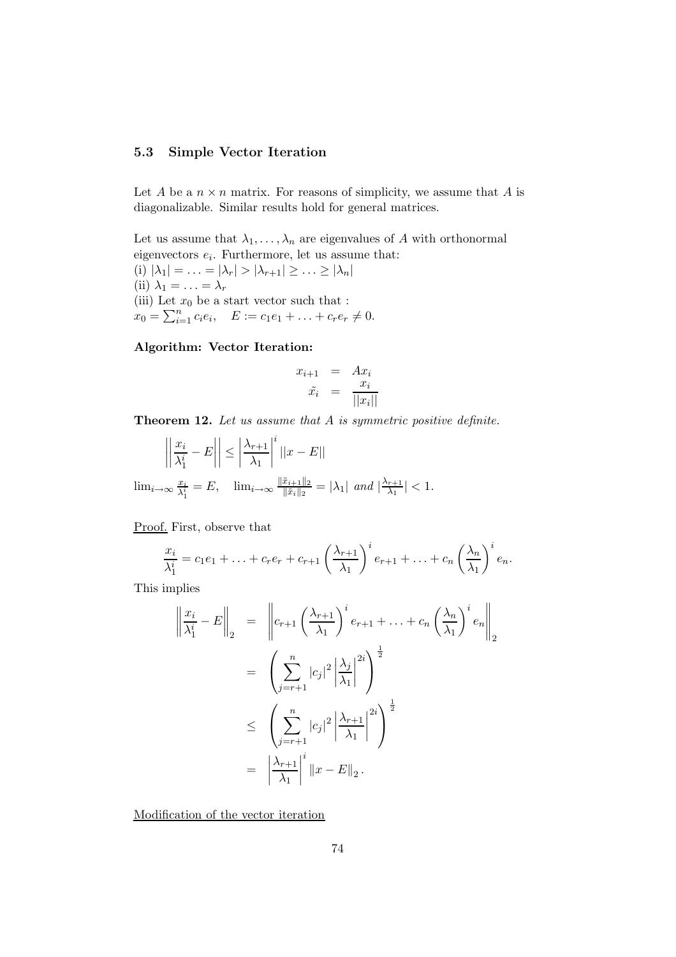## 5.3 Simple Vector Iteration

Let A be a  $n \times n$  matrix. For reasons of simplicity, we assume that A is diagonalizable. Similar results hold for general matrices.

Let us assume that  $\lambda_1, \ldots, \lambda_n$  are eigenvalues of A with orthonormal eigenvectors  $e_i$ . Furthermore, let us assume that: (i)  $|\lambda_1| = \ldots = |\lambda_r| > |\lambda_{r+1}| \geq \ldots \geq |\lambda_n|$ (ii)  $\lambda_1 = \ldots = \lambda_r$ (iii) Let  $x_0$  be a start vector such that :  $x_0 = \sum_{i=1}^n c_i e_i, \quad E := c_1 e_1 + \ldots + c_r e_r \neq 0.$ 

### Algorithm: Vector Iteration:

$$
x_{i+1} = Ax_i
$$
  

$$
\tilde{x}_i = \frac{x_i}{||x_i||}
$$

Theorem 12. Let us assume that A is symmetric positive definite.

$$
\left| \left| \frac{x_i}{\lambda_1^i} - E \right| \right| \le \left| \frac{\lambda_{r+1}}{\lambda_1} \right|^i \left| |x - E| \right|
$$
  

$$
\lim_{i \to \infty} \frac{x_i}{\lambda_1^i} = E, \quad \lim_{i \to \infty} \frac{\|\tilde{x}_{i+1}\|_2}{\|\tilde{x}_i\|_2} = |\lambda_1| \text{ and } |\frac{\lambda_{r+1}}{\lambda_1}| < 1.
$$

Proof. First, observe that

$$
\frac{x_i}{\lambda_1^i} = c_1 e_1 + \ldots + c_r e_r + c_{r+1} \left(\frac{\lambda_{r+1}}{\lambda_1}\right)^i e_{r+1} + \ldots + c_n \left(\frac{\lambda_n}{\lambda_1}\right)^i e_n.
$$

This implies

$$
\left\| \frac{x_i}{\lambda_1^i} - E \right\|_2 = \left\| c_{r+1} \left( \frac{\lambda_{r+1}}{\lambda_1} \right)^i e_{r+1} + \dots + c_n \left( \frac{\lambda_n}{\lambda_1} \right)^i e_n \right\|_2
$$
  

$$
= \left( \sum_{j=r+1}^n |c_j|^2 \left| \frac{\lambda_j}{\lambda_1} \right|^{2i} \right)^{\frac{1}{2}}
$$
  

$$
\leq \left( \sum_{j=r+1}^n |c_j|^2 \left| \frac{\lambda_{r+1}}{\lambda_1} \right|^{2i} \right)^{\frac{1}{2}}
$$
  

$$
= \left| \frac{\lambda_{r+1}}{\lambda_1} \right|^i \|x - E\|_2.
$$

Modification of the vector iteration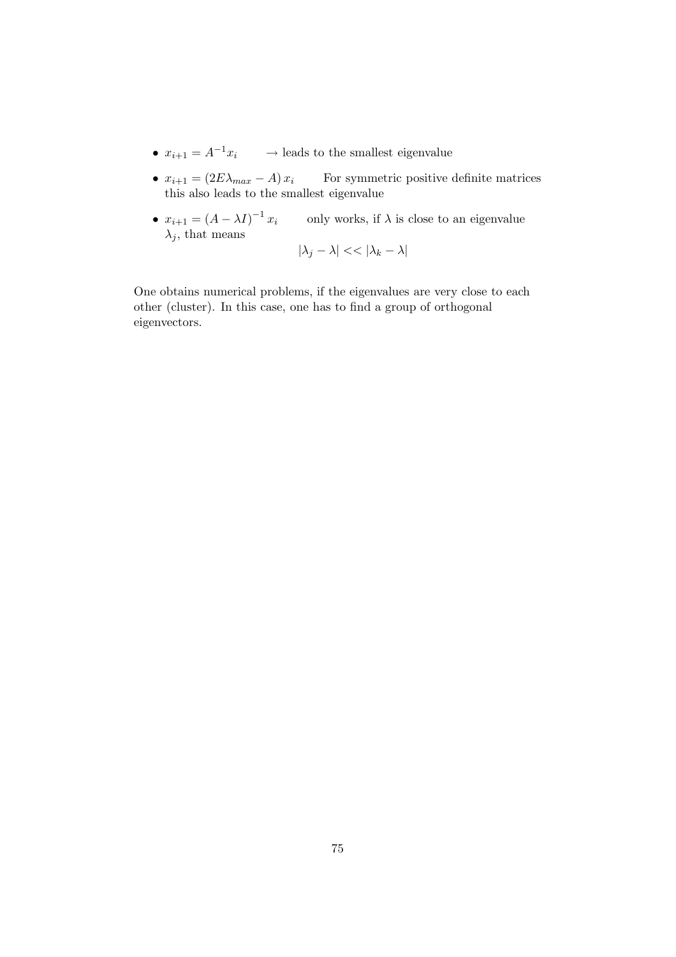- $x_{i+1} = A^{-1}x_i$   $\longrightarrow$  leads to the smallest eigenvalue
- $x_{i+1} = (2E\lambda_{max} A)x_i$  For symmetric positive definite matrices this also leads to the smallest eigenvalue
- $x_{i+1} = (A \lambda I)^{-1} x_i$  only works, if  $\lambda$  is close to an eigenvalue  $\lambda_i$ , that means

$$
|\lambda_j - \lambda| < \lambda \, |\lambda_k - \lambda|
$$

One obtains numerical problems, if the eigenvalues are very close to each other (cluster). In this case, one has to find a group of orthogonal eigenvectors.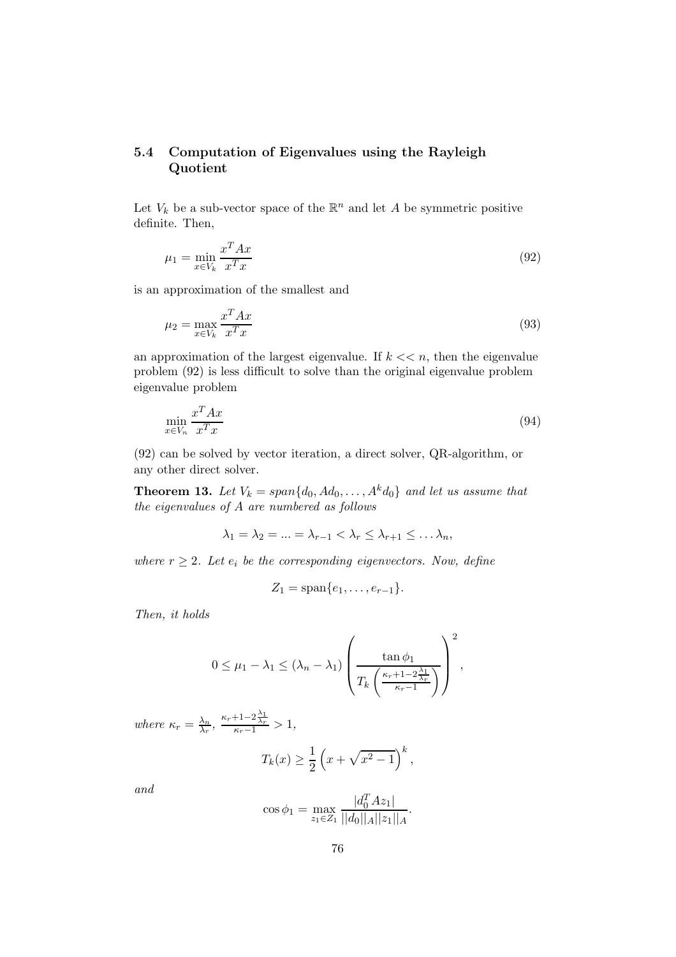# 5.4 Computation of Eigenvalues using the Rayleigh Quotient

Let  $V_k$  be a sub-vector space of the  $\mathbb{R}^n$  and let A be symmetric positive definite. Then,

$$
\mu_1 = \min_{x \in V_k} \frac{x^T A x}{x^T x} \tag{92}
$$

is an approximation of the smallest and

$$
\mu_2 = \max_{x \in V_k} \frac{x^T A x}{x^T x} \tag{93}
$$

an approximation of the largest eigenvalue. If  $k \ll n$ , then the eigenvalue problem (92) is less difficult to solve than the original eigenvalue problem eigenvalue problem

$$
\min_{x \in V_n} \frac{x^T A x}{x^T x} \tag{94}
$$

(92) can be solved by vector iteration, a direct solver, QR-algorithm, or any other direct solver.

**Theorem 13.** Let  $V_k = span{d_0, Ad_0, ..., A^k d_0}$  and let us assume that the eigenvalues of A are numbered as follows

$$
\lambda_1 = \lambda_2 = \ldots = \lambda_{r-1} < \lambda_r \leq \lambda_{r+1} \leq \ldots \lambda_n,
$$

where  $r \geq 2$ . Let  $e_i$  be the corresponding eigenvectors. Now, define

$$
Z_1=\mathrm{span}\{e_1,\ldots,e_{r-1}\}.
$$

Then, it holds

$$
0 \leq \mu_1 - \lambda_1 \leq (\lambda_n - \lambda_1) \left( \frac{\tan \phi_1}{T_k \left( \frac{\kappa_r + 1 - 2\frac{\lambda_1}{\lambda_r}}{\kappa_r - 1} \right)} \right)^2,
$$

where  $\kappa_r = \frac{\lambda_n}{\lambda_r}$  $\frac{\lambda_n}{\lambda_r}, \frac{\kappa_r+1-2\frac{\lambda_1}{\lambda_r}}{\kappa_r-1} > 1,$ 

$$
T_k(x) \ge \frac{1}{2} \left( x + \sqrt{x^2 - 1} \right)^k,
$$

and

$$
\cos \phi_1 = \max_{z_1 \in Z_1} \frac{|d_0^T A z_1|}{||d_0||_A ||z_1||_A}.
$$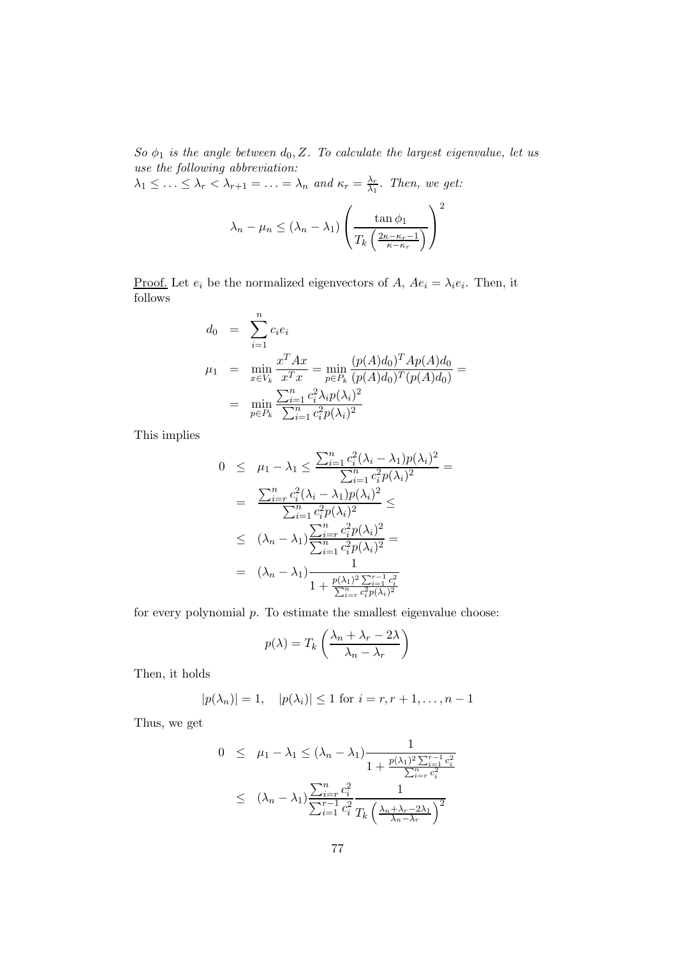So  $\phi_1$  is the angle between  $d_0, Z$ . To calculate the largest eigenvalue, let us use the following abbreviation:

 $\lambda_1 \leq \ldots \leq \lambda_r < \lambda_{r+1} = \ldots = \lambda_n$  and  $\kappa_r = \frac{\lambda_r}{\lambda_1}$  $\frac{\lambda_r}{\lambda_1}$ . Then, we get:

$$
\lambda_n - \mu_n \leq (\lambda_n - \lambda_1) \left( \frac{\tan \phi_1}{T_k \left( \frac{2\kappa - \kappa_r - 1}{\kappa - \kappa_r} \right)} \right)^2
$$

<u>Proof.</u> Let  $e_i$  be the normalized eigenvectors of A,  $Ae_i = \lambda_i e_i$ . Then, it follows

$$
d_0 = \sum_{i=1}^n c_i e_i
$$
  
\n
$$
\mu_1 = \min_{x \in V_k} \frac{x^T A x}{x^T x} = \min_{p \in P_k} \frac{(p(A)d_0)^T A p(A)d_0}{(p(A)d_0)^T (p(A)d_0)} =
$$
  
\n
$$
= \min_{p \in P_k} \frac{\sum_{i=1}^n c_i^2 \lambda_i p(\lambda_i)^2}{\sum_{i=1}^n c_i^2 p(\lambda_i)^2}
$$

This implies

$$
0 \leq \mu_1 - \lambda_1 \leq \frac{\sum_{i=1}^n c_i^2 (\lambda_i - \lambda_1) p(\lambda_i)^2}{\sum_{i=1}^n c_i^2 p(\lambda_i)^2} =
$$
  
\n
$$
= \frac{\sum_{i=r}^n c_i^2 (\lambda_i - \lambda_1) p(\lambda_i)^2}{\sum_{i=1}^n c_i^2 p(\lambda_i)^2} \leq
$$
  
\n
$$
\leq (\lambda_n - \lambda_1) \frac{\sum_{i=r}^n c_i^2 p(\lambda_i)^2}{\sum_{i=1}^n c_i^2 p(\lambda_i)^2} =
$$
  
\n
$$
= (\lambda_n - \lambda_1) \frac{1}{1 + \frac{p(\lambda_1)^2 \sum_{i=1}^{r-1} c_i^2}{\sum_{i=r}^n c_i^2 p(\lambda_i)^2}}
$$

for every polynomial p. To estimate the smallest eigenvalue choose:

$$
p(\lambda) = T_k \left( \frac{\lambda_n + \lambda_r - 2\lambda}{\lambda_n - \lambda_r} \right)
$$

Then, it holds

$$
|p(\lambda_n)| = 1
$$
,  $|p(\lambda_i)| \le 1$  for  $i = r, r + 1, ..., n - 1$ 

Thus, we get

$$
0 \leq \mu_1 - \lambda_1 \leq (\lambda_n - \lambda_1) \frac{1}{1 + \frac{p(\lambda_1)^2 \sum_{i=1}^{r-1} c_i^2}{\sum_{i=r}^n c_i^2}} \leq (\lambda_n - \lambda_1) \frac{\sum_{i=r}^n c_i^2}{\sum_{i=1}^{r-1} c_i^2} \frac{1}{T_k \left(\frac{\lambda_n + \lambda_r - 2\lambda_1}{\lambda_n - \lambda_r}\right)^2}
$$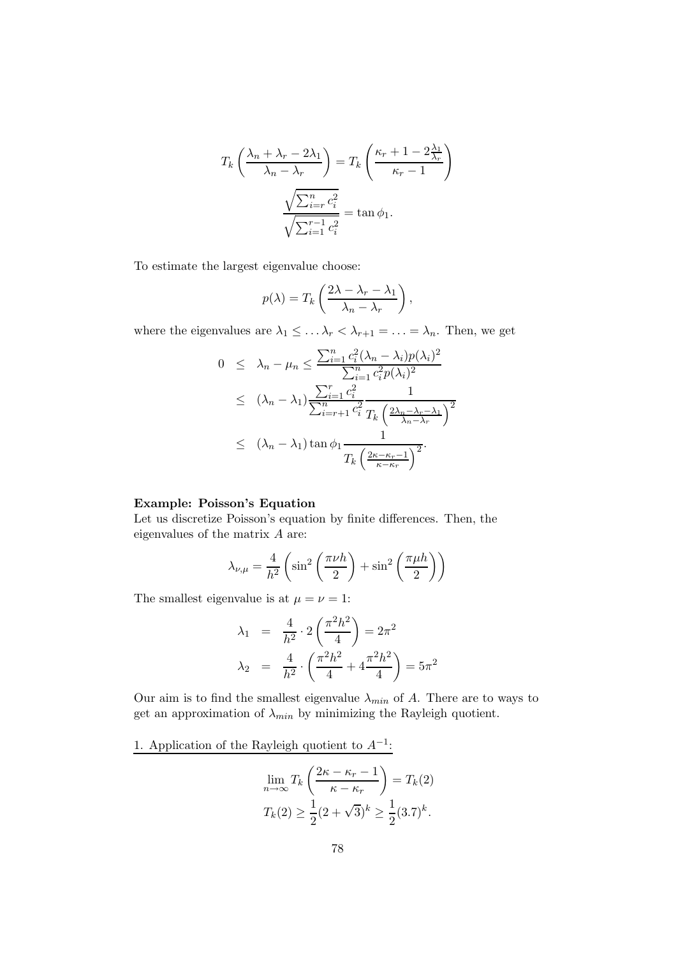$$
T_k \left( \frac{\lambda_n + \lambda_r - 2\lambda_1}{\lambda_n - \lambda_r} \right) = T_k \left( \frac{\kappa_r + 1 - 2\frac{\lambda_1}{\lambda_r}}{\kappa_r - 1} \right)
$$

$$
\frac{\sqrt{\sum_{i=r}^n c_i^2}}{\sqrt{\sum_{i=1}^r c_i^2}} = \tan \phi_1.
$$

To estimate the largest eigenvalue choose:

$$
p(\lambda) = T_k \left( \frac{2\lambda - \lambda_r - \lambda_1}{\lambda_n - \lambda_r} \right),
$$

where the eigenvalues are  $\lambda_1 \leq \ldots \lambda_r < \lambda_{r+1} = \ldots = \lambda_n$ . Then, we get

$$
0 \leq \lambda_n - \mu_n \leq \frac{\sum_{i=1}^n c_i^2 (\lambda_n - \lambda_i) p(\lambda_i)^2}{\sum_{i=1}^n c_i^2 p(\lambda_i)^2}
$$
  

$$
\leq (\lambda_n - \lambda_1) \frac{\sum_{i=1}^r c_i^2}{\sum_{i=r+1}^n c_i^2} \frac{1}{T_k \left(\frac{2\lambda_n - \lambda_r - \lambda_1}{\lambda_n - \lambda_r}\right)^2}
$$
  

$$
\leq (\lambda_n - \lambda_1) \tan \phi_1 \frac{1}{T_k \left(\frac{2\kappa - \kappa_r - 1}{\kappa - \kappa_r}\right)^2}.
$$

## Example: Poisson's Equation

Let us discretize Poisson's equation by finite differences. Then, the eigenvalues of the matrix A are:

$$
\lambda_{\nu,\mu} = \frac{4}{h^2} \left( \sin^2 \left( \frac{\pi \nu h}{2} \right) + \sin^2 \left( \frac{\pi \mu h}{2} \right) \right)
$$

The smallest eigenvalue is at  $\mu = \nu = 1$ :

$$
\lambda_1 = \frac{4}{h^2} \cdot 2 \left( \frac{\pi^2 h^2}{4} \right) = 2\pi^2
$$
  

$$
\lambda_2 = \frac{4}{h^2} \cdot \left( \frac{\pi^2 h^2}{4} + 4 \frac{\pi^2 h^2}{4} \right) = 5\pi^2
$$

Our aim is to find the smallest eigenvalue  $\lambda_{min}$  of A. There are to ways to get an approximation of  $\lambda_{min}$  by minimizing the Rayleigh quotient.

1. Application of the Rayleigh quotient to  $A^{-1}$ :

$$
\lim_{n \to \infty} T_k \left( \frac{2\kappa - \kappa_r - 1}{\kappa - \kappa_r} \right) = T_k(2)
$$
  

$$
T_k(2) \ge \frac{1}{2} (2 + \sqrt{3})^k \ge \frac{1}{2} (3.7)^k.
$$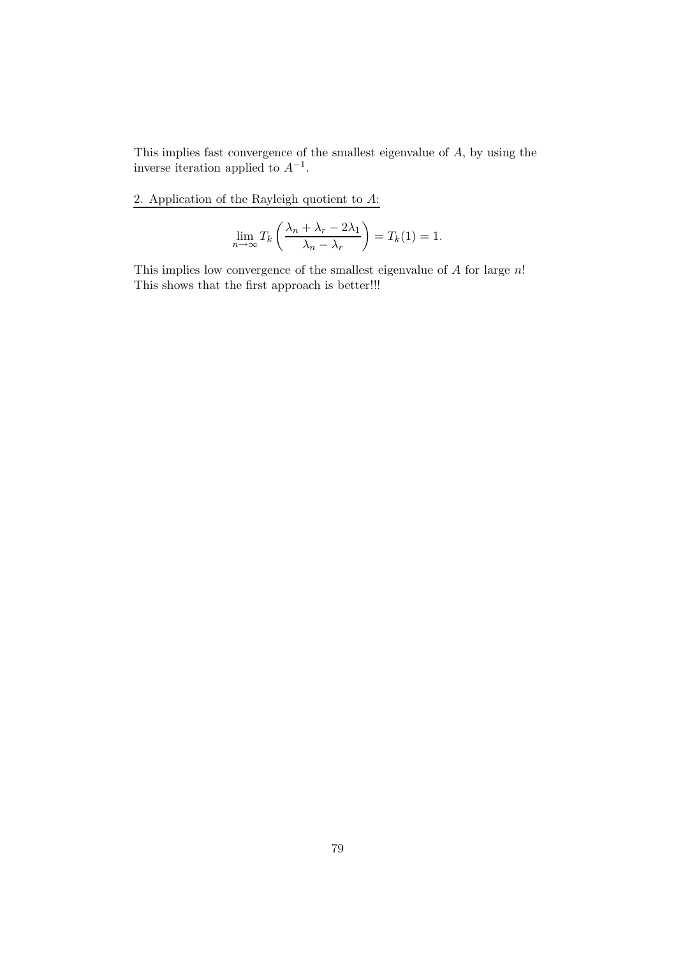This implies fast convergence of the smallest eigenvalue of  $A$ , by using the inverse iteration applied to  $A^{-1}$ .

2. Application of the Rayleigh quotient to  $A$ :

$$
\lim_{n \to \infty} T_k \left( \frac{\lambda_n + \lambda_r - 2\lambda_1}{\lambda_n - \lambda_r} \right) = T_k(1) = 1.
$$

This implies low convergence of the smallest eigenvalue of  $A$  for large  $n!$ This shows that the first approach is better!!!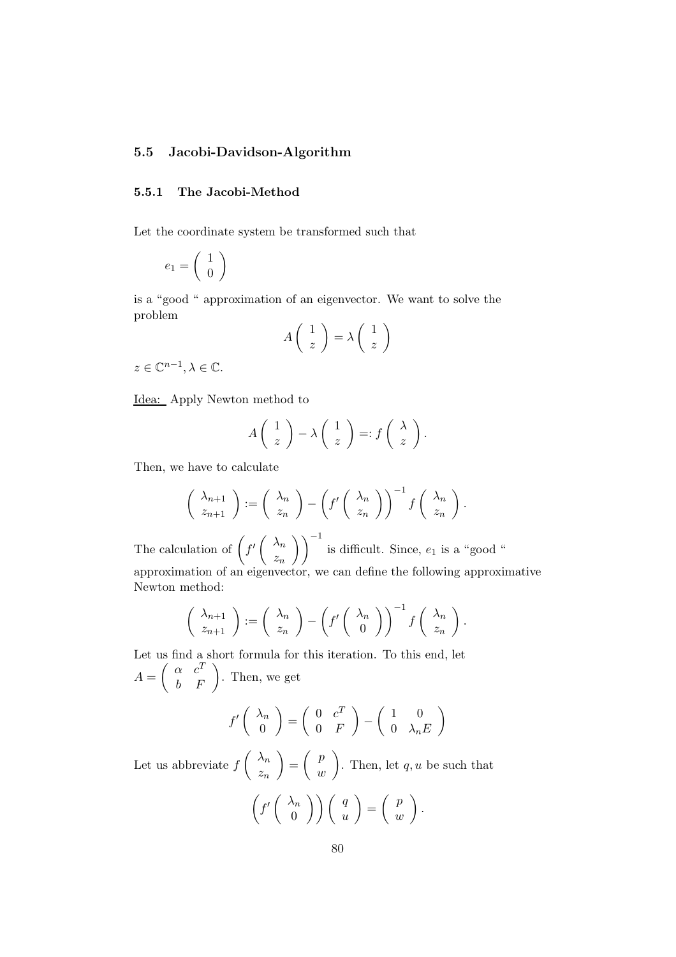## 5.5 Jacobi-Davidson-Algorithm

## 5.5.1 The Jacobi-Method

Let the coordinate system be transformed such that

$$
e_1=\left(\begin{array}{c}1\\0\end{array}\right)
$$

is a "good " approximation of an eigenvector. We want to solve the problem

$$
A\left(\begin{array}{c}1\\z\end{array}\right)=\lambda\left(\begin{array}{c}1\\z\end{array}\right)
$$

 $z \in \mathbb{C}^{n-1}, \lambda \in \mathbb{C}.$ 

Idea: Apply Newton method to

$$
A\left(\begin{array}{c}1\\z\end{array}\right)-\lambda\left(\begin{array}{c}1\\z\end{array}\right)=:f\left(\begin{array}{c}\lambda\\z\end{array}\right).
$$

Then, we have to calculate

$$
\begin{pmatrix} \lambda_{n+1} \\ z_{n+1} \end{pmatrix} := \begin{pmatrix} \lambda_n \\ z_n \end{pmatrix} - \left( f' \begin{pmatrix} \lambda_n \\ z_n \end{pmatrix} \right)^{-1} f \begin{pmatrix} \lambda_n \\ z_n \end{pmatrix}.
$$

The calculation of  $\int f' \left( \begin{array}{c} \lambda_n \\ n \end{array} \right)$  $z_n$  $\setminus$ <sup>-1</sup> is difficult. Since,  $e_1$  is a "good " approximation of an eigenvector, we can define the following approximative Newton method:

$$
\begin{pmatrix} \lambda_{n+1} \\ z_{n+1} \end{pmatrix} := \begin{pmatrix} \lambda_n \\ z_n \end{pmatrix} - \left( f' \begin{pmatrix} \lambda_n \\ 0 \end{pmatrix} \right)^{-1} f \begin{pmatrix} \lambda_n \\ z_n \end{pmatrix}.
$$

Let us find a short formula for this iteration. To this end, let  $A =$  $\left(\begin{array}{cc} \alpha & c^T\\ b & F \end{array}\right)$ . Then, we get

$$
f'\left(\begin{array}{c}\lambda_n\\0\end{array}\right)=\left(\begin{array}{cc}0&c^T\\0&F\end{array}\right)-\left(\begin{array}{cc}1&0\\0&\lambda_nE\end{array}\right)
$$

Let us abbreviate  $f$  $\left( \lambda_n \right)$  $z_n$  $\setminus$ =  $\begin{pmatrix} p \end{pmatrix}$ w  $\setminus$ . Then, let  $q, u$  be such that

$$
\left(f'\left(\begin{array}{c}\lambda_n\\0\end{array}\right)\right)\left(\begin{array}{c}q\\u\end{array}\right)=\left(\begin{array}{c}p\\w\end{array}\right).
$$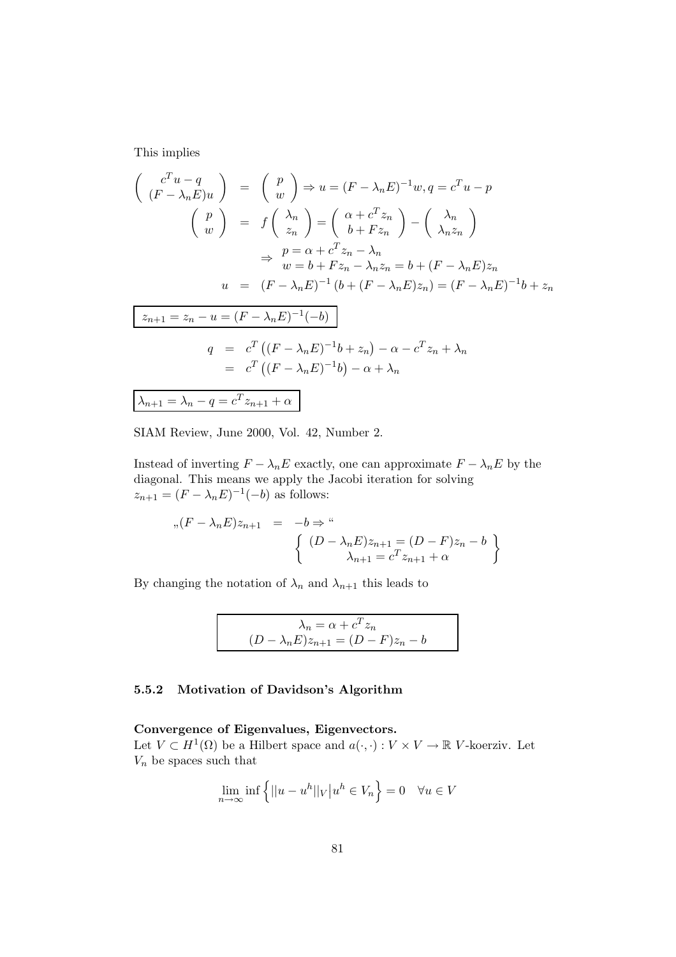This implies

$$
\begin{pmatrix}\nc^{T}u - q \\
(F - \lambda_{n}E)u\n\end{pmatrix} = \begin{pmatrix} p \\
w \end{pmatrix} \Rightarrow u = (F - \lambda_{n}E)^{-1}w, q = c^{T}u - p
$$
\n
$$
\begin{pmatrix} p \\
w \end{pmatrix} = f \begin{pmatrix} \lambda_{n} \\
z_{n} \end{pmatrix} = \begin{pmatrix} \alpha + c^{T}z_{n} \\
b + Fz_{n} \end{pmatrix} - \begin{pmatrix} \lambda_{n} \\
\lambda_{n}z_{n} \end{pmatrix}
$$
\n
$$
\Rightarrow p = \alpha + c^{T}z_{n} - \lambda_{n}
$$
\n
$$
\Rightarrow w = b + Fz_{n} - \lambda_{n}z_{n} = b + (F - \lambda_{n}E)z_{n}
$$
\n
$$
u = (F - \lambda_{n}E)^{-1}(b + (F - \lambda_{n}E)z_{n}) = (F - \lambda_{n}E)^{-1}b + z_{n}
$$
\n
$$
z_{n+1} = z_{n} - u = (F - \lambda_{n}E)^{-1}(-b)
$$
\n
$$
q = c^{T}((F - \lambda_{n}E)^{-1}b + z_{n}) - \alpha - c^{T}z_{n} + \lambda_{n}
$$
\n
$$
= c^{T}((F - \lambda_{n}E)^{-1}b) - \alpha + \lambda_{n}
$$
\n
$$
\lambda_{n+1} = \lambda_{n} - q = c^{T}z_{n+1} + \alpha
$$

SIAM Review, June 2000, Vol. 42, Number 2.

Instead of inverting  $F - \lambda_n E$  exactly, one can approximate  $F - \lambda_n E$  by the diagonal. This means we apply the Jacobi iteration for solving  $z_{n+1} = (F - \lambda_n E)^{-1}(-b)$  as follows:

$$
,(F - \lambda_n E)z_{n+1} = -b \Rightarrow
$$
  

$$
\left\{ \begin{array}{ll} (D - \lambda_n E)z_{n+1} = (D - F)z_n - b \\ \lambda_{n+1} = c^T z_{n+1} + \alpha \end{array} \right\}
$$

By changing the notation of  $\lambda_n$  and  $\lambda_{n+1}$  this leads to

$$
\lambda_n = \alpha + c^T z_n
$$

$$
(D - \lambda_n E) z_{n+1} = (D - F) z_n - b
$$

## 5.5.2 Motivation of Davidson's Algorithm

### Convergence of Eigenvalues, Eigenvectors.

Let  $V \subset H^1(\Omega)$  be a Hilbert space and  $a(\cdot, \cdot) : V \times V \to \mathbb{R}$  V-koerziv. Let  $\mathcal{V}_n$  be spaces such that

$$
\lim_{n \to \infty} \inf \left\{ ||u - u^h||_V \, \big| u^h \in V_n \right\} = 0 \quad \forall u \in V
$$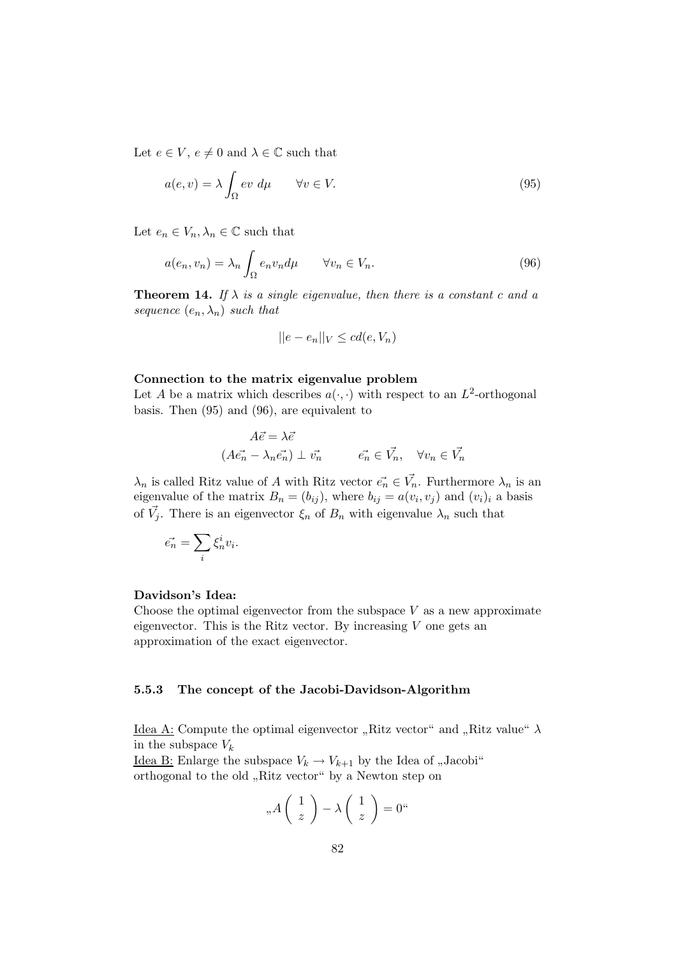Let  $e \in V$ ,  $e \neq 0$  and  $\lambda \in \mathbb{C}$  such that

$$
a(e, v) = \lambda \int_{\Omega} ev \, d\mu \qquad \forall v \in V. \tag{95}
$$

Let  $e_n \in V_n, \lambda_n \in \mathbb{C}$  such that

$$
a(e_n, v_n) = \lambda_n \int_{\Omega} e_n v_n d\mu \qquad \forall v_n \in V_n.
$$
\n(96)

**Theorem 14.** If  $\lambda$  is a single eigenvalue, then there is a constant c and a sequence  $(e_n, \lambda_n)$  such that

$$
||e - e_n||_V \leq cd(e, V_n)
$$

### Connection to the matrix eigenvalue problem

Let A be a matrix which describes  $a(\cdot, \cdot)$  with respect to an  $L^2$ -orthogonal basis. Then (95) and (96), are equivalent to

$$
A\vec{e} = \lambda \vec{e}
$$
  

$$
(A\vec{e_n} - \lambda_n \vec{e_n}) \perp \vec{v_n} \qquad \vec{e_n} \in \vec{V_n}, \quad \forall v_n \in \vec{V_n}
$$

 $\lambda_n$  is called Ritz value of A with Ritz vector  $\vec{e_n} \in \vec{V_n}$ . Furthermore  $\lambda_n$  is an eigenvalue of the matrix  $B_n = (b_{ij})$ , where  $b_{ij} = a(v_i, v_j)$  and  $(v_i)_i$  a basis of  $\vec{V}_j$ . There is an eigenvector  $\xi_n$  of  $B_n$  with eigenvalue  $\lambda_n$  such that

$$
\vec{e_n} = \sum_i \xi_n^i v_i.
$$

### Davidson's Idea:

Choose the optimal eigenvector from the subspace  $V$  as a new approximate eigenvector. This is the Ritz vector. By increasing  $V$  one gets an approximation of the exact eigenvector.

#### 5.5.3 The concept of the Jacobi-Davidson-Algorithm

<u>Idea A:</u> Compute the optimal eigenvector "Ritz vector" and "Ritz value"  $\lambda$ <br>in the exhausts II in the subspace  $V_k$ 

Idea B: Enlarge the subspace  $V_k \to V_{k+1}$  by the Idea of "Jacobi" orthogonal to the old "Ritz vector" by a Newton step on

$$
{}_{n}A\left(\begin{array}{c} 1\\z \end{array}\right) - \lambda\left(\begin{array}{c} 1\\z \end{array}\right) = 0^{\omega}
$$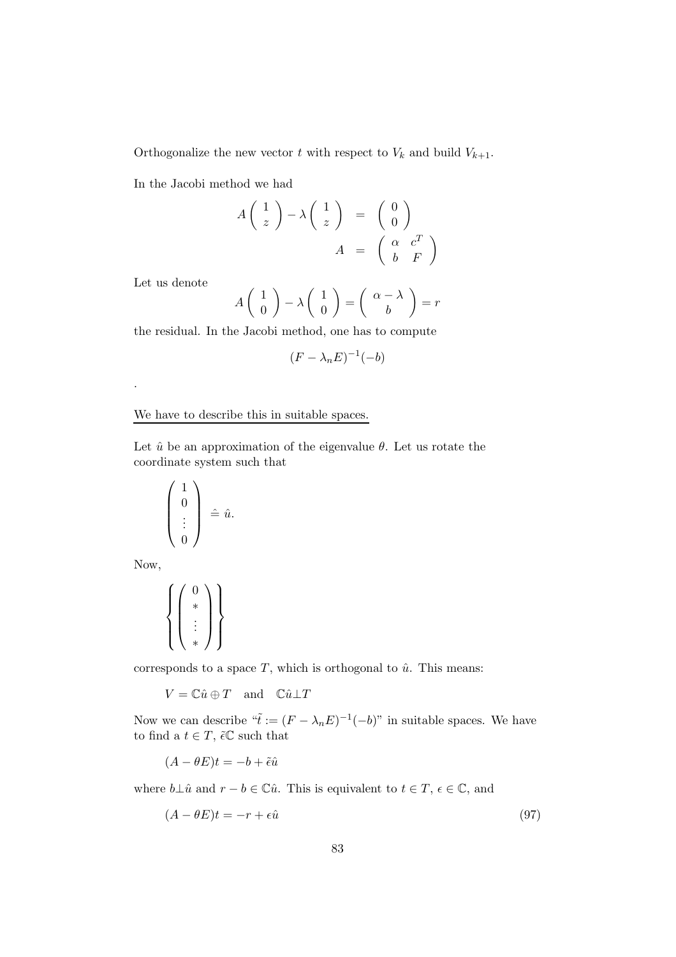Orthogonalize the new vector t with respect to  $V_k$  and build  $V_{k+1}$ .

In the Jacobi method we had

$$
A\begin{pmatrix} 1\\ z \end{pmatrix} - \lambda \begin{pmatrix} 1\\ z \end{pmatrix} = \begin{pmatrix} 0\\ 0 \end{pmatrix}
$$

$$
A = \begin{pmatrix} \alpha & c^T\\ b & F \end{pmatrix}
$$

Let us denote

$$
A\left(\begin{array}{c}1\\0\end{array}\right) - \lambda \left(\begin{array}{c}1\\0\end{array}\right) = \left(\begin{array}{c}\alpha - \lambda\\b\end{array}\right) = r
$$

the residual. In the Jacobi method, one has to compute

$$
(F - \lambda_n E)^{-1}(-b)
$$

We have to describe this in suitable spaces.

Let  $\hat{u}$  be an approximation of the eigenvalue  $\theta$ . Let us rotate the coordinate system such that

$$
\left(\begin{array}{c}1\\0\\ \vdots\\0\end{array}\right) \hat{=}\hat{u}.
$$

Now,

.

$$
\left\{\left(\begin{matrix}0\\ *&\\&\vdots\\ *&\\*\end{matrix}\right)\right\}
$$

corresponds to a space  $T$ , which is orthogonal to  $\hat{u}$ . This means:

 $V = \mathbb{C}\hat{u} \oplus T$  and  $\mathbb{C}\hat{u} \perp T$ 

Now we can describe  $\tilde{\tau} := (F - \lambda_n E)^{-1} (-b)$ " in suitable spaces. We have to find a  $t \in T$ ,  $\tilde{\epsilon} \mathbb{C}$  such that

 $(A - \theta E)t = -b + \tilde{\epsilon}\hat{u}$ 

where  $b\bot \hat{u}$  and  $r - b \in \mathbb{C} \hat{u}$ . This is equivalent to  $t \in T$ ,  $\epsilon \in \mathbb{C}$ , and

$$
(A - \theta E)t = -r + \epsilon \hat{u}
$$
\n(97)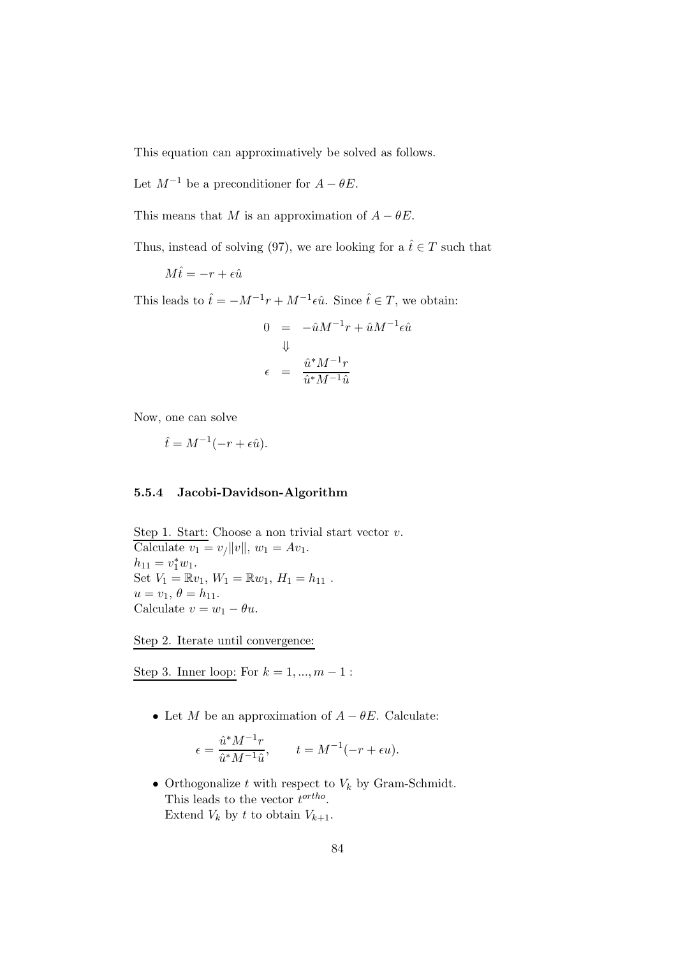This equation can approximatively be solved as follows.

Let  $M^{-1}$  be a preconditioner for  $A - \theta E$ .

This means that M is an approximation of  $A - \theta E$ .

Thus, instead of solving (97), we are looking for a  $\hat{t} \in T$  such that

 $M\hat{t} = -r + \epsilon \hat{u}$ 

This leads to  $\hat{t} = -M^{-1}r + M^{-1}\epsilon \hat{u}$ . Since  $\hat{t} \in T$ , we obtain:

$$
0 = -\hat{u}M^{-1}r + \hat{u}M^{-1}\epsilon\hat{u}
$$
  

$$
\downarrow
$$
  

$$
\epsilon = \frac{\hat{u}^*M^{-1}r}{\hat{u}^*M^{-1}\hat{u}}
$$

Now, one can solve

$$
\hat{t} = M^{-1}(-r + \epsilon \hat{u}).
$$

## 5.5.4 Jacobi-Davidson-Algorithm

Step 1. Start: Choose a non trivial start vector  $v$ . Calculate  $v_1 = v/\|v\|$ ,  $w_1 = Av_1$ .  $h_{11} = v_1^* w_1.$ Set  $V_1 = \mathbb{R}v_1$ ,  $W_1 = \mathbb{R}w_1$ ,  $H_1 = h_{11}$ .  $u = v_1, \, \theta = h_{11}.$ Calculate  $v = w_1 - \theta u$ .

Step 2. Iterate until convergence:

Step 3. Inner loop: For  $k = 1, ..., m - 1$ :

• Let M be an approximation of  $A - \theta E$ . Calculate:

$$
\epsilon = \frac{\hat{u}^* M^{-1} r}{\hat{u}^* M^{-1} \hat{u}}, \qquad t = M^{-1} (-r + \epsilon u).
$$

• Orthogonalize  $t$  with respect to  $V_k$  by Gram-Schmidt. This leads to the vector  $t^{ortho}$ . Extend  $V_k$  by t to obtain  $V_{k+1}$ .